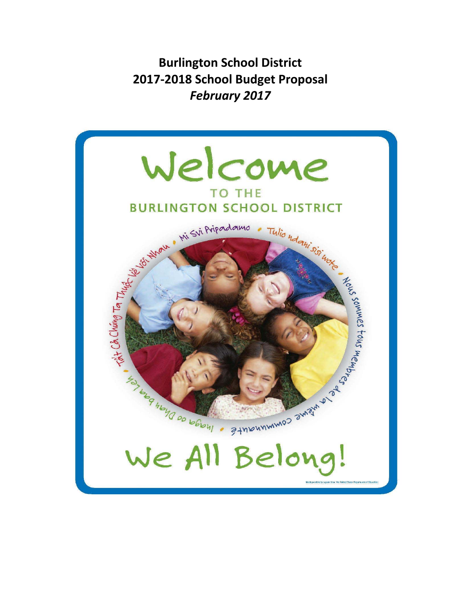**Burlington School District 2017‐2018 School Budget Proposal** *February 2017*

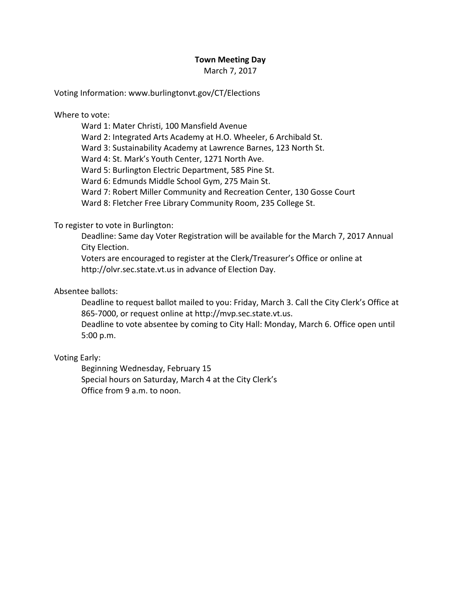## **Town Meeting Day**

March 7, 2017

Voting Information: www.burlingtonvt.gov/CT/Elections

Where to vote:

Ward 1: Mater Christi, 100 Mansfield Avenue

Ward 2: Integrated Arts Academy at H.O. Wheeler, 6 Archibald St.

Ward 3: Sustainability Academy at Lawrence Barnes, 123 North St.

Ward 4: St. Mark's Youth Center, 1271 North Ave.

Ward 5: Burlington Electric Department, 585 Pine St.

Ward 6: Edmunds Middle School Gym, 275 Main St.

Ward 7: Robert Miller Community and Recreation Center, 130 Gosse Court

Ward 8: Fletcher Free Library Community Room, 235 College St.

### To register to vote in Burlington:

Deadline: Same day Voter Registration will be available for the March 7, 2017 Annual City Election.

Voters are encouraged to register at the Clerk/Treasurer's Office or online at http://olvr.sec.state.vt.us in advance of Election Day.

# Absentee ballots:

Deadline to request ballot mailed to you: Friday, March 3. Call the City Clerk's Office at 865‐7000, or request online at http://mvp.sec.state.vt.us.

Deadline to vote absentee by coming to City Hall: Monday, March 6. Office open until 5:00 p.m.

## Voting Early:

Beginning Wednesday, February 15 Special hours on Saturday, March 4 at the City Clerk's Office from 9 a.m. to noon.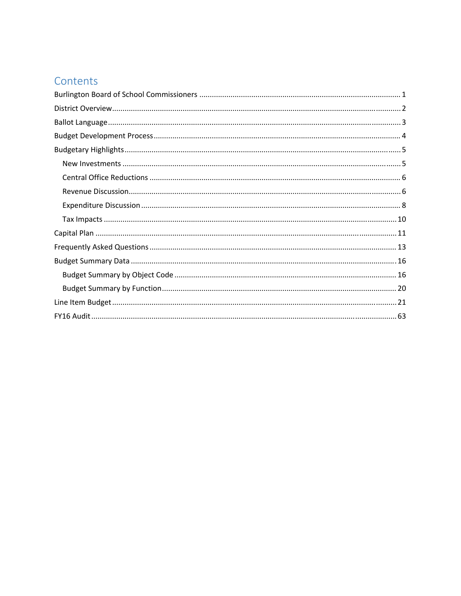# Contents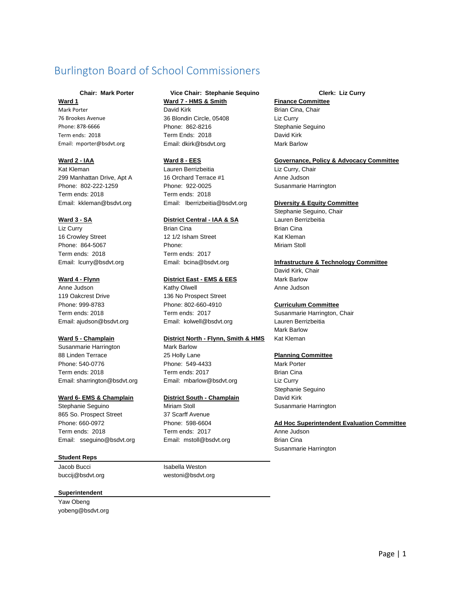# Burlington Board of School Commissioners

76 Brookes Avenue 36 Blondin Circle, 05408 Liz Curry Phone: 878‐6666 Phone: 862‐8216 Phone: 878‐666 Stephanie Sequino Term ends: 2018 Term Ends: 2018 David Kirk Email: mporter@bsdvt.org Email: dkirk@bsdvt.org Mark Barlow

Term ends: 2018 Term ends: 2018

Liz Curry Brian Cina Brian Cina Term ends: 2018 Term ends: 2017

Anne Judson **Kathy Olwell** Anne Judson **Anne Judson** 119 Oakcrest Drive 136 No Prospect Street Phone: 999-8783 Phone: 802-660-4910 **Curriculum Committee**  Email: ajudson@bsdvt.org Email: kolwell@bsdvt.org Lauren Berrizbeitia

Susanmarie Harrington Mark Barlow 88 Linden Terrace 25 Holly Lane **Planning Committee**  Phone: 540-0776 Phone: 549-4433 Mark Porter Term ends: 2018 Term ends: 2017 Brian Cina Email: sharrington@bsdvt.org Email: mbarlow@bsdvt.org Liz Curry

Stephanie Seguino **Miriam Stoll Stephanie Seguino** Miriam Stoll Susanmarie Harrington 865 So. Prospect Street 37 Scarff Avenue Term ends: 2018 Term ends: 2017 Anne Judson Email: sseguino@bsdvt.org Email: mstoll@bsdvt.org Brian Cina

#### **Student Reps**

Jacob Bucci **Isabella Weston** 

#### **Superintendent**

Yaw Obeng yobeng@bsdvt.org

#### **Chair: Mark Porter Vice Chair: Stephanie Sequino Clerk: Liz Curry Ward 1 Ward 7 - HMS & Smith Finance Committee**

Mark Porter **National Community Contract Community** David Kirk **Brian Chair** Brian Cina, Chair

Kat Kleman Lauren Berrizbeitia Liz Curry, Chair 299 Manhattan Drive, Apt A 16 Orchard Terrace #1 Anne Judson Phone: 802-222-1259 Phone: 922-0025 Phone: 922-0025

#### **Ward 3 - SA CONTERN 2008 CONTRACTED BEEF DESCRIPTION DISTRICT DESCRIPTION DESCRIPTION OF DESCRIPTION DESCRIPTION OF DESCRIPTION OF DESCRIPTION OF DESCRIPTION OF DESCRIPTION OF DESCRIPTION OF DESCRIPTION OF DESCRIPTION OF**

16 Crowley Street 12 1/2 Isham Street Kat Kleman Phone: 864-5067 Phone: Miriam Stoll

#### **Ward 4 - Flynn Comparent Construct East - EMS & EES** Mark Barlow

#### Ward 5 - Champlain **District North - Flynn, Smith & HMS** Kat Kleman

#### **Ward 6- EMS & Champlain District South - Champlain** David Kirk

buccij@bsdvt.org westoni@bsdvt.org

#### **Ward 2 - IAA Ward 8 - EES Governance, Policy & Advocacy Committee**

#### Email: kkleman@bsdvt.org Email: lberrizbeitia@bsdvt.org **Diversity & Equity Committee**

Stephanie Seguino, Chair

#### Email: lcurry@bsdvt.org Email: bcina@bsdvt.org **Infrastructure & Technology Committee**

David Kirk, Chair

Term ends: 2018 Term ends: 2017 Susanmarie Harrington, Chair Mark Barlow

Stephanie Seguino

#### Phone: 660-0972 Phone: 598-6604 **Ad Hoc Superintendent Evaluation Committee**

Susanmarie Harrington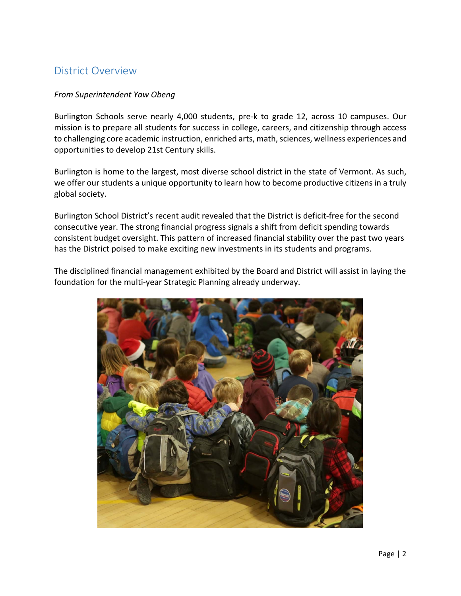# District Overview

## *From Superintendent Yaw Obeng*

Burlington Schools serve nearly 4,000 students, pre-k to grade 12, across 10 campuses. Our mission is to prepare all students for success in college, careers, and citizenship through access to challenging core academic instruction, enriched arts, math, sciences, wellness experiences and opportunities to develop 21st Century skills.

Burlington is home to the largest, most diverse school district in the state of Vermont. As such, we offer our students a unique opportunity to learn how to become productive citizens in a truly global society.

Burlington School District's recent audit revealed that the District is deficit‐free for the second consecutive year. The strong financial progress signals a shift from deficit spending towards consistent budget oversight. This pattern of increased financial stability over the past two years has the District poised to make exciting new investments in its students and programs.

The disciplined financial management exhibited by the Board and District will assist in laying the foundation for the multi‐year Strategic Planning already underway.

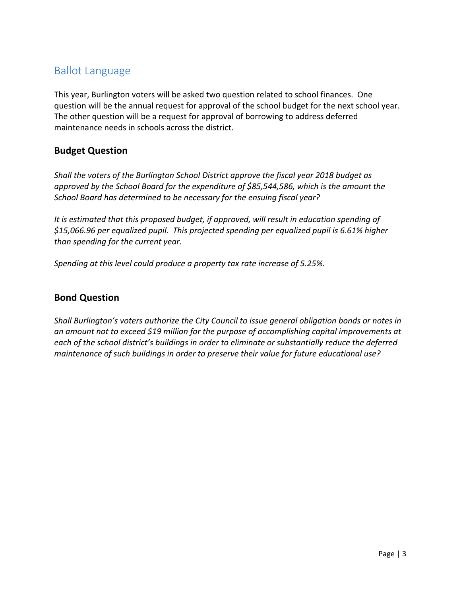# Ballot Language

This year, Burlington voters will be asked two question related to school finances. One question will be the annual request for approval of the school budget for the next school year. The other question will be a request for approval of borrowing to address deferred maintenance needs in schools across the district.

# **Budget Question**

*Shall the voters of the Burlington School District approve the fiscal year 2018 budget as approved by the School Board for the expenditure of \$85,544,586, which is the amount the School Board has determined to be necessary for the ensuing fiscal year?* 

*It is estimated that this proposed budget, if approved, will result in education spending of \$15,066.96 per equalized pupil. This projected spending per equalized pupil is 6.61% higher than spending for the current year.*

*Spending at this level could produce a property tax rate increase of 5.25%.*

# **Bond Question**

*Shall Burlington's voters authorize the City Council to issue general obligation bonds or notes in an amount not to exceed \$19 million for the purpose of accomplishing capital improvements at each of the school district's buildings in order to eliminate or substantially reduce the deferred maintenance of such buildings in order to preserve their value for future educational use?*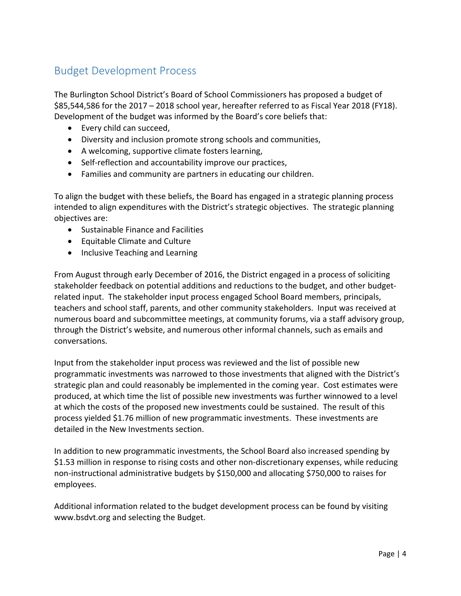# Budget Development Process

The Burlington School District's Board of School Commissioners has proposed a budget of \$85,544,586 for the 2017 – 2018 school year, hereafter referred to as Fiscal Year 2018 (FY18). Development of the budget was informed by the Board's core beliefs that:

- Every child can succeed,
- Diversity and inclusion promote strong schools and communities,
- A welcoming, supportive climate fosters learning,
- Self-reflection and accountability improve our practices,
- Families and community are partners in educating our children.

To align the budget with these beliefs, the Board has engaged in a strategic planning process intended to align expenditures with the District's strategic objectives. The strategic planning objectives are:

- Sustainable Finance and Facilities
- Equitable Climate and Culture
- Inclusive Teaching and Learning

From August through early December of 2016, the District engaged in a process of soliciting stakeholder feedback on potential additions and reductions to the budget, and other budget‐ related input. The stakeholder input process engaged School Board members, principals, teachers and school staff, parents, and other community stakeholders. Input was received at numerous board and subcommittee meetings, at community forums, via a staff advisory group, through the District's website, and numerous other informal channels, such as emails and conversations.

Input from the stakeholder input process was reviewed and the list of possible new programmatic investments was narrowed to those investments that aligned with the District's strategic plan and could reasonably be implemented in the coming year. Cost estimates were produced, at which time the list of possible new investments was further winnowed to a level at which the costs of the proposed new investments could be sustained. The result of this process yielded \$1.76 million of new programmatic investments. These investments are detailed in the New Investments section.

In addition to new programmatic investments, the School Board also increased spending by \$1.53 million in response to rising costs and other non‐discretionary expenses, while reducing non‐instructional administrative budgets by \$150,000 and allocating \$750,000 to raises for employees.

Additional information related to the budget development process can be found by visiting www.bsdvt.org and selecting the Budget.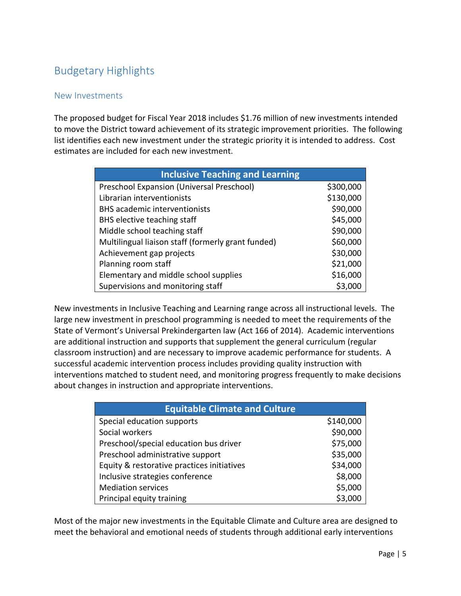# Budgetary Highlights

# New Investments

The proposed budget for Fiscal Year 2018 includes \$1.76 million of new investments intended to move the District toward achievement of its strategic improvement priorities. The following list identifies each new investment under the strategic priority it is intended to address. Cost estimates are included for each new investment.

| <b>Inclusive Teaching and Learning</b>             |           |  |  |
|----------------------------------------------------|-----------|--|--|
| Preschool Expansion (Universal Preschool)          | \$300,000 |  |  |
| Librarian interventionists                         | \$130,000 |  |  |
| <b>BHS</b> academic interventionists               | \$90,000  |  |  |
| BHS elective teaching staff                        | \$45,000  |  |  |
| Middle school teaching staff                       | \$90,000  |  |  |
| Multilingual liaison staff (formerly grant funded) | \$60,000  |  |  |
| Achievement gap projects                           | \$30,000  |  |  |
| Planning room staff                                | \$21,000  |  |  |
| Elementary and middle school supplies              | \$16,000  |  |  |
| Supervisions and monitoring staff                  | \$3,000   |  |  |

New investments in Inclusive Teaching and Learning range across all instructional levels. The large new investment in preschool programming is needed to meet the requirements of the State of Vermont's Universal Prekindergarten law (Act 166 of 2014). Academic interventions are additional instruction and supports that supplement the general curriculum (regular classroom instruction) and are necessary to improve academic performance for students. A successful academic intervention process includes providing quality instruction with interventions matched to student need, and monitoring progress frequently to make decisions about changes in instruction and appropriate interventions.

| <b>Equitable Climate and Culture</b>       |           |  |
|--------------------------------------------|-----------|--|
| Special education supports                 | \$140,000 |  |
| Social workers                             | \$90,000  |  |
| Preschool/special education bus driver     | \$75,000  |  |
| Preschool administrative support           | \$35,000  |  |
| Equity & restorative practices initiatives | \$34,000  |  |
| Inclusive strategies conference            | \$8,000   |  |
| <b>Mediation services</b>                  | \$5,000   |  |
| Principal equity training                  | \$3,000   |  |

Most of the major new investments in the Equitable Climate and Culture area are designed to meet the behavioral and emotional needs of students through additional early interventions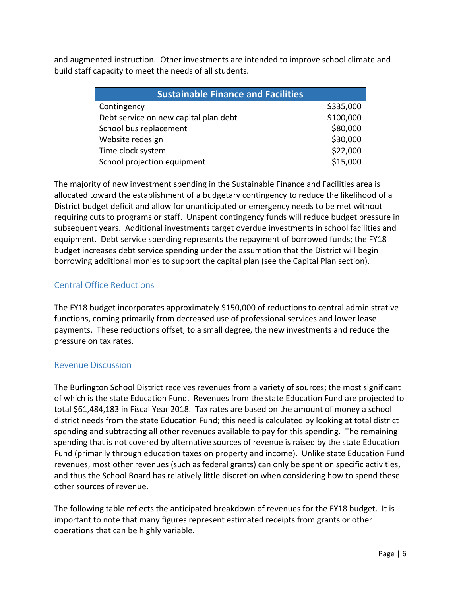and augmented instruction. Other investments are intended to improve school climate and build staff capacity to meet the needs of all students.

| <b>Sustainable Finance and Facilities</b> |           |  |  |
|-------------------------------------------|-----------|--|--|
| Contingency                               | \$335,000 |  |  |
| Debt service on new capital plan debt     | \$100,000 |  |  |
| School bus replacement                    | \$80,000  |  |  |
| Website redesign                          | \$30,000  |  |  |
| Time clock system                         | \$22,000  |  |  |
| School projection equipment               | \$15,000  |  |  |

The majority of new investment spending in the Sustainable Finance and Facilities area is allocated toward the establishment of a budgetary contingency to reduce the likelihood of a District budget deficit and allow for unanticipated or emergency needs to be met without requiring cuts to programs or staff. Unspent contingency funds will reduce budget pressure in subsequent years. Additional investments target overdue investments in school facilities and equipment. Debt service spending represents the repayment of borrowed funds; the FY18 budget increases debt service spending under the assumption that the District will begin borrowing additional monies to support the capital plan (see the Capital Plan section).

# Central Office Reductions

The FY18 budget incorporates approximately \$150,000 of reductions to central administrative functions, coming primarily from decreased use of professional services and lower lease payments. These reductions offset, to a small degree, the new investments and reduce the pressure on tax rates.

# Revenue Discussion

The Burlington School District receives revenues from a variety of sources; the most significant of which is the state Education Fund. Revenues from the state Education Fund are projected to total \$61,484,183 in Fiscal Year 2018. Tax rates are based on the amount of money a school district needs from the state Education Fund; this need is calculated by looking at total district spending and subtracting all other revenues available to pay for this spending. The remaining spending that is not covered by alternative sources of revenue is raised by the state Education Fund (primarily through education taxes on property and income). Unlike state Education Fund revenues, most other revenues (such as federal grants) can only be spent on specific activities, and thus the School Board has relatively little discretion when considering how to spend these other sources of revenue.

The following table reflects the anticipated breakdown of revenues for the FY18 budget. It is important to note that many figures represent estimated receipts from grants or other operations that can be highly variable.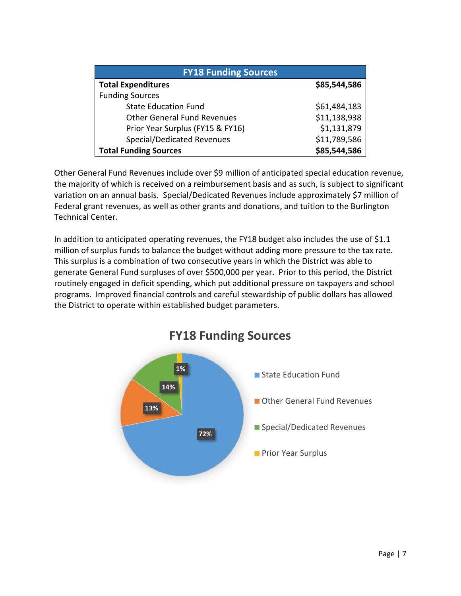| <b>FY18 Funding Sources</b>        |              |  |  |
|------------------------------------|--------------|--|--|
| <b>Total Expenditures</b>          | \$85,544,586 |  |  |
| <b>Funding Sources</b>             |              |  |  |
| <b>State Education Fund</b>        | \$61,484,183 |  |  |
| <b>Other General Fund Revenues</b> | \$11,138,938 |  |  |
| Prior Year Surplus (FY15 & FY16)   | \$1,131,879  |  |  |
| <b>Special/Dedicated Revenues</b>  | \$11,789,586 |  |  |
| <b>Total Funding Sources</b>       | \$85,544,586 |  |  |

Other General Fund Revenues include over \$9 million of anticipated special education revenue, the majority of which is received on a reimbursement basis and as such, is subject to significant variation on an annual basis. Special/Dedicated Revenues include approximately \$7 million of Federal grant revenues, as well as other grants and donations, and tuition to the Burlington Technical Center.

In addition to anticipated operating revenues, the FY18 budget also includes the use of \$1.1 million of surplus funds to balance the budget without adding more pressure to the tax rate. This surplus is a combination of two consecutive years in which the District was able to generate General Fund surpluses of over \$500,000 per year. Prior to this period, the District routinely engaged in deficit spending, which put additional pressure on taxpayers and school programs. Improved financial controls and careful stewardship of public dollars has allowed the District to operate within established budget parameters.



# **FY18 Funding Sources**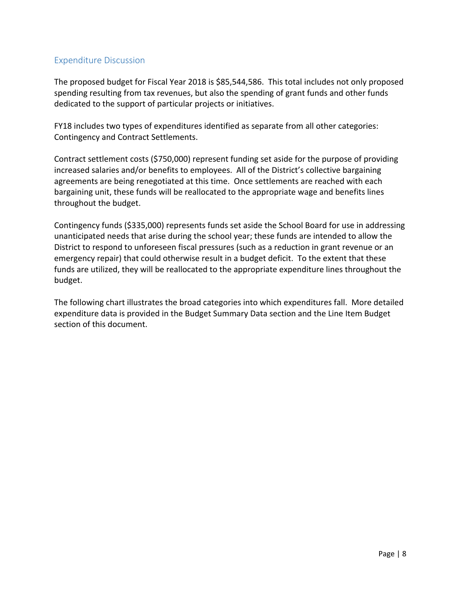# Expenditure Discussion

The proposed budget for Fiscal Year 2018 is \$85,544,586. This total includes not only proposed spending resulting from tax revenues, but also the spending of grant funds and other funds dedicated to the support of particular projects or initiatives.

FY18 includes two types of expenditures identified as separate from all other categories: Contingency and Contract Settlements.

Contract settlement costs (\$750,000) represent funding set aside for the purpose of providing increased salaries and/or benefits to employees. All of the District's collective bargaining agreements are being renegotiated at this time. Once settlements are reached with each bargaining unit, these funds will be reallocated to the appropriate wage and benefits lines throughout the budget.

Contingency funds (\$335,000) represents funds set aside the School Board for use in addressing unanticipated needs that arise during the school year; these funds are intended to allow the District to respond to unforeseen fiscal pressures (such as a reduction in grant revenue or an emergency repair) that could otherwise result in a budget deficit. To the extent that these funds are utilized, they will be reallocated to the appropriate expenditure lines throughout the budget.

The following chart illustrates the broad categories into which expenditures fall. More detailed expenditure data is provided in the Budget Summary Data section and the Line Item Budget section of this document.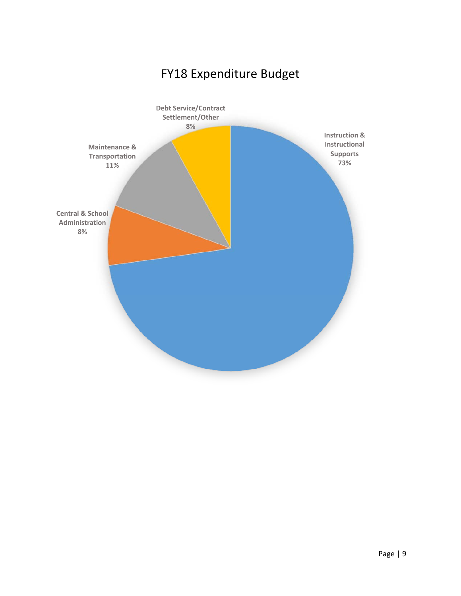# FY18 Expenditure Budget

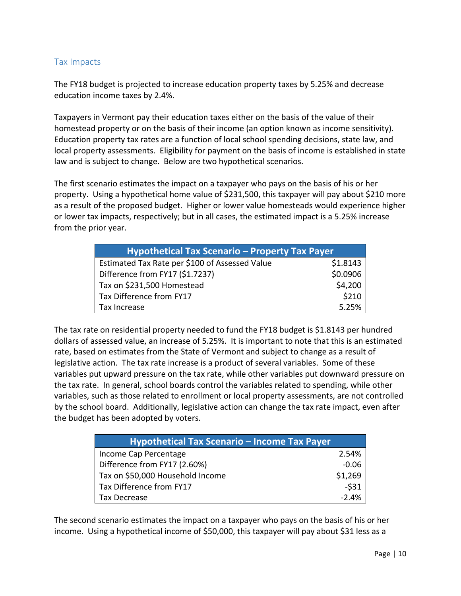## Tax Impacts

The FY18 budget is projected to increase education property taxes by 5.25% and decrease education income taxes by 2.4%.

Taxpayers in Vermont pay their education taxes either on the basis of the value of their homestead property or on the basis of their income (an option known as income sensitivity). Education property tax rates are a function of local school spending decisions, state law, and local property assessments. Eligibility for payment on the basis of income is established in state law and is subject to change. Below are two hypothetical scenarios.

The first scenario estimates the impact on a taxpayer who pays on the basis of his or her property. Using a hypothetical home value of \$231,500, this taxpayer will pay about \$210 more as a result of the proposed budget. Higher or lower value homesteads would experience higher or lower tax impacts, respectively; but in all cases, the estimated impact is a 5.25% increase from the prior year.

| <b>Hypothetical Tax Scenario - Property Tax Payer</b> |          |  |
|-------------------------------------------------------|----------|--|
| Estimated Tax Rate per \$100 of Assessed Value        | \$1.8143 |  |
| Difference from FY17 (\$1.7237)                       | \$0.0906 |  |
| Tax on \$231,500 Homestead                            | \$4,200  |  |
| Tax Difference from FY17                              | \$210    |  |
| Tax Increase                                          | 5.25%    |  |

The tax rate on residential property needed to fund the FY18 budget is \$1.8143 per hundred dollars of assessed value, an increase of 5.25%. It is important to note that this is an estimated rate, based on estimates from the State of Vermont and subject to change as a result of legislative action. The tax rate increase is a product of several variables. Some of these variables put upward pressure on the tax rate, while other variables put downward pressure on the tax rate. In general, school boards control the variables related to spending, while other variables, such as those related to enrollment or local property assessments, are not controlled by the school board. Additionally, legislative action can change the tax rate impact, even after the budget has been adopted by voters.

| <b>Hypothetical Tax Scenario - Income Tax Payer</b> |         |
|-----------------------------------------------------|---------|
| Income Cap Percentage                               | 2.54%   |
| Difference from FY17 (2.60%)                        | $-0.06$ |
| Tax on \$50,000 Household Income                    | \$1,269 |
| Tax Difference from FY17                            | $-531$  |
| Tax Decrease                                        | $-2.4%$ |

The second scenario estimates the impact on a taxpayer who pays on the basis of his or her income. Using a hypothetical income of \$50,000, this taxpayer will pay about \$31 less as a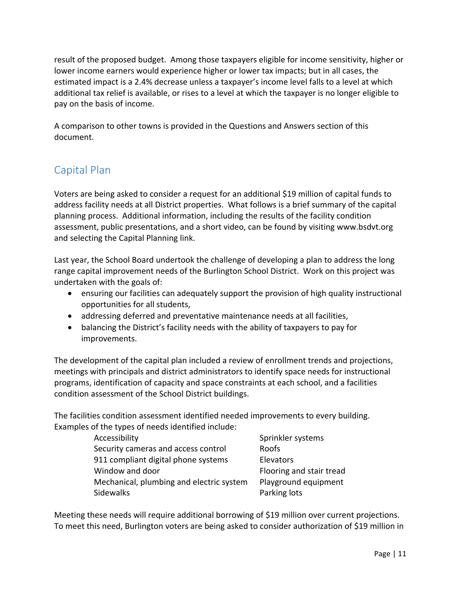result of the proposed budget. Among those taxpayers eligible for income sensitivity, higher or lower income earners would experience higher or lower tax impacts; but in all cases, the estimated impact is a 2.4% decrease unless a taxpayer's income level falls to a level at which additional tax relief is available, or rises to a level at which the taxpayer is no longer eligible to pay on the basis of income.

A comparison to other towns is provided in the Questions and Answers section of this document.

# Capital Plan

Voters are being asked to consider a request for an additional \$19 million of capital funds to address facility needs at all District properties. What follows is a brief summary of the capital planning process. Additional information, including the results of the facility condition assessment, public presentations, and a short video, can be found by visiting www.bsdvt.org and selecting the Capital Planning link.

Last year, the School Board undertook the challenge of developing a plan to address the long range capital improvement needs of the Burlington School District. Work on this project was undertaken with the goals of:

- ensuring our facilities can adequately support the provision of high quality instructional opportunities for all students,
- addressing deferred and preventative maintenance needs at all facilities,
- balancing the District's facility needs with the ability of taxpayers to pay for improvements.

The development of the capital plan included a review of enrollment trends and projections, meetings with principals and district administrators to identify space needs for instructional programs, identification of capacity and space constraints at each school, and a facilities condition assessment of the School District buildings.

The facilities condition assessment identified needed improvements to every building. Examples of the types of needs identified include:

| Accessibility                            | Sprinkler systems        |
|------------------------------------------|--------------------------|
| Security cameras and access control      | Roofs                    |
| 911 compliant digital phone systems      | Elevators                |
| Window and door                          | Flooring and stair tread |
| Mechanical, plumbing and electric system | Playground equipment     |
| Sidewalks                                | Parking lots             |

Meeting these needs will require additional borrowing of \$19 million over current projections. To meet this need, Burlington voters are being asked to consider authorization of \$19 million in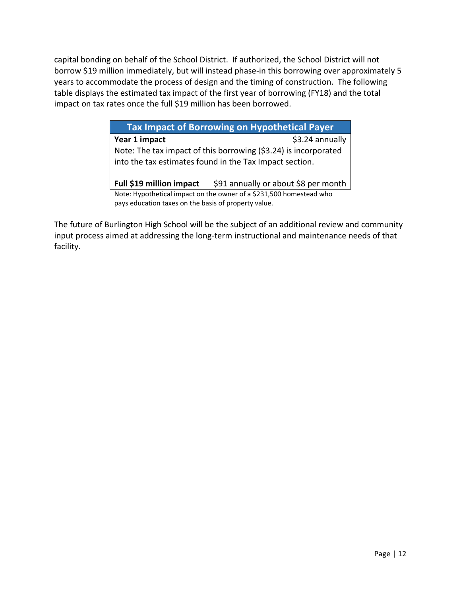capital bonding on behalf of the School District. If authorized, the School District will not borrow \$19 million immediately, but will instead phase-in this borrowing over approximately 5 years to accommodate the process of design and the timing of construction. The following table displays the estimated tax impact of the first year of borrowing (FY18) and the total impact on tax rates once the full \$19 million has been borrowed.

> **Tax Impact of Borrowing on Hypothetical Payer Year 1 impact**  $\left\{53.24 \text{ annually}\right\}$ Note: The tax impact of this borrowing (\$3.24) is incorporated into the tax estimates found in the Tax Impact section. **Full \$19 million impact** \$91 annually or about \$8 per month

Note: Hypothetical impact on the owner of a \$231,500 homestead who pays education taxes on the basis of property value.

The future of Burlington High School will be the subject of an additional review and community input process aimed at addressing the long-term instructional and maintenance needs of that facility.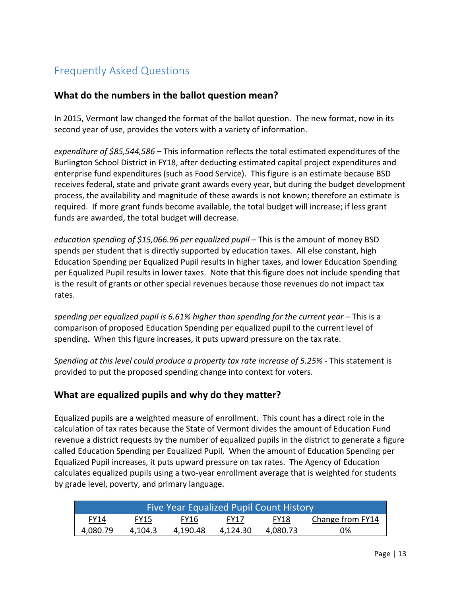# Frequently Asked Questions

# **What do the numbers in the ballot question mean?**

In 2015, Vermont law changed the format of the ballot question. The new format, now in its second year of use, provides the voters with a variety of information.

*expenditure of \$85,544,586* – This information reflects the total estimated expenditures of the Burlington School District in FY18, after deducting estimated capital project expenditures and enterprise fund expenditures (such as Food Service). This figure is an estimate because BSD receives federal, state and private grant awards every year, but during the budget development process, the availability and magnitude of these awards is not known; therefore an estimate is required. If more grant funds become available, the total budget will increase; if less grant funds are awarded, the total budget will decrease.

*education spending of \$15,066.96 per equalized pupil* – This is the amount of money BSD spends per student that is directly supported by education taxes. All else constant, high Education Spending per Equalized Pupil results in higher taxes, and lower Education Spending per Equalized Pupil results in lower taxes. Note that this figure does not include spending that is the result of grants or other special revenues because those revenues do not impact tax rates.

*spending per equalized pupil is 6.61% higher than spending for the current year* – This is a comparison of proposed Education Spending per equalized pupil to the current level of spending. When this figure increases, it puts upward pressure on the tax rate.

*Spending at this level could produce a property tax rate increase of 5.25%* ‐ This statement is provided to put the proposed spending change into context for voters.

# **What are equalized pupils and why do they matter?**

Equalized pupils are a weighted measure of enrollment. This count has a direct role in the calculation of tax rates because the State of Vermont divides the amount of Education Fund revenue a district requests by the number of equalized pupils in the district to generate a figure called Education Spending per Equalized Pupil. When the amount of Education Spending per Equalized Pupil increases, it puts upward pressure on tax rates. The Agency of Education calculates equalized pupils using a two‐year enrollment average that is weighted for students by grade level, poverty, and primary language.

| <b>Five Year Equalized Pupil Count History</b> |         |             |             |          |                  |
|------------------------------------------------|---------|-------------|-------------|----------|------------------|
| <b>FY14</b>                                    | FY15    | <b>FY16</b> | <b>FY17</b> | FY18     | Change from FY14 |
| 4,080.79                                       | 4.104.3 | 4.190.48    | 4.124.30    | 4.080.73 | 0%               |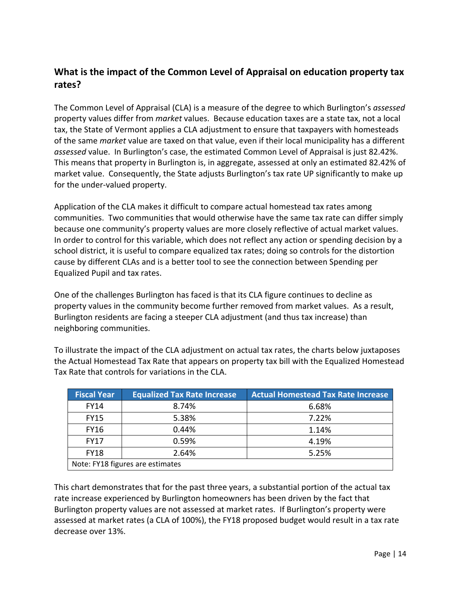# **What is the impact of the Common Level of Appraisal on education property tax rates?**

The Common Level of Appraisal (CLA) is a measure of the degree to which Burlington's *assessed* property values differ from *market* values. Because education taxes are a state tax, not a local tax, the State of Vermont applies a CLA adjustment to ensure that taxpayers with homesteads of the same *market* value are taxed on that value, even if their local municipality has a different *assessed* value. In Burlington's case, the estimated Common Level of Appraisal is just 82.42%. This means that property in Burlington is, in aggregate, assessed at only an estimated 82.42% of market value. Consequently, the State adjusts Burlington's tax rate UP significantly to make up for the under‐valued property.

Application of the CLA makes it difficult to compare actual homestead tax rates among communities. Two communities that would otherwise have the same tax rate can differ simply because one community's property values are more closely reflective of actual market values. In order to control for this variable, which does not reflect any action or spending decision by a school district, it is useful to compare equalized tax rates; doing so controls for the distortion cause by different CLAs and is a better tool to see the connection between Spending per Equalized Pupil and tax rates.

One of the challenges Burlington has faced is that its CLA figure continues to decline as property values in the community become further removed from market values. As a result, Burlington residents are facing a steeper CLA adjustment (and thus tax increase) than neighboring communities.

To illustrate the impact of the CLA adjustment on actual tax rates, the charts below juxtaposes the Actual Homestead Tax Rate that appears on property tax bill with the Equalized Homestead Tax Rate that controls for variations in the CLA.

| <b>Fiscal Year</b>               | <b>Equalized Tax Rate Increase</b> | <b>Actual Homestead Tax Rate Increase</b> |  |
|----------------------------------|------------------------------------|-------------------------------------------|--|
| <b>FY14</b>                      | 8.74%                              | 6.68%                                     |  |
| <b>FY15</b>                      | 5.38%                              | 7.22%                                     |  |
| <b>FY16</b>                      | 0.44%                              | 1.14%                                     |  |
| <b>FY17</b>                      | 0.59%                              | 4.19%                                     |  |
| <b>FY18</b>                      | 2.64%                              | 5.25%                                     |  |
| Note: FY18 figures are estimates |                                    |                                           |  |

This chart demonstrates that for the past three years, a substantial portion of the actual tax rate increase experienced by Burlington homeowners has been driven by the fact that Burlington property values are not assessed at market rates. If Burlington's property were assessed at market rates (a CLA of 100%), the FY18 proposed budget would result in a tax rate decrease over 13%.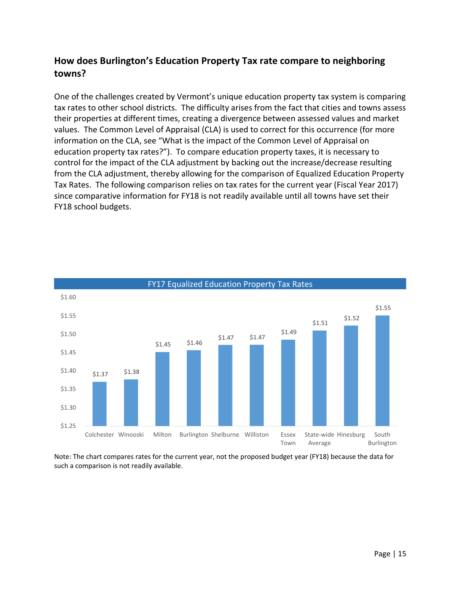# **How does Burlington's Education Property Tax rate compare to neighboring towns?**

One of the challenges created by Vermont's unique education property tax system is comparing tax rates to other school districts. The difficulty arises from the fact that cities and towns assess their properties at different times, creating a divergence between assessed values and market values. The Common Level of Appraisal (CLA) is used to correct for this occurrence (for more information on the CLA, see "What is the impact of the Common Level of Appraisal on education property tax rates?"). To compare education property taxes, it is necessary to control for the impact of the CLA adjustment by backing out the increase/decrease resulting from the CLA adjustment, thereby allowing for the comparison of Equalized Education Property Tax Rates. The following comparison relies on tax rates for the current year (Fiscal Year 2017) since comparative information for FY18 is not readily available until all towns have set their FY18 school budgets.



Note: The chart compares rates for the current year, not the proposed budget year (FY18) because the data for such a comparison is not readily available.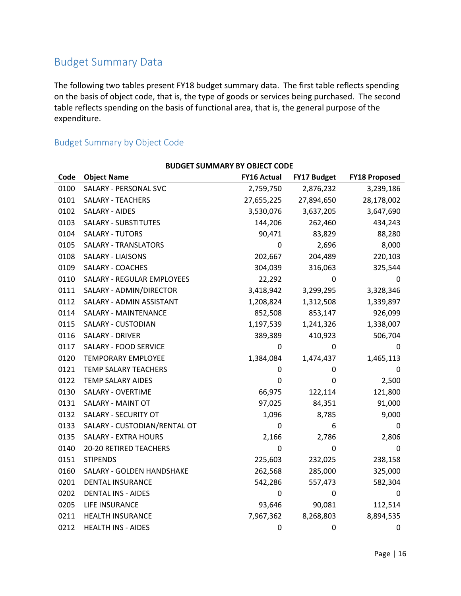# Budget Summary Data

The following two tables present FY18 budget summary data. The first table reflects spending on the basis of object code, that is, the type of goods or services being purchased. The second table reflects spending on the basis of functional area, that is, the general purpose of the expenditure.

# Budget Summary by Object Code

|      | <b>BUDGET SUMMARY BY OBJECT CODE</b> |                    |                    |                      |
|------|--------------------------------------|--------------------|--------------------|----------------------|
| Code | <b>Object Name</b>                   | <b>FY16 Actual</b> | <b>FY17 Budget</b> | <b>FY18 Proposed</b> |
| 0100 | <b>SALARY - PERSONAL SVC</b>         | 2,759,750          | 2,876,232          | 3,239,186            |
| 0101 | SALARY - TEACHERS                    | 27,655,225         | 27,894,650         | 28,178,002           |
| 0102 | <b>SALARY - AIDES</b>                | 3,530,076          | 3,637,205          | 3,647,690            |
| 0103 | <b>SALARY - SUBSTITUTES</b>          | 144,206            | 262,460            | 434,243              |
| 0104 | <b>SALARY - TUTORS</b>               | 90,471             | 83,829             | 88,280               |
| 0105 | SALARY - TRANSLATORS                 | 0                  | 2,696              | 8,000                |
| 0108 | <b>SALARY - LIAISONS</b>             | 202,667            | 204,489            | 220,103              |
| 0109 | SALARY - COACHES                     | 304,039            | 316,063            | 325,544              |
| 0110 | <b>SALARY - REGULAR EMPLOYEES</b>    | 22,292             | 0                  | 0                    |
| 0111 | SALARY - ADMIN/DIRECTOR              | 3,418,942          | 3,299,295          | 3,328,346            |
| 0112 | SALARY - ADMIN ASSISTANT             | 1,208,824          | 1,312,508          | 1,339,897            |
| 0114 | <b>SALARY - MAINTENANCE</b>          | 852,508            | 853,147            | 926,099              |
| 0115 | SALARY - CUSTODIAN                   | 1,197,539          | 1,241,326          | 1,338,007            |
| 0116 | <b>SALARY - DRIVER</b>               | 389,389            | 410,923            | 506,704              |
| 0117 | SALARY - FOOD SERVICE                | 0                  | 0                  | 0                    |
| 0120 | <b>TEMPORARY EMPLOYEE</b>            | 1,384,084          | 1,474,437          | 1,465,113            |
| 0121 | TEMP SALARY TEACHERS                 | 0                  | 0                  | 0                    |
| 0122 | <b>TEMP SALARY AIDES</b>             | 0                  | 0                  | 2,500                |
| 0130 | SALARY - OVERTIME                    | 66,975             | 122,114            | 121,800              |
| 0131 | SALARY - MAINT OT                    | 97,025             | 84,351             | 91,000               |
| 0132 | SALARY - SECURITY OT                 | 1,096              | 8,785              | 9,000                |
| 0133 | SALARY - CUSTODIAN/RENTAL OT         | 0                  | 6                  | 0                    |
| 0135 | <b>SALARY - EXTRA HOURS</b>          | 2,166              | 2,786              | 2,806                |
| 0140 | 20-20 RETIRED TEACHERS               | $\mathbf 0$        | 0                  | 0                    |
| 0151 | <b>STIPENDS</b>                      | 225,603            | 232,025            | 238,158              |
| 0160 | SALARY - GOLDEN HANDSHAKE            | 262,568            | 285,000            | 325,000              |
| 0201 | DENTAL INSURANCE                     | 542,286            | 557,473            | 582,304              |
| 0202 | <b>DENTAL INS - AIDES</b>            | 0                  | 0                  | 0                    |
| 0205 | LIFE INSURANCE                       | 93,646             | 90,081             | 112,514              |
| 0211 | HEALTH INSURANCE                     | 7,967,362          | 8,268,803          | 8,894,535            |
| 0212 | <b>HEALTH INS - AIDES</b>            | 0                  | 0                  | 0                    |

Page | 16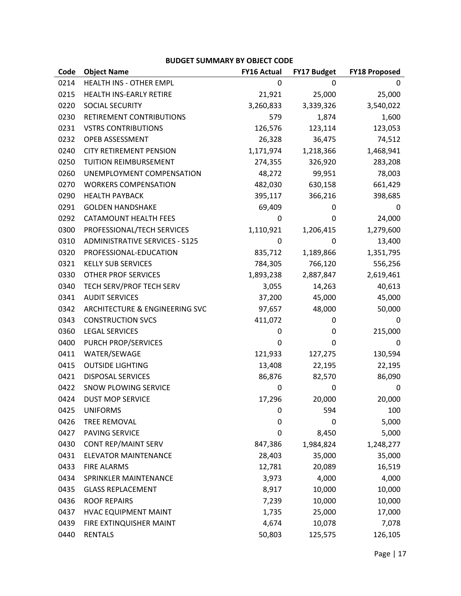### **BUDGET SUMMARY BY OBJECT CODE**

| Code | <b>Object Name</b>                    | <b>FY16 Actual</b> | <b>FY17 Budget</b> | <b>FY18 Proposed</b> |
|------|---------------------------------------|--------------------|--------------------|----------------------|
| 0214 | HEALTH INS - OTHER EMPL               | 0                  | $\Omega$           | 0                    |
| 0215 | HEALTH INS-EARLY RETIRE               | 21,921             | 25,000             | 25,000               |
| 0220 | SOCIAL SECURITY                       | 3,260,833          | 3,339,326          | 3,540,022            |
| 0230 | RETIREMENT CONTRIBUTIONS              | 579                | 1,874              | 1,600                |
| 0231 | <b>VSTRS CONTRIBUTIONS</b>            | 126,576            | 123,114            | 123,053              |
| 0232 | OPEB ASSESSMENT                       | 26,328             | 36,475             | 74,512               |
| 0240 | <b>CITY RETIREMENT PENSION</b>        | 1,171,974          | 1,218,366          | 1,468,941            |
| 0250 | <b>TUITION REIMBURSEMENT</b>          | 274,355            | 326,920            | 283,208              |
| 0260 | UNEMPLOYMENT COMPENSATION             | 48,272             | 99,951             | 78,003               |
| 0270 | <b>WORKERS COMPENSATION</b>           | 482,030            | 630,158            | 661,429              |
| 0290 | <b>HEALTH PAYBACK</b>                 | 395,117            | 366,216            | 398,685              |
| 0291 | <b>GOLDEN HANDSHAKE</b>               | 69,409             | 0                  | 0                    |
| 0292 | <b>CATAMOUNT HEALTH FEES</b>          | 0                  | 0                  | 24,000               |
| 0300 | PROFESSIONAL/TECH SERVICES            | 1,110,921          | 1,206,415          | 1,279,600            |
| 0310 | <b>ADMINISTRATIVE SERVICES - S125</b> | 0                  | 0                  | 13,400               |
| 0320 | PROFESSIONAL-EDUCATION                | 835,712            | 1,189,866          | 1,351,795            |
| 0321 | <b>KELLY SUB SERVICES</b>             | 784,305            | 766,120            | 556,256              |
| 0330 | <b>OTHER PROF SERVICES</b>            | 1,893,238          | 2,887,847          | 2,619,461            |
| 0340 | TECH SERV/PROF TECH SERV              | 3,055              | 14,263             | 40,613               |
| 0341 | <b>AUDIT SERVICES</b>                 | 37,200             | 45,000             | 45,000               |
| 0342 | ARCHITECTURE & ENGINEERING SVC        | 97,657             | 48,000             | 50,000               |
| 0343 | <b>CONSTRUCTION SVCS</b>              | 411,072            | 0                  | 0                    |
| 0360 | <b>LEGAL SERVICES</b>                 | 0                  | 0                  | 215,000              |
| 0400 | PURCH PROP/SERVICES                   | 0                  | 0                  | 0                    |
| 0411 | WATER/SEWAGE                          | 121,933            | 127,275            | 130,594              |
| 0415 | <b>OUTSIDE LIGHTING</b>               | 13,408             | 22,195             | 22,195               |
| 0421 | <b>DISPOSAL SERVICES</b>              | 86,876             | 82,570             | 86,090               |
| 0422 | SNOW PLOWING SERVICE                  | 0                  | 0                  | 0                    |
| 0424 | <b>DUST MOP SERVICE</b>               | 17,296             | 20,000             | 20,000               |
| 0425 | <b>UNIFORMS</b>                       | 0                  | 594                | 100                  |
| 0426 | <b>TREE REMOVAL</b>                   | $\mathbf 0$        | 0                  | 5,000                |
| 0427 | <b>PAVING SERVICE</b>                 | $\mathbf 0$        | 8,450              | 5,000                |
| 0430 | <b>CONT REP/MAINT SERV</b>            | 847,386            | 1,984,824          | 1,248,277            |
| 0431 | <b>ELEVATOR MAINTENANCE</b>           | 28,403             | 35,000             | 35,000               |
| 0433 | <b>FIRE ALARMS</b>                    | 12,781             | 20,089             | 16,519               |
| 0434 | SPRINKLER MAINTENANCE                 | 3,973              | 4,000              | 4,000                |
| 0435 | <b>GLASS REPLACEMENT</b>              | 8,917              | 10,000             | 10,000               |
| 0436 | <b>ROOF REPAIRS</b>                   | 7,239              | 10,000             | 10,000               |
| 0437 | <b>HVAC EQUIPMENT MAINT</b>           | 1,735              | 25,000             | 17,000               |
| 0439 | FIRE EXTINQUISHER MAINT               | 4,674              | 10,078             | 7,078                |
| 0440 | <b>RENTALS</b>                        | 50,803             | 125,575            | 126,105              |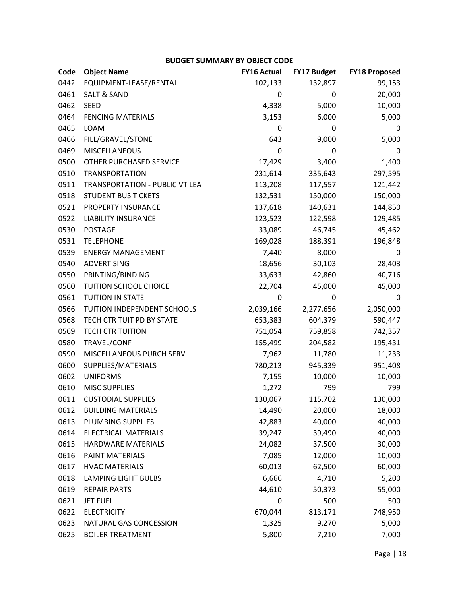### **BUDGET SUMMARY BY OBJECT CODE**

| Code | <b>Object Name</b>             | <b>FY16 Actual</b> | FY17 Budget | <b>FY18 Proposed</b> |
|------|--------------------------------|--------------------|-------------|----------------------|
| 0442 | EQUIPMENT-LEASE/RENTAL         | 102,133            | 132,897     | 99,153               |
| 0461 | <b>SALT &amp; SAND</b>         | 0                  | 0           | 20,000               |
| 0462 | <b>SEED</b>                    | 4,338              | 5,000       | 10,000               |
| 0464 | <b>FENCING MATERIALS</b>       | 3,153              | 6,000       | 5,000                |
| 0465 | <b>LOAM</b>                    | 0                  | 0           | 0                    |
| 0466 | FILL/GRAVEL/STONE              | 643                | 9,000       | 5,000                |
| 0469 | <b>MISCELLANEOUS</b>           | 0                  | 0           | 0                    |
| 0500 | OTHER PURCHASED SERVICE        | 17,429             | 3,400       | 1,400                |
| 0510 | <b>TRANSPORTATION</b>          | 231,614            | 335,643     | 297,595              |
| 0511 | TRANSPORTATION - PUBLIC VT LEA | 113,208            | 117,557     | 121,442              |
| 0518 | <b>STUDENT BUS TICKETS</b>     | 132,531            | 150,000     | 150,000              |
| 0521 | PROPERTY INSURANCE             | 137,618            | 140,631     | 144,850              |
| 0522 | <b>LIABILITY INSURANCE</b>     | 123,523            | 122,598     | 129,485              |
| 0530 | <b>POSTAGE</b>                 | 33,089             | 46,745      | 45,462               |
| 0531 | <b>TELEPHONE</b>               | 169,028            | 188,391     | 196,848              |
| 0539 | <b>ENERGY MANAGEMENT</b>       | 7,440              | 8,000       | 0                    |
| 0540 | ADVERTISING                    | 18,656             | 30,103      | 28,403               |
| 0550 | PRINTING/BINDING               | 33,633             | 42,860      | 40,716               |
| 0560 | TUITION SCHOOL CHOICE          | 22,704             | 45,000      | 45,000               |
| 0561 | <b>TUITION IN STATE</b>        | 0                  | 0           | 0                    |
| 0566 | TUITION INDEPENDENT SCHOOLS    | 2,039,166          | 2,277,656   | 2,050,000            |
| 0568 | TECH CTR TUIT PD BY STATE      | 653,383            | 604,379     | 590,447              |
| 0569 | <b>TECH CTR TUITION</b>        | 751,054            | 759,858     | 742,357              |
| 0580 | TRAVEL/CONF                    | 155,499            | 204,582     | 195,431              |
| 0590 | MISCELLANEOUS PURCH SERV       | 7,962              | 11,780      | 11,233               |
| 0600 | SUPPLIES/MATERIALS             | 780,213            | 945,339     | 951,408              |
| 0602 | <b>UNIFORMS</b>                | 7,155              | 10,000      | 10,000               |
| 0610 | <b>MISC SUPPLIES</b>           | 1,272              | 799         | 799                  |
| 0611 | <b>CUSTODIAL SUPPLIES</b>      | 130,067            | 115,702     | 130,000              |
| 0612 | <b>BUILDING MATERIALS</b>      | 14,490             | 20,000      | 18,000               |
| 0613 | PLUMBING SUPPLIES              | 42,883             | 40,000      | 40,000               |
| 0614 | <b>ELECTRICAL MATERIALS</b>    | 39,247             | 39,490      | 40,000               |
| 0615 | HARDWARE MATERIALS             | 24,082             | 37,500      | 30,000               |
| 0616 | PAINT MATERIALS                | 7,085              | 12,000      | 10,000               |
| 0617 | <b>HVAC MATERIALS</b>          | 60,013             | 62,500      | 60,000               |
| 0618 | <b>LAMPING LIGHT BULBS</b>     | 6,666              | 4,710       | 5,200                |
| 0619 | <b>REPAIR PARTS</b>            | 44,610             | 50,373      | 55,000               |
| 0621 | <b>JET FUEL</b>                | $\mathbf 0$        | 500         | 500                  |
| 0622 | <b>ELECTRICITY</b>             | 670,044            | 813,171     | 748,950              |
| 0623 | NATURAL GAS CONCESSION         | 1,325              | 9,270       | 5,000                |
| 0625 | <b>BOILER TREATMENT</b>        | 5,800              | 7,210       | 7,000                |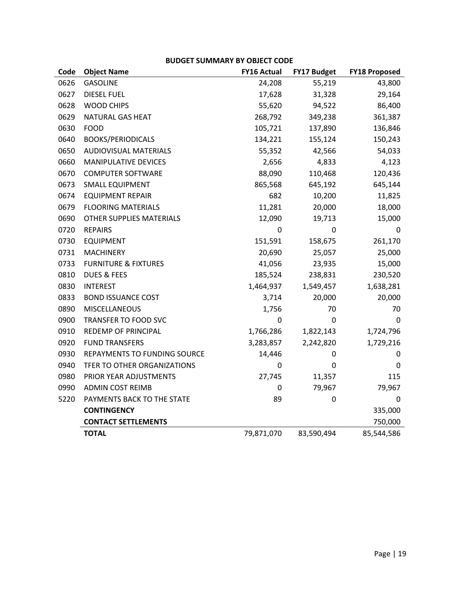### **BUDGET SUMMARY BY OBJECT CODE**

| Code | <b>Object Name</b>              | <b>FY16 Actual</b> | FY17 Budget | <b>FY18 Proposed</b> |
|------|---------------------------------|--------------------|-------------|----------------------|
| 0626 | <b>GASOLINE</b>                 | 24,208             | 55,219      | 43,800               |
| 0627 | <b>DIESEL FUEL</b>              | 17,628             | 31,328      | 29,164               |
| 0628 | <b>WOOD CHIPS</b>               | 55,620             | 94,522      | 86,400               |
| 0629 | NATURAL GAS HEAT                | 268,792            | 349,238     | 361,387              |
| 0630 | <b>FOOD</b>                     | 105,721            | 137,890     | 136,846              |
| 0640 | <b>BOOKS/PERIODICALS</b>        | 134,221            | 155,124     | 150,243              |
| 0650 | <b>AUDIOVISUAL MATERIALS</b>    | 55,352             | 42,566      | 54,033               |
| 0660 | <b>MANIPULATIVE DEVICES</b>     | 2,656              | 4,833       | 4,123                |
| 0670 | <b>COMPUTER SOFTWARE</b>        | 88,090             | 110,468     | 120,436              |
| 0673 | <b>SMALL EQUIPMENT</b>          | 865,568            | 645,192     | 645,144              |
| 0674 | <b>EQUIPMENT REPAIR</b>         | 682                | 10,200      | 11,825               |
| 0679 | <b>FLOORING MATERIALS</b>       | 11,281             | 20,000      | 18,000               |
| 0690 | <b>OTHER SUPPLIES MATERIALS</b> | 12,090             | 19,713      | 15,000               |
| 0720 | <b>REPAIRS</b>                  | 0                  | 0           | 0                    |
| 0730 | <b>EQUIPMENT</b>                | 151,591            | 158,675     | 261,170              |
| 0731 | <b>MACHINERY</b>                | 20,690             | 25,057      | 25,000               |
| 0733 | <b>FURNITURE &amp; FIXTURES</b> | 41,056             | 23,935      | 15,000               |
| 0810 | <b>DUES &amp; FEES</b>          | 185,524            | 238,831     | 230,520              |
| 0830 | <b>INTEREST</b>                 | 1,464,937          | 1,549,457   | 1,638,281            |
| 0833 | <b>BOND ISSUANCE COST</b>       | 3,714              | 20,000      | 20,000               |
| 0890 | <b>MISCELLANEOUS</b>            | 1,756              | 70          | 70                   |
| 0900 | TRANSFER TO FOOD SVC            | 0                  | 0           | $\Omega$             |
| 0910 | REDEMP OF PRINCIPAL             | 1,766,286          | 1,822,143   | 1,724,796            |
| 0920 | <b>FUND TRANSFERS</b>           | 3,283,857          | 2,242,820   | 1,729,216            |
| 0930 | REPAYMENTS TO FUNDING SOURCE    | 14,446             | 0           | 0                    |
| 0940 | TFER TO OTHER ORGANIZATIONS     | 0                  | 0           | 0                    |
| 0980 | PRIOR YEAR ADJUSTMENTS          | 27,745             | 11,357      | 115                  |
| 0990 | <b>ADMIN COST REIMB</b>         | 0                  | 79,967      | 79,967               |
| 5220 | PAYMENTS BACK TO THE STATE      | 89                 | 0           | $\mathbf 0$          |
|      | <b>CONTINGENCY</b>              |                    |             | 335,000              |
|      | <b>CONTACT SETTLEMENTS</b>      |                    |             | 750,000              |
|      | <b>TOTAL</b>                    | 79,871,070         | 83,590,494  | 85,544,586           |
|      |                                 |                    |             |                      |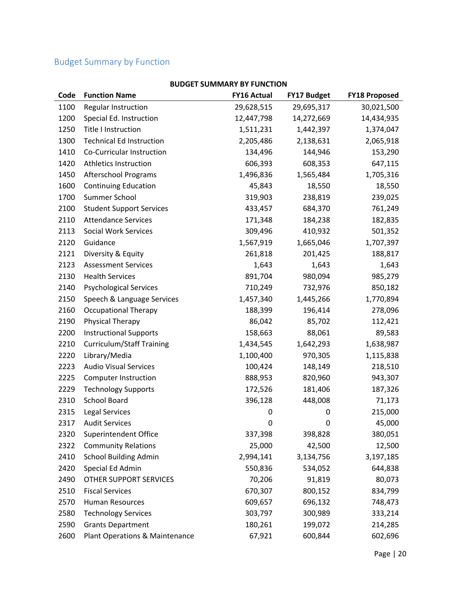# Budget Summary by Function

| Code | <b>Function Name</b>             | <b>FY16 Actual</b> | <b>FY17 Budget</b> | <b>FY18 Proposed</b> |
|------|----------------------------------|--------------------|--------------------|----------------------|
| 1100 | <b>Regular Instruction</b>       | 29,628,515         | 29,695,317         | 30,021,500           |
| 1200 | Special Ed. Instruction          | 12,447,798         | 14,272,669         | 14,434,935           |
| 1250 | <b>Title I Instruction</b>       | 1,511,231          | 1,442,397          | 1,374,047            |
| 1300 | <b>Technical Ed Instruction</b>  | 2,205,486          | 2,138,631          | 2,065,918            |
| 1410 | Co-Curricular Instruction        | 134,496            | 144,946            | 153,290              |
| 1420 | Athletics Instruction            | 606,393            | 608,353            | 647,115              |
| 1450 | <b>Afterschool Programs</b>      | 1,496,836          | 1,565,484          | 1,705,316            |
| 1600 | <b>Continuing Education</b>      | 45,843             | 18,550             | 18,550               |
| 1700 | Summer School                    | 319,903            | 238,819            | 239,025              |
| 2100 | <b>Student Support Services</b>  | 433,457            | 684,370            | 761,249              |
| 2110 | <b>Attendance Services</b>       | 171,348            | 184,238            | 182,835              |
| 2113 | <b>Social Work Services</b>      | 309,496            | 410,932            | 501,352              |
| 2120 | Guidance                         | 1,567,919          | 1,665,046          | 1,707,397            |
| 2121 | Diversity & Equity               | 261,818            | 201,425            | 188,817              |
| 2123 | <b>Assessment Services</b>       | 1,643              | 1,643              | 1,643                |
| 2130 | <b>Health Services</b>           | 891,704            | 980,094            | 985,279              |
| 2140 | <b>Psychological Services</b>    | 710,249            | 732,976            | 850,182              |
| 2150 | Speech & Language Services       | 1,457,340          | 1,445,266          | 1,770,894            |
| 2160 | <b>Occupational Therapy</b>      | 188,399            | 196,414            | 278,096              |
| 2190 | Physical Therapy                 | 86,042             | 85,702             | 112,421              |
| 2200 | <b>Instructional Supports</b>    | 158,663            | 88,061             | 89,583               |
| 2210 | <b>Curriculum/Staff Training</b> | 1,434,545          | 1,642,293          | 1,638,987            |
| 2220 | Library/Media                    | 1,100,400          | 970,305            | 1,115,838            |
| 2223 | <b>Audio Visual Services</b>     | 100,424            | 148,149            | 218,510              |
| 2225 | <b>Computer Instruction</b>      | 888,953            | 820,960            | 943,307              |
| 2229 | <b>Technology Supports</b>       | 172,526            | 181,406            | 187,326              |
| 2310 | <b>School Board</b>              | 396,128            | 448,008            | 71,173               |
| 2315 | <b>Legal Services</b>            | 0                  | 0                  | 215,000              |
| 2317 | <b>Audit Services</b>            | 0                  | 0                  | 45,000               |
| 2320 | Superintendent Office            | 337,398            | 398,828            | 380,051              |
| 2322 | <b>Community Relations</b>       | 25,000             | 42,500             | 12,500               |
| 2410 | <b>School Building Admin</b>     | 2,994,141          | 3,134,756          | 3,197,185            |
| 2420 | Special Ed Admin                 | 550,836            | 534,052            | 644,838              |
| 2490 | OTHER SUPPORT SERVICES           | 70,206             | 91,819             | 80,073               |
| 2510 | <b>Fiscal Services</b>           | 670,307            | 800,152            | 834,799              |
| 2570 | Human Resources                  | 609,657            | 696,132            | 748,473              |
| 2580 | <b>Technology Services</b>       | 303,797            | 300,989            | 333,214              |
| 2590 | <b>Grants Department</b>         | 180,261            | 199,072            | 214,285              |
| 2600 | Plant Operations & Maintenance   | 67,921             | 600,844            | 602,696              |

### **BUDGET SUMMARY BY FUNCTION**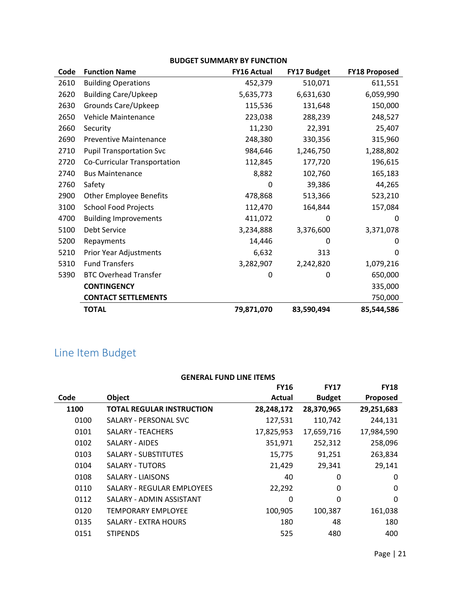| <b>BUDGET SUMMARY BY FUNCTION</b> |  |
|-----------------------------------|--|
|-----------------------------------|--|

| Code | <b>Function Name</b>            | <b>FY16 Actual</b> | FY17 Budget | <b>FY18 Proposed</b> |
|------|---------------------------------|--------------------|-------------|----------------------|
| 2610 | <b>Building Operations</b>      | 452,379            | 510,071     | 611,551              |
| 2620 | <b>Building Care/Upkeep</b>     | 5,635,773          | 6,631,630   | 6,059,990            |
| 2630 | Grounds Care/Upkeep             | 115,536            | 131,648     | 150,000              |
| 2650 | Vehicle Maintenance             | 223,038            | 288,239     | 248,527              |
| 2660 | Security                        | 11,230             | 22,391      | 25,407               |
| 2690 | <b>Preventive Maintenance</b>   | 248,380            | 330,356     | 315,960              |
| 2710 | <b>Pupil Transportation Svc</b> | 984,646            | 1,246,750   | 1,288,802            |
| 2720 | Co-Curricular Transportation    | 112,845            | 177,720     | 196,615              |
| 2740 | <b>Bus Maintenance</b>          | 8,882              | 102,760     | 165,183              |
| 2760 | Safety                          | 0                  | 39,386      | 44,265               |
| 2900 | <b>Other Employee Benefits</b>  | 478,868            | 513,366     | 523,210              |
| 3100 | <b>School Food Projects</b>     | 112,470            | 164,844     | 157,084              |
| 4700 | <b>Building Improvements</b>    | 411,072            | 0           | 0                    |
| 5100 | Debt Service                    | 3,234,888          | 3,376,600   | 3,371,078            |
| 5200 | Repayments                      | 14,446             | 0           | 0                    |
| 5210 | Prior Year Adjustments          | 6,632              | 313         | 0                    |
| 5310 | <b>Fund Transfers</b>           | 3,282,907          | 2,242,820   | 1,079,216            |
| 5390 | <b>BTC Overhead Transfer</b>    | 0                  | 0           | 650,000              |
|      | <b>CONTINGENCY</b>              |                    |             | 335,000              |
|      | <b>CONTACT SETTLEMENTS</b>      |                    |             | 750,000              |
|      | <b>TOTAL</b>                    | 79,871,070         | 83,590,494  | 85,544,586           |

# Line Item Budget

| <b>GENERAL FUND LINE ITEMS</b> |                                  |             |               |             |
|--------------------------------|----------------------------------|-------------|---------------|-------------|
|                                |                                  | <b>FY16</b> | <b>FY17</b>   | <b>FY18</b> |
| Code                           | <b>Object</b>                    | Actual      | <b>Budget</b> | Proposed    |
| 1100                           | <b>TOTAL REGULAR INSTRUCTION</b> | 28,248,172  | 28,370,965    | 29,251,683  |
| 0100                           | SALARY - PERSONAL SVC            | 127,531     | 110,742       | 244,131     |
| 0101                           | <b>SALARY - TEACHERS</b>         | 17,825,953  | 17,659,716    | 17,984,590  |
| 0102                           | <b>SALARY - AIDES</b>            | 351,971     | 252,312       | 258,096     |
| 0103                           | <b>SALARY - SUBSTITUTES</b>      | 15,775      | 91,251        | 263,834     |
| 0104                           | <b>SALARY - TUTORS</b>           | 21,429      | 29,341        | 29,141      |
| 0108                           | SALARY - LIAISONS                | 40          | 0             | 0           |
| 0110                           | SALARY - REGULAR EMPLOYEES       | 22,292      | 0             | 0           |
| 0112                           | SALARY - ADMIN ASSISTANT         | 0           | 0             | $\Omega$    |
| 0120                           | <b>TEMPORARY EMPLOYEE</b>        | 100,905     | 100,387       | 161,038     |
| 0135                           | SALARY - EXTRA HOURS             | 180         | 48            | 180         |
| 0151                           | <b>STIPENDS</b>                  | 525         | 480           | 400         |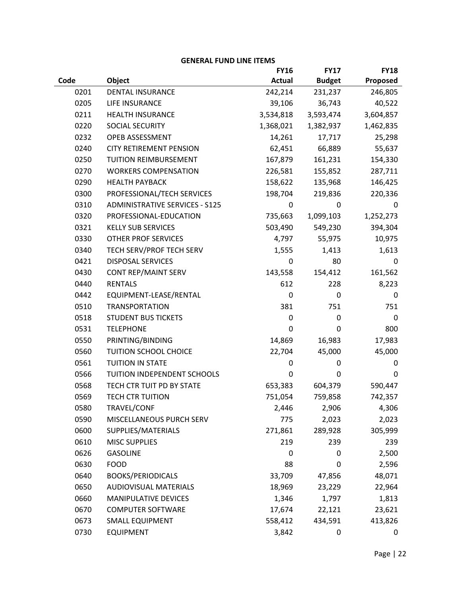|      |                                       | <b>FY16</b>   | <b>FY17</b>   | <b>FY18</b> |
|------|---------------------------------------|---------------|---------------|-------------|
| Code | Object                                | <b>Actual</b> | <b>Budget</b> | Proposed    |
| 0201 | <b>DENTAL INSURANCE</b>               | 242,214       | 231,237       | 246,805     |
| 0205 | LIFE INSURANCE                        | 39,106        | 36,743        | 40,522      |
| 0211 | <b>HEALTH INSURANCE</b>               | 3,534,818     | 3,593,474     | 3,604,857   |
| 0220 | SOCIAL SECURITY                       | 1,368,021     | 1,382,937     | 1,462,835   |
| 0232 | OPEB ASSESSMENT                       | 14,261        | 17,717        | 25,298      |
| 0240 | <b>CITY RETIREMENT PENSION</b>        | 62,451        | 66,889        | 55,637      |
| 0250 | TUITION REIMBURSEMENT                 | 167,879       | 161,231       | 154,330     |
| 0270 | <b>WORKERS COMPENSATION</b>           | 226,581       | 155,852       | 287,711     |
| 0290 | <b>HEALTH PAYBACK</b>                 | 158,622       | 135,968       | 146,425     |
| 0300 | PROFESSIONAL/TECH SERVICES            | 198,704       | 219,836       | 220,336     |
| 0310 | <b>ADMINISTRATIVE SERVICES - S125</b> | $\mathbf 0$   | 0             | 0           |
| 0320 | PROFESSIONAL-EDUCATION                | 735,663       | 1,099,103     | 1,252,273   |
| 0321 | <b>KELLY SUB SERVICES</b>             | 503,490       | 549,230       | 394,304     |
| 0330 | <b>OTHER PROF SERVICES</b>            | 4,797         | 55,975        | 10,975      |
| 0340 | TECH SERV/PROF TECH SERV              | 1,555         | 1,413         | 1,613       |
| 0421 | <b>DISPOSAL SERVICES</b>              | 0             | 80            | 0           |
| 0430 | CONT REP/MAINT SERV                   | 143,558       | 154,412       | 161,562     |
| 0440 | <b>RENTALS</b>                        | 612           | 228           | 8,223       |
| 0442 | EQUIPMENT-LEASE/RENTAL                | 0             | 0             | 0           |
| 0510 | <b>TRANSPORTATION</b>                 | 381           | 751           | 751         |
| 0518 | <b>STUDENT BUS TICKETS</b>            | $\mathbf 0$   | 0             | 0           |
| 0531 | <b>TELEPHONE</b>                      | 0             | 0             | 800         |
| 0550 | PRINTING/BINDING                      | 14,869        | 16,983        | 17,983      |
| 0560 | TUITION SCHOOL CHOICE                 | 22,704        | 45,000        | 45,000      |
| 0561 | <b>TUITION IN STATE</b>               | $\mathbf 0$   | 0             | 0           |
| 0566 | TUITION INDEPENDENT SCHOOLS           | 0             | 0             | 0           |
| 0568 | TECH CTR TUIT PD BY STATE             | 653,383       | 604,379       | 590,447     |
| 0569 | <b>TECH CTR TUITION</b>               | 751,054       | 759,858       | 742,357     |
| 0580 | TRAVEL/CONF                           | 2,446         | 2,906         | 4,306       |
| 0590 | MISCELLANEOUS PURCH SERV              | 775           | 2,023         | 2,023       |
| 0600 | SUPPLIES/MATERIALS                    | 271,861       | 289,928       | 305,999     |
| 0610 | <b>MISC SUPPLIES</b>                  | 219           | 239           | 239         |
| 0626 | <b>GASOLINE</b>                       | 0             | 0             | 2,500       |
| 0630 | <b>FOOD</b>                           | 88            | 0             | 2,596       |
| 0640 | <b>BOOKS/PERIODICALS</b>              | 33,709        | 47,856        | 48,071      |
| 0650 | <b>AUDIOVISUAL MATERIALS</b>          | 18,969        | 23,229        | 22,964      |
| 0660 | MANIPULATIVE DEVICES                  | 1,346         | 1,797         | 1,813       |
| 0670 | <b>COMPUTER SOFTWARE</b>              | 17,674        | 22,121        | 23,621      |
| 0673 | <b>SMALL EQUIPMENT</b>                | 558,412       | 434,591       | 413,826     |
| 0730 | <b>EQUIPMENT</b>                      | 3,842         | 0             | 0           |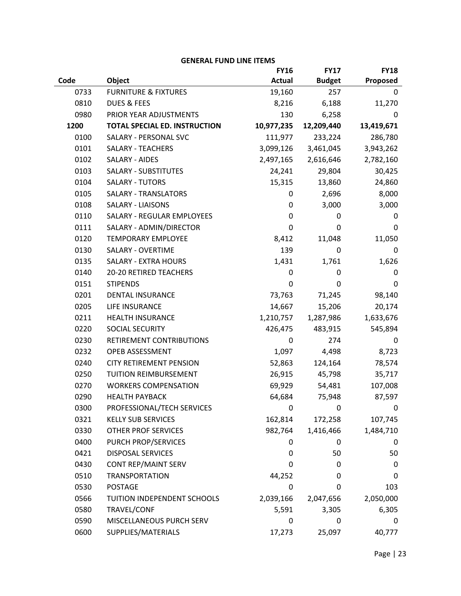|      |                                      | <b>FY16</b>   | <b>FY17</b>   | <b>FY18</b> |
|------|--------------------------------------|---------------|---------------|-------------|
| Code | Object                               | <b>Actual</b> | <b>Budget</b> | Proposed    |
| 0733 | <b>FURNITURE &amp; FIXTURES</b>      | 19,160        | 257           | 0           |
| 0810 | <b>DUES &amp; FEES</b>               | 8,216         | 6,188         | 11,270      |
| 0980 | PRIOR YEAR ADJUSTMENTS               | 130           | 6,258         | 0           |
| 1200 | <b>TOTAL SPECIAL ED. INSTRUCTION</b> | 10,977,235    | 12,209,440    | 13,419,671  |
| 0100 | SALARY - PERSONAL SVC                | 111,977       | 233,224       | 286,780     |
| 0101 | <b>SALARY - TEACHERS</b>             | 3,099,126     | 3,461,045     | 3,943,262   |
| 0102 | <b>SALARY - AIDES</b>                | 2,497,165     | 2,616,646     | 2,782,160   |
| 0103 | <b>SALARY - SUBSTITUTES</b>          | 24,241        | 29,804        | 30,425      |
| 0104 | SALARY - TUTORS                      | 15,315        | 13,860        | 24,860      |
| 0105 | <b>SALARY - TRANSLATORS</b>          | 0             | 2,696         | 8,000       |
| 0108 | <b>SALARY - LIAISONS</b>             | 0             | 3,000         | 3,000       |
| 0110 | <b>SALARY - REGULAR EMPLOYEES</b>    | 0             | 0             | 0           |
| 0111 | SALARY - ADMIN/DIRECTOR              | $\mathbf 0$   | 0             | 0           |
| 0120 | <b>TEMPORARY EMPLOYEE</b>            | 8,412         | 11,048        | 11,050      |
| 0130 | <b>SALARY - OVERTIME</b>             | 139           | 0             | 0           |
| 0135 | <b>SALARY - EXTRA HOURS</b>          | 1,431         | 1,761         | 1,626       |
| 0140 | 20-20 RETIRED TEACHERS               | 0             | 0             | 0           |
| 0151 | <b>STIPENDS</b>                      | 0             | 0             | 0           |
| 0201 | <b>DENTAL INSURANCE</b>              | 73,763        | 71,245        | 98,140      |
| 0205 | LIFE INSURANCE                       | 14,667        | 15,206        | 20,174      |
| 0211 | <b>HEALTH INSURANCE</b>              | 1,210,757     | 1,287,986     | 1,633,676   |
| 0220 | SOCIAL SECURITY                      | 426,475       | 483,915       | 545,894     |
| 0230 | RETIREMENT CONTRIBUTIONS             | 0             | 274           | 0           |
| 0232 | OPEB ASSESSMENT                      | 1,097         | 4,498         | 8,723       |
| 0240 | <b>CITY RETIREMENT PENSION</b>       | 52,863        | 124,164       | 78,574      |
| 0250 | <b>TUITION REIMBURSEMENT</b>         | 26,915        | 45,798        | 35,717      |
| 0270 | <b>WORKERS COMPENSATION</b>          | 69,929        | 54,481        | 107,008     |
| 0290 | <b>HEALTH PAYBACK</b>                | 64,684        | 75,948        | 87,597      |
| 0300 | PROFESSIONAL/TECH SERVICES           | 0             | 0             | 0           |
| 0321 | <b>KELLY SUB SERVICES</b>            | 162,814       | 172,258       | 107,745     |
| 0330 | OTHER PROF SERVICES                  | 982,764       | 1,416,466     | 1,484,710   |
| 0400 | PURCH PROP/SERVICES                  | 0             | 0             | 0           |
| 0421 | <b>DISPOSAL SERVICES</b>             | 0             | 50            | 50          |
| 0430 | CONT REP/MAINT SERV                  | 0             | 0             | 0           |
| 0510 | <b>TRANSPORTATION</b>                | 44,252        | 0             | 0           |
| 0530 | <b>POSTAGE</b>                       | 0             | 0             | 103         |
| 0566 | TUITION INDEPENDENT SCHOOLS          | 2,039,166     | 2,047,656     | 2,050,000   |
| 0580 | TRAVEL/CONF                          | 5,591         | 3,305         | 6,305       |
| 0590 | MISCELLANEOUS PURCH SERV             | 0             | 0             | 0           |
| 0600 | SUPPLIES/MATERIALS                   | 17,273        | 25,097        | 40,777      |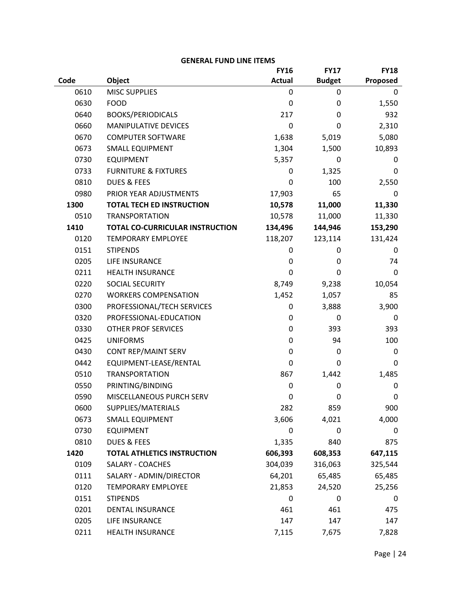|      |                                        | <b>FY16</b>   | <b>FY17</b>   | <b>FY18</b> |
|------|----------------------------------------|---------------|---------------|-------------|
| Code | Object                                 | <b>Actual</b> | <b>Budget</b> | Proposed    |
| 0610 | <b>MISC SUPPLIES</b>                   | 0             | 0             | 0           |
| 0630 | <b>FOOD</b>                            | 0             | $\mathbf 0$   | 1,550       |
| 0640 | <b>BOOKS/PERIODICALS</b>               | 217           | 0             | 932         |
| 0660 | <b>MANIPULATIVE DEVICES</b>            | 0             | 0             | 2,310       |
| 0670 | <b>COMPUTER SOFTWARE</b>               | 1,638         | 5,019         | 5,080       |
| 0673 | <b>SMALL EQUIPMENT</b>                 | 1,304         | 1,500         | 10,893      |
| 0730 | <b>EQUIPMENT</b>                       | 5,357         | 0             | 0           |
| 0733 | <b>FURNITURE &amp; FIXTURES</b>        | 0             | 1,325         | 0           |
| 0810 | <b>DUES &amp; FEES</b>                 | 0             | 100           | 2,550       |
| 0980 | PRIOR YEAR ADJUSTMENTS                 | 17,903        | 65            | 0           |
| 1300 | <b>TOTAL TECH ED INSTRUCTION</b>       | 10,578        | 11,000        | 11,330      |
| 0510 | <b>TRANSPORTATION</b>                  | 10,578        | 11,000        | 11,330      |
| 1410 | <b>TOTAL CO-CURRICULAR INSTRUCTION</b> | 134,496       | 144,946       | 153,290     |
| 0120 | <b>TEMPORARY EMPLOYEE</b>              | 118,207       | 123,114       | 131,424     |
| 0151 | <b>STIPENDS</b>                        | 0             | $\pmb{0}$     | 0           |
| 0205 | LIFE INSURANCE                         | 0             | 0             | 74          |
| 0211 | <b>HEALTH INSURANCE</b>                | 0             | 0             | 0           |
| 0220 | <b>SOCIAL SECURITY</b>                 | 8,749         | 9,238         | 10,054      |
| 0270 | <b>WORKERS COMPENSATION</b>            | 1,452         | 1,057         | 85          |
| 0300 | PROFESSIONAL/TECH SERVICES             | 0             | 3,888         | 3,900       |
| 0320 | PROFESSIONAL-EDUCATION                 | 0             | 0             | 0           |
| 0330 | <b>OTHER PROF SERVICES</b>             | 0             | 393           | 393         |
| 0425 | <b>UNIFORMS</b>                        | 0             | 94            | 100         |
| 0430 | CONT REP/MAINT SERV                    | 0             | 0             | 0           |
| 0442 | EQUIPMENT-LEASE/RENTAL                 | 0             | 0             | 0           |
| 0510 | <b>TRANSPORTATION</b>                  | 867           | 1,442         | 1,485       |
| 0550 | PRINTING/BINDING                       | 0             | $\mathbf 0$   | 0           |
| 0590 | MISCELLANEOUS PURCH SERV               | 0             | $\mathbf 0$   | 0           |
| 0600 | SUPPLIES/MATERIALS                     | 282           | 859           | 900         |
| 0673 | <b>SMALL EQUIPMENT</b>                 | 3,606         | 4,021         | 4,000       |
| 0730 | <b>EQUIPMENT</b>                       | 0             | 0             | 0           |
| 0810 | <b>DUES &amp; FEES</b>                 | 1,335         | 840           | 875         |
| 1420 | <b>TOTAL ATHLETICS INSTRUCTION</b>     | 606,393       | 608,353       | 647,115     |
| 0109 | <b>SALARY - COACHES</b>                | 304,039       | 316,063       | 325,544     |
| 0111 | SALARY - ADMIN/DIRECTOR                | 64,201        | 65,485        | 65,485      |
| 0120 | <b>TEMPORARY EMPLOYEE</b>              | 21,853        | 24,520        | 25,256      |
| 0151 | <b>STIPENDS</b>                        | 0             | $\mathbf 0$   | 0           |
| 0201 | DENTAL INSURANCE                       | 461           | 461           | 475         |
| 0205 | LIFE INSURANCE                         | 147           | 147           | 147         |
| 0211 | <b>HEALTH INSURANCE</b>                | 7,115         | 7,675         | 7,828       |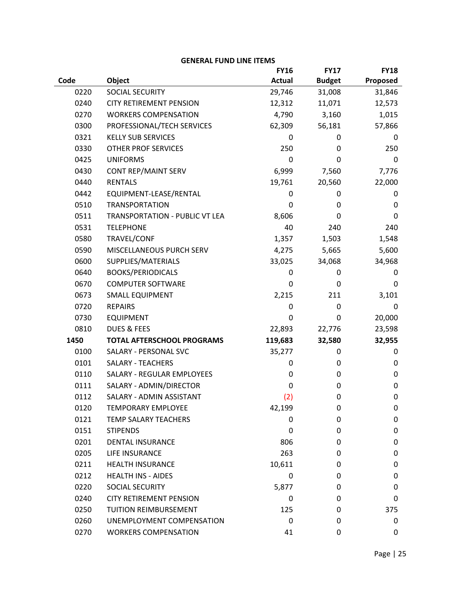|      |                                       | <b>FY16</b>   | <b>FY17</b>   | <b>FY18</b> |
|------|---------------------------------------|---------------|---------------|-------------|
| Code | Object                                | <b>Actual</b> | <b>Budget</b> | Proposed    |
| 0220 | SOCIAL SECURITY                       | 29,746        | 31,008        | 31,846      |
| 0240 | <b>CITY RETIREMENT PENSION</b>        | 12,312        | 11,071        | 12,573      |
| 0270 | <b>WORKERS COMPENSATION</b>           | 4,790         | 3,160         | 1,015       |
| 0300 | PROFESSIONAL/TECH SERVICES            | 62,309        | 56,181        | 57,866      |
| 0321 | <b>KELLY SUB SERVICES</b>             | 0             | 0             | 0           |
| 0330 | <b>OTHER PROF SERVICES</b>            | 250           | 0             | 250         |
| 0425 | <b>UNIFORMS</b>                       | $\mathbf 0$   | 0             | 0           |
| 0430 | <b>CONT REP/MAINT SERV</b>            | 6,999         | 7,560         | 7,776       |
| 0440 | <b>RENTALS</b>                        | 19,761        | 20,560        | 22,000      |
| 0442 | EQUIPMENT-LEASE/RENTAL                | 0             | 0             | 0           |
| 0510 | <b>TRANSPORTATION</b>                 | 0             | 0             | 0           |
| 0511 | <b>TRANSPORTATION - PUBLIC VT LEA</b> | 8,606         | 0             | 0           |
| 0531 | <b>TELEPHONE</b>                      | 40            | 240           | 240         |
| 0580 | TRAVEL/CONF                           | 1,357         | 1,503         | 1,548       |
| 0590 | MISCELLANEOUS PURCH SERV              | 4,275         | 5,665         | 5,600       |
| 0600 | SUPPLIES/MATERIALS                    | 33,025        | 34,068        | 34,968      |
| 0640 | <b>BOOKS/PERIODICALS</b>              | 0             | 0             | 0           |
| 0670 | <b>COMPUTER SOFTWARE</b>              | 0             | 0             | 0           |
| 0673 | <b>SMALL EQUIPMENT</b>                | 2,215         | 211           | 3,101       |
| 0720 | <b>REPAIRS</b>                        | 0             | 0             | 0           |
| 0730 | <b>EQUIPMENT</b>                      | $\mathbf 0$   | $\mathbf 0$   | 20,000      |
| 0810 | <b>DUES &amp; FEES</b>                | 22,893        | 22,776        | 23,598      |
| 1450 | <b>TOTAL AFTERSCHOOL PROGRAMS</b>     | 119,683       | 32,580        | 32,955      |
| 0100 | <b>SALARY - PERSONAL SVC</b>          | 35,277        | 0             | 0           |
| 0101 | <b>SALARY - TEACHERS</b>              | 0             | 0             | 0           |
| 0110 | <b>SALARY - REGULAR EMPLOYEES</b>     | 0             | 0             | 0           |
| 0111 | SALARY - ADMIN/DIRECTOR               | 0             | 0             | $\mathbf 0$ |
| 0112 | SALARY - ADMIN ASSISTANT              | (2)           | 0             | $\mathbf 0$ |
| 0120 | <b>TEMPORARY EMPLOYEE</b>             | 42,199        | 0             | 0           |
| 0121 | <b>TEMP SALARY TEACHERS</b>           | 0             | 0             | 0           |
| 0151 | <b>STIPENDS</b>                       | 0             | 0             | $\mathbf 0$ |
| 0201 | <b>DENTAL INSURANCE</b>               | 806           | 0             | 0           |
| 0205 | <b>LIFE INSURANCE</b>                 | 263           | 0             | 0           |
| 0211 | <b>HEALTH INSURANCE</b>               | 10,611        | 0             | 0           |
| 0212 | <b>HEALTH INS - AIDES</b>             | 0             | 0             | 0           |
| 0220 | SOCIAL SECURITY                       | 5,877         | 0             | 0           |
| 0240 | <b>CITY RETIREMENT PENSION</b>        | 0             | 0             | 0           |
| 0250 | <b>TUITION REIMBURSEMENT</b>          | 125           | 0             | 375         |
| 0260 | UNEMPLOYMENT COMPENSATION             | 0             | 0             | 0           |
| 0270 | <b>WORKERS COMPENSATION</b>           | 41            | 0             | 0           |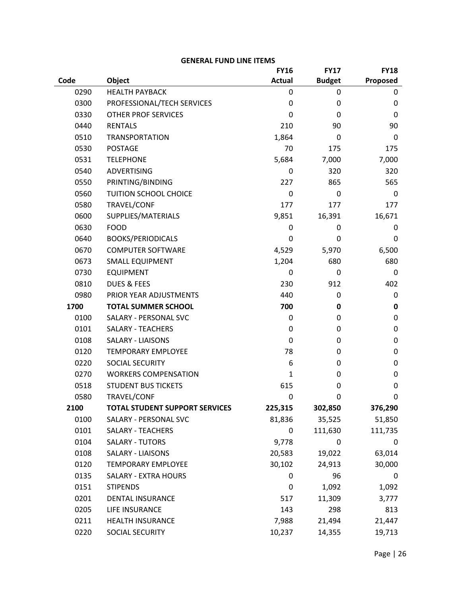| <b>GENERAL FUND LINE ITEMS</b> |  |  |
|--------------------------------|--|--|
|--------------------------------|--|--|

|      |                                       | <b>FY16</b>   | <b>FY17</b>   | <b>FY18</b> |
|------|---------------------------------------|---------------|---------------|-------------|
| Code | Object                                | <b>Actual</b> | <b>Budget</b> | Proposed    |
| 0290 | <b>HEALTH PAYBACK</b>                 | 0             | 0             | 0           |
| 0300 | PROFESSIONAL/TECH SERVICES            | 0             | 0             | 0           |
| 0330 | <b>OTHER PROF SERVICES</b>            | 0             | 0             | 0           |
| 0440 | <b>RENTALS</b>                        | 210           | 90            | 90          |
| 0510 | <b>TRANSPORTATION</b>                 | 1,864         | $\Omega$      | $\Omega$    |
| 0530 | <b>POSTAGE</b>                        | 70            | 175           | 175         |
| 0531 | <b>TELEPHONE</b>                      | 5,684         | 7,000         | 7,000       |
| 0540 | <b>ADVERTISING</b>                    | 0             | 320           | 320         |
| 0550 | PRINTING/BINDING                      | 227           | 865           | 565         |
| 0560 | <b>TUITION SCHOOL CHOICE</b>          | 0             | 0             | 0           |
| 0580 | TRAVEL/CONF                           | 177           | 177           | 177         |
| 0600 | SUPPLIES/MATERIALS                    | 9,851         | 16,391        | 16,671      |
| 0630 | <b>FOOD</b>                           | 0             | 0             | 0           |
| 0640 | <b>BOOKS/PERIODICALS</b>              | $\mathbf 0$   | 0             | 0           |
| 0670 | <b>COMPUTER SOFTWARE</b>              | 4,529         | 5,970         | 6,500       |
| 0673 | <b>SMALL EQUIPMENT</b>                | 1,204         | 680           | 680         |
| 0730 | <b>EQUIPMENT</b>                      | 0             | 0             | 0           |
| 0810 | <b>DUES &amp; FEES</b>                | 230           | 912           | 402         |
| 0980 | PRIOR YEAR ADJUSTMENTS                | 440           | 0             | 0           |
| 1700 | <b>TOTAL SUMMER SCHOOL</b>            | 700           | 0             | 0           |
| 0100 | SALARY - PERSONAL SVC                 | 0             | 0             | 0           |
| 0101 | <b>SALARY - TEACHERS</b>              | 0             | 0             | 0           |
| 0108 | <b>SALARY - LIAISONS</b>              | 0             | 0             | 0           |
| 0120 | <b>TEMPORARY EMPLOYEE</b>             | 78            | 0             | 0           |
| 0220 | SOCIAL SECURITY                       | 6             | 0             | 0           |
| 0270 | <b>WORKERS COMPENSATION</b>           | 1             | 0             | 0           |
| 0518 | <b>STUDENT BUS TICKETS</b>            | 615           | 0             | 0           |
| 0580 | TRAVEL/CONF                           | 0             | 0             | 0           |
| 2100 | <b>TOTAL STUDENT SUPPORT SERVICES</b> | 225,315       | 302,850       | 376,290     |
| 0100 | SALARY - PERSONAL SVC                 | 81,836        | 35,525        | 51,850      |
| 0101 | <b>SALARY - TEACHERS</b>              | 0             | 111,630       | 111,735     |
| 0104 | <b>SALARY - TUTORS</b>                | 9,778         | 0             | 0           |
| 0108 | <b>SALARY - LIAISONS</b>              | 20,583        | 19,022        | 63,014      |
| 0120 | <b>TEMPORARY EMPLOYEE</b>             | 30,102        | 24,913        | 30,000      |
| 0135 | <b>SALARY - EXTRA HOURS</b>           | 0             | 96            | 0           |
| 0151 | <b>STIPENDS</b>                       | 0             | 1,092         | 1,092       |
| 0201 | <b>DENTAL INSURANCE</b>               | 517           | 11,309        | 3,777       |
| 0205 | LIFE INSURANCE                        | 143           | 298           | 813         |
| 0211 | HEALTH INSURANCE                      | 7,988         | 21,494        | 21,447      |
| 0220 | SOCIAL SECURITY                       | 10,237        | 14,355        | 19,713      |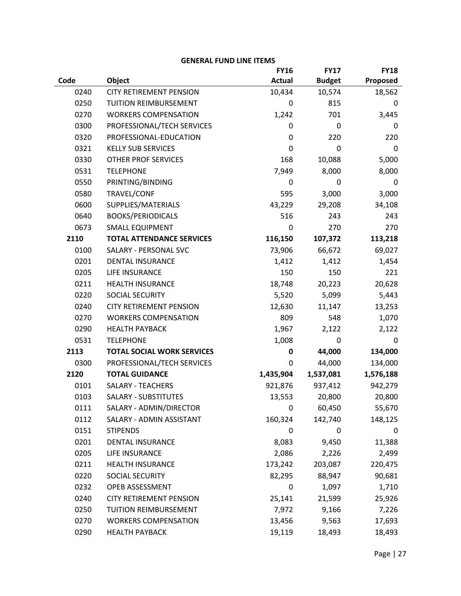|      |                                   | <b>FY16</b>   | <b>FY17</b>   | <b>FY18</b> |
|------|-----------------------------------|---------------|---------------|-------------|
| Code | Object                            | <b>Actual</b> | <b>Budget</b> | Proposed    |
| 0240 | <b>CITY RETIREMENT PENSION</b>    | 10,434        | 10,574        | 18,562      |
| 0250 | TUITION REIMBURSEMENT             | 0             | 815           | 0           |
| 0270 | <b>WORKERS COMPENSATION</b>       | 1,242         | 701           | 3,445       |
| 0300 | PROFESSIONAL/TECH SERVICES        | 0             | $\mathbf 0$   | 0           |
| 0320 | PROFESSIONAL-EDUCATION            | $\mathbf 0$   | 220           | 220         |
| 0321 | <b>KELLY SUB SERVICES</b>         | 0             | 0             | $\mathbf 0$ |
| 0330 | <b>OTHER PROF SERVICES</b>        | 168           | 10,088        | 5,000       |
| 0531 | <b>TELEPHONE</b>                  | 7,949         | 8,000         | 8,000       |
| 0550 | PRINTING/BINDING                  | $\mathbf 0$   | $\pmb{0}$     | $\mathbf 0$ |
| 0580 | TRAVEL/CONF                       | 595           | 3,000         | 3,000       |
| 0600 | SUPPLIES/MATERIALS                | 43,229        | 29,208        | 34,108      |
| 0640 | <b>BOOKS/PERIODICALS</b>          | 516           | 243           | 243         |
| 0673 | <b>SMALL EQUIPMENT</b>            | $\mathbf 0$   | 270           | 270         |
| 2110 | <b>TOTAL ATTENDANCE SERVICES</b>  | 116,150       | 107,372       | 113,218     |
| 0100 | SALARY - PERSONAL SVC             | 73,906        | 66,672        | 69,027      |
| 0201 | <b>DENTAL INSURANCE</b>           | 1,412         | 1,412         | 1,454       |
| 0205 | LIFE INSURANCE                    | 150           | 150           | 221         |
| 0211 | <b>HEALTH INSURANCE</b>           | 18,748        | 20,223        | 20,628      |
| 0220 | SOCIAL SECURITY                   | 5,520         | 5,099         | 5,443       |
| 0240 | <b>CITY RETIREMENT PENSION</b>    | 12,630        | 11,147        | 13,253      |
| 0270 | <b>WORKERS COMPENSATION</b>       | 809           | 548           | 1,070       |
| 0290 | <b>HEALTH PAYBACK</b>             | 1,967         | 2,122         | 2,122       |
| 0531 | <b>TELEPHONE</b>                  | 1,008         | 0             | 0           |
| 2113 | <b>TOTAL SOCIAL WORK SERVICES</b> | 0             | 44,000        | 134,000     |
| 0300 | PROFESSIONAL/TECH SERVICES        | 0             | 44,000        | 134,000     |
| 2120 | <b>TOTAL GUIDANCE</b>             | 1,435,904     | 1,537,081     | 1,576,188   |
| 0101 | <b>SALARY - TEACHERS</b>          | 921,876       | 937,412       | 942,279     |
| 0103 | <b>SALARY - SUBSTITUTES</b>       | 13,553        | 20,800        | 20,800      |
| 0111 | SALARY - ADMIN/DIRECTOR           | 0             | 60,450        | 55,670      |
| 0112 | SALARY - ADMIN ASSISTANT          | 160,324       | 142,740       | 148,125     |
| 0151 | <b>STIPENDS</b>                   | 0             | $\mathbf 0$   | 0           |
| 0201 | <b>DENTAL INSURANCE</b>           | 8,083         | 9,450         | 11,388      |
| 0205 | LIFE INSURANCE                    | 2,086         | 2,226         | 2,499       |
| 0211 | <b>HEALTH INSURANCE</b>           | 173,242       | 203,087       | 220,475     |
| 0220 | SOCIAL SECURITY                   | 82,295        | 88,947        | 90,681      |
| 0232 | OPEB ASSESSMENT                   | $\mathbf 0$   | 1,097         | 1,710       |
| 0240 | <b>CITY RETIREMENT PENSION</b>    | 25,141        | 21,599        | 25,926      |
| 0250 | TUITION REIMBURSEMENT             | 7,972         | 9,166         | 7,226       |
| 0270 | <b>WORKERS COMPENSATION</b>       | 13,456        | 9,563         | 17,693      |
| 0290 | <b>HEALTH PAYBACK</b>             | 19,119        | 18,493        | 18,493      |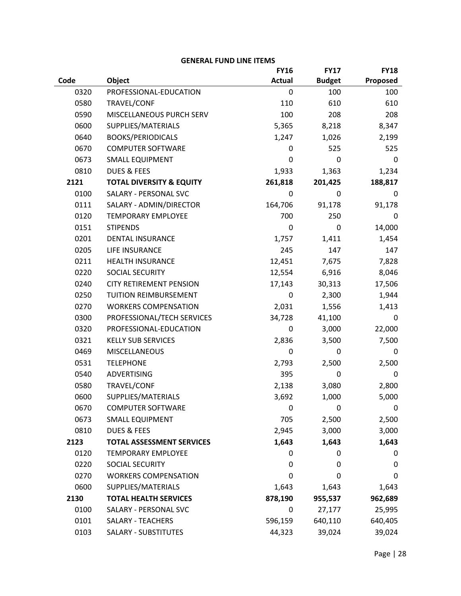|      |                                     | <b>FY16</b>   | <b>FY17</b>   | <b>FY18</b> |
|------|-------------------------------------|---------------|---------------|-------------|
| Code | Object                              | <b>Actual</b> | <b>Budget</b> | Proposed    |
| 0320 | PROFESSIONAL-EDUCATION              | 0             | 100           | 100         |
| 0580 | TRAVEL/CONF                         | 110           | 610           | 610         |
| 0590 | MISCELLANEOUS PURCH SERV            | 100           | 208           | 208         |
| 0600 | SUPPLIES/MATERIALS                  | 5,365         | 8,218         | 8,347       |
| 0640 | <b>BOOKS/PERIODICALS</b>            | 1,247         | 1,026         | 2,199       |
| 0670 | <b>COMPUTER SOFTWARE</b>            | 0             | 525           | 525         |
| 0673 | <b>SMALL EQUIPMENT</b>              | 0             | 0             | 0           |
| 0810 | <b>DUES &amp; FEES</b>              | 1,933         | 1,363         | 1,234       |
| 2121 | <b>TOTAL DIVERSITY &amp; EQUITY</b> | 261,818       | 201,425       | 188,817     |
| 0100 | SALARY - PERSONAL SVC               | 0             | 0             | 0           |
| 0111 | SALARY - ADMIN/DIRECTOR             | 164,706       | 91,178        | 91,178      |
| 0120 | <b>TEMPORARY EMPLOYEE</b>           | 700           | 250           | 0           |
| 0151 | <b>STIPENDS</b>                     | $\mathbf 0$   | 0             | 14,000      |
| 0201 | <b>DENTAL INSURANCE</b>             | 1,757         | 1,411         | 1,454       |
| 0205 | LIFE INSURANCE                      | 245           | 147           | 147         |
| 0211 | <b>HEALTH INSURANCE</b>             | 12,451        | 7,675         | 7,828       |
| 0220 | SOCIAL SECURITY                     | 12,554        | 6,916         | 8,046       |
| 0240 | <b>CITY RETIREMENT PENSION</b>      | 17,143        | 30,313        | 17,506      |
| 0250 | TUITION REIMBURSEMENT               | 0             | 2,300         | 1,944       |
| 0270 | <b>WORKERS COMPENSATION</b>         | 2,031         | 1,556         | 1,413       |
| 0300 | PROFESSIONAL/TECH SERVICES          | 34,728        | 41,100        | 0           |
| 0320 | PROFESSIONAL-EDUCATION              | $\mathbf 0$   | 3,000         | 22,000      |
| 0321 | <b>KELLY SUB SERVICES</b>           | 2,836         | 3,500         | 7,500       |
| 0469 | <b>MISCELLANEOUS</b>                | 0             | 0             | 0           |
| 0531 | <b>TELEPHONE</b>                    | 2,793         | 2,500         | 2,500       |
| 0540 | <b>ADVERTISING</b>                  | 395           | 0             | 0           |
| 0580 | TRAVEL/CONF                         | 2,138         | 3,080         | 2,800       |
| 0600 | SUPPLIES/MATERIALS                  | 3,692         | 1,000         | 5,000       |
| 0670 | <b>COMPUTER SOFTWARE</b>            | 0             | 0             | 0           |
| 0673 | <b>SMALL EQUIPMENT</b>              | 705           | 2,500         | 2,500       |
| 0810 | <b>DUES &amp; FEES</b>              | 2,945         | 3,000         | 3,000       |
| 2123 | <b>TOTAL ASSESSMENT SERVICES</b>    | 1,643         | 1,643         | 1,643       |
| 0120 | <b>TEMPORARY EMPLOYEE</b>           | 0             | 0             | 0           |
| 0220 | <b>SOCIAL SECURITY</b>              | 0             | 0             | 0           |
| 0270 | <b>WORKERS COMPENSATION</b>         | 0             | $\Omega$      | 0           |
| 0600 | SUPPLIES/MATERIALS                  | 1,643         | 1,643         | 1,643       |
| 2130 | <b>TOTAL HEALTH SERVICES</b>        | 878,190       | 955,537       | 962,689     |
| 0100 | SALARY - PERSONAL SVC               | 0             | 27,177        | 25,995      |
| 0101 | <b>SALARY - TEACHERS</b>            | 596,159       | 640,110       | 640,405     |
| 0103 | <b>SALARY - SUBSTITUTES</b>         | 44,323        | 39,024        | 39,024      |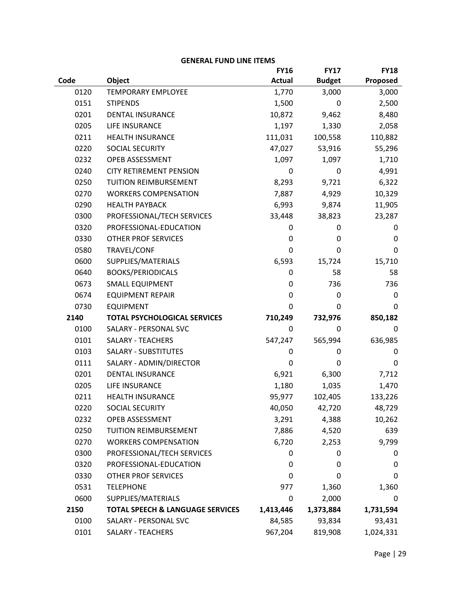|      |                                             | <b>FY16</b>   | <b>FY17</b>   | <b>FY18</b> |
|------|---------------------------------------------|---------------|---------------|-------------|
| Code | Object                                      | <b>Actual</b> | <b>Budget</b> | Proposed    |
| 0120 | <b>TEMPORARY EMPLOYEE</b>                   | 1,770         | 3,000         | 3,000       |
| 0151 | <b>STIPENDS</b>                             | 1,500         | 0             | 2,500       |
| 0201 | <b>DENTAL INSURANCE</b>                     | 10,872        | 9,462         | 8,480       |
| 0205 | LIFE INSURANCE                              | 1,197         | 1,330         | 2,058       |
| 0211 | <b>HEALTH INSURANCE</b>                     | 111,031       | 100,558       | 110,882     |
| 0220 | SOCIAL SECURITY                             | 47,027        | 53,916        | 55,296      |
| 0232 | OPEB ASSESSMENT                             | 1,097         | 1,097         | 1,710       |
| 0240 | <b>CITY RETIREMENT PENSION</b>              | 0             | $\mathbf 0$   | 4,991       |
| 0250 | TUITION REIMBURSEMENT                       | 8,293         | 9,721         | 6,322       |
| 0270 | <b>WORKERS COMPENSATION</b>                 | 7,887         | 4,929         | 10,329      |
| 0290 | <b>HEALTH PAYBACK</b>                       | 6,993         | 9,874         | 11,905      |
| 0300 | PROFESSIONAL/TECH SERVICES                  | 33,448        | 38,823        | 23,287      |
| 0320 | PROFESSIONAL-EDUCATION                      | 0             | 0             | 0           |
| 0330 | <b>OTHER PROF SERVICES</b>                  | 0             | $\pmb{0}$     | 0           |
| 0580 | TRAVEL/CONF                                 | 0             | 0             | 0           |
| 0600 | SUPPLIES/MATERIALS                          | 6,593         | 15,724        | 15,710      |
| 0640 | <b>BOOKS/PERIODICALS</b>                    | 0             | 58            | 58          |
| 0673 | <b>SMALL EQUIPMENT</b>                      | 0             | 736           | 736         |
| 0674 | <b>EQUIPMENT REPAIR</b>                     | 0             | $\mathbf 0$   | 0           |
| 0730 | <b>EQUIPMENT</b>                            | 0             | 0             | 0           |
| 2140 | <b>TOTAL PSYCHOLOGICAL SERVICES</b>         | 710,249       | 732,976       | 850,182     |
| 0100 | SALARY - PERSONAL SVC                       | 0             | $\mathbf 0$   | 0           |
| 0101 | <b>SALARY - TEACHERS</b>                    | 547,247       | 565,994       | 636,985     |
| 0103 | <b>SALARY - SUBSTITUTES</b>                 | 0             | 0             | 0           |
| 0111 | SALARY - ADMIN/DIRECTOR                     | 0             | 0             | 0           |
| 0201 | <b>DENTAL INSURANCE</b>                     | 6,921         | 6,300         | 7,712       |
| 0205 | LIFE INSURANCE                              | 1,180         | 1,035         | 1,470       |
| 0211 | <b>HEALTH INSURANCE</b>                     | 95,977        | 102,405       | 133,226     |
| 0220 | <b>SOCIAL SECURITY</b>                      | 40,050        | 42,720        | 48,729      |
| 0232 | OPEB ASSESSMENT                             | 3,291         | 4,388         | 10,262      |
| 0250 | TUITION REIMBURSEMENT                       | 7,886         | 4,520         | 639         |
| 0270 | <b>WORKERS COMPENSATION</b>                 | 6,720         | 2,253         | 9,799       |
| 0300 | PROFESSIONAL/TECH SERVICES                  | 0             | 0             | 0           |
| 0320 | PROFESSIONAL-EDUCATION                      | 0             | 0             | 0           |
| 0330 | <b>OTHER PROF SERVICES</b>                  | 0             | 0             | 0           |
| 0531 | <b>TELEPHONE</b>                            | 977           | 1,360         | 1,360       |
| 0600 | SUPPLIES/MATERIALS                          | 0             | 2,000         | 0           |
| 2150 | <b>TOTAL SPEECH &amp; LANGUAGE SERVICES</b> | 1,413,446     | 1,373,884     | 1,731,594   |
| 0100 | SALARY - PERSONAL SVC                       | 84,585        | 93,834        | 93,431      |
| 0101 | <b>SALARY - TEACHERS</b>                    | 967,204       | 819,908       | 1,024,331   |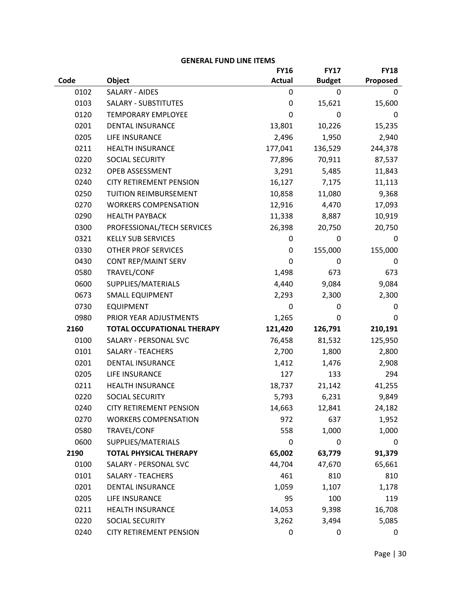|      |                                | <b>FY16</b>      | <b>FY17</b>   | <b>FY18</b> |
|------|--------------------------------|------------------|---------------|-------------|
| Code | Object                         | <b>Actual</b>    | <b>Budget</b> | Proposed    |
| 0102 | <b>SALARY - AIDES</b>          | 0                | 0             | 0           |
| 0103 | <b>SALARY - SUBSTITUTES</b>    | $\mathbf 0$      | 15,621        | 15,600      |
| 0120 | <b>TEMPORARY EMPLOYEE</b>      | $\boldsymbol{0}$ | 0             | 0           |
| 0201 | <b>DENTAL INSURANCE</b>        | 13,801           | 10,226        | 15,235      |
| 0205 | LIFE INSURANCE                 | 2,496            | 1,950         | 2,940       |
| 0211 | <b>HEALTH INSURANCE</b>        | 177,041          | 136,529       | 244,378     |
| 0220 | <b>SOCIAL SECURITY</b>         | 77,896           | 70,911        | 87,537      |
| 0232 | OPEB ASSESSMENT                | 3,291            | 5,485         | 11,843      |
| 0240 | <b>CITY RETIREMENT PENSION</b> | 16,127           | 7,175         | 11,113      |
| 0250 | TUITION REIMBURSEMENT          | 10,858           | 11,080        | 9,368       |
| 0270 | <b>WORKERS COMPENSATION</b>    | 12,916           | 4,470         | 17,093      |
| 0290 | <b>HEALTH PAYBACK</b>          | 11,338           | 8,887         | 10,919      |
| 0300 | PROFESSIONAL/TECH SERVICES     | 26,398           | 20,750        | 20,750      |
| 0321 | <b>KELLY SUB SERVICES</b>      | $\mathbf 0$      | $\pmb{0}$     | 0           |
| 0330 | <b>OTHER PROF SERVICES</b>     | 0                | 155,000       | 155,000     |
| 0430 | <b>CONT REP/MAINT SERV</b>     | $\pmb{0}$        | 0             | 0           |
| 0580 | TRAVEL/CONF                    | 1,498            | 673           | 673         |
| 0600 | SUPPLIES/MATERIALS             | 4,440            | 9,084         | 9,084       |
| 0673 | <b>SMALL EQUIPMENT</b>         | 2,293            | 2,300         | 2,300       |
| 0730 | <b>EQUIPMENT</b>               | $\mathbf 0$      | 0             | 0           |
| 0980 | PRIOR YEAR ADJUSTMENTS         | 1,265            | 0             | 0           |
| 2160 | TOTAL OCCUPATIONAL THERAPY     | 121,420          | 126,791       | 210,191     |
| 0100 | SALARY - PERSONAL SVC          | 76,458           | 81,532        | 125,950     |
| 0101 | <b>SALARY - TEACHERS</b>       | 2,700            | 1,800         | 2,800       |
| 0201 | <b>DENTAL INSURANCE</b>        | 1,412            | 1,476         | 2,908       |
| 0205 | LIFE INSURANCE                 | 127              | 133           | 294         |
| 0211 | <b>HEALTH INSURANCE</b>        | 18,737           | 21,142        | 41,255      |
| 0220 | SOCIAL SECURITY                | 5,793            | 6,231         | 9,849       |
| 0240 | <b>CITY RETIREMENT PENSION</b> | 14,663           | 12,841        | 24,182      |
| 0270 | <b>WORKERS COMPENSATION</b>    | 972              | 637           | 1,952       |
| 0580 | TRAVEL/CONF                    | 558              | 1,000         | 1,000       |
| 0600 | SUPPLIES/MATERIALS             | $\boldsymbol{0}$ | $\mathbf 0$   | 0           |
| 2190 | <b>TOTAL PHYSICAL THERAPY</b>  | 65,002           | 63,779        | 91,379      |
| 0100 | SALARY - PERSONAL SVC          | 44,704           | 47,670        | 65,661      |
| 0101 | <b>SALARY - TEACHERS</b>       | 461              | 810           | 810         |
| 0201 | <b>DENTAL INSURANCE</b>        | 1,059            | 1,107         | 1,178       |
| 0205 | LIFE INSURANCE                 | 95               | 100           | 119         |
| 0211 | <b>HEALTH INSURANCE</b>        | 14,053           | 9,398         | 16,708      |
| 0220 | SOCIAL SECURITY                | 3,262            | 3,494         | 5,085       |
| 0240 | <b>CITY RETIREMENT PENSION</b> | 0                | 0             | 0           |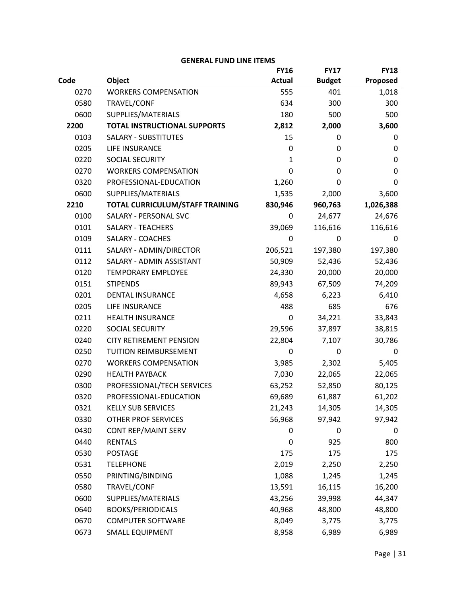## **Code Object FY16 Actual FY17 Budget FY18 Proposed** 0270 WORKERS COMPENSATION 555 401 1.018 0580 TRAVEL/CONF 634 300 300 300 0600 SUPPLIES/MATERIALS 180 500 500 500 **2200 TOTAL INSTRUCTIONAL SUPPORTS 2,812 2,000 3,600** 0103 SALARY - SUBSTITUTES 15 0 0 0 0205 LIFE INSURANCE 0 0 0 0220 SOCIAL SECURITY 1 0 0 0 0270 WORKERS COMPENSATION 0 0 0 0320 PROFESSIONAL-EDUCATION 1,260 0 0 0600 SUPPLIES/MATERIALS 1,535 2,000 3,600 **2210 TOTAL CURRICULUM/STAFF TRAINING 830,946 960,763 1,026,388** 0100 SALARY - PERSONAL SVC 0 24.677 24.676 0101 SALARY - TEACHERS 39,069 116,616 116,616 0109 SALARY - COACHES 0 0 0 0 0 0111 SALARY - ADMIN/DIRECTOR 206.521 197.380 197.380 0112 SALARY - ADMIN ASSISTANT 50,909 52,436 52,436 0120 TEMPORARY EMPLOYEE 24,330 20,000 20,000 0151 STIPENDS 89,943 67,509 74,209 0201 DENTAL INSURANCE 4,658 6,223 6,410 0205 LIFE INSURANCE 488 685 676 0211 HEALTH INSURANCE 0 0 34.221 33.843 0220 SOCIAL SECURITY 29,596 37,897 38,815 0240 CITY RETIREMENT PENSION 22,804 7,107 30,786 0250 TUITION REIMBURSEMENT 0 0 0 0270 WORKERS COMPENSATION 3,985 2,302 5,405 0290 HEALTH PAYBACK 7,030 22,065 22,065 0300 PROFESSIONAL/TECH SERVICES 63,252 52,850 80,125 0320 PROFESSIONAL-EDUCATION 69,689 61,887 61,202 0321 KELLY SUB SERVICES 21,243 14,305 14,305 0330 OTHER PROF SERVICES 65,968 97,942 97,942 0430 CONT REP/MAINT SERV 0 0 0 0 0 0440 RENTALS 0 925 800 0530 POSTAGE 175 175 175 175 0531 TELEPHONE 2,019 2,250 2,250 0550 PRINTING/BINDING 1,088 1,245 1,245 0580 TRAVEL/CONF 13,591 16,115 16,200 0600 SUPPLIES/MATERIALS 43,256 39,998 44,347 0640 BOOKS/PERIODICALS 40,968 48,800 48,800 0670 COMPUTER SOFTWARE 8,049 8,049 8,775 0673 SMALL EQUIPMENT 8,958 6,989 6,989 6,989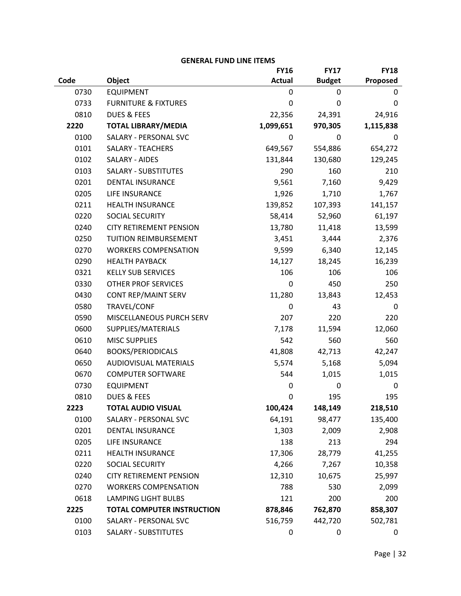|      |                                   | <b>FY16</b>   | <b>FY17</b>   | <b>FY18</b> |
|------|-----------------------------------|---------------|---------------|-------------|
| Code | Object                            | <b>Actual</b> | <b>Budget</b> | Proposed    |
| 0730 | <b>EQUIPMENT</b>                  | 0             | 0             | 0           |
| 0733 | <b>FURNITURE &amp; FIXTURES</b>   | $\mathbf 0$   | $\mathbf 0$   | 0           |
| 0810 | <b>DUES &amp; FEES</b>            | 22,356        | 24,391        | 24,916      |
| 2220 | <b>TOTAL LIBRARY/MEDIA</b>        | 1,099,651     | 970,305       | 1,115,838   |
| 0100 | SALARY - PERSONAL SVC             | 0             | 0             | 0           |
| 0101 | <b>SALARY - TEACHERS</b>          | 649,567       | 554,886       | 654,272     |
| 0102 | SALARY - AIDES                    | 131,844       | 130,680       | 129,245     |
| 0103 | <b>SALARY - SUBSTITUTES</b>       | 290           | 160           | 210         |
| 0201 | <b>DENTAL INSURANCE</b>           | 9,561         | 7,160         | 9,429       |
| 0205 | LIFE INSURANCE                    | 1,926         | 1,710         | 1,767       |
| 0211 | <b>HEALTH INSURANCE</b>           | 139,852       | 107,393       | 141,157     |
| 0220 | SOCIAL SECURITY                   | 58,414        | 52,960        | 61,197      |
| 0240 | <b>CITY RETIREMENT PENSION</b>    | 13,780        | 11,418        | 13,599      |
| 0250 | TUITION REIMBURSEMENT             | 3,451         | 3,444         | 2,376       |
| 0270 | <b>WORKERS COMPENSATION</b>       | 9,599         | 6,340         | 12,145      |
| 0290 | <b>HEALTH PAYBACK</b>             | 14,127        | 18,245        | 16,239      |
| 0321 | <b>KELLY SUB SERVICES</b>         | 106           | 106           | 106         |
| 0330 | <b>OTHER PROF SERVICES</b>        | $\mathbf 0$   | 450           | 250         |
| 0430 | <b>CONT REP/MAINT SERV</b>        | 11,280        | 13,843        | 12,453      |
| 0580 | TRAVEL/CONF                       | 0             | 43            | 0           |
| 0590 | MISCELLANEOUS PURCH SERV          | 207           | 220           | 220         |
| 0600 | SUPPLIES/MATERIALS                | 7,178         | 11,594        | 12,060      |
| 0610 | <b>MISC SUPPLIES</b>              | 542           | 560           | 560         |
| 0640 | <b>BOOKS/PERIODICALS</b>          | 41,808        | 42,713        | 42,247      |
| 0650 | <b>AUDIOVISUAL MATERIALS</b>      | 5,574         | 5,168         | 5,094       |
| 0670 | <b>COMPUTER SOFTWARE</b>          | 544           | 1,015         | 1,015       |
| 0730 | <b>EQUIPMENT</b>                  | 0             | $\mathbf 0$   | 0           |
| 0810 | <b>DUES &amp; FEES</b>            | $\mathbf 0$   | 195           | 195         |
| 2223 | <b>TOTAL AUDIO VISUAL</b>         | 100,424       | 148,149       | 218,510     |
| 0100 | <b>SALARY - PERSONAL SVC</b>      | 64,191        | 98,477        | 135,400     |
| 0201 | <b>DENTAL INSURANCE</b>           | 1,303         | 2,009         | 2,908       |
| 0205 | LIFE INSURANCE                    | 138           | 213           | 294         |
| 0211 | <b>HEALTH INSURANCE</b>           | 17,306        | 28,779        | 41,255      |
| 0220 | <b>SOCIAL SECURITY</b>            | 4,266         | 7,267         | 10,358      |
| 0240 | <b>CITY RETIREMENT PENSION</b>    | 12,310        | 10,675        | 25,997      |
| 0270 | <b>WORKERS COMPENSATION</b>       | 788           | 530           | 2,099       |
| 0618 | <b>LAMPING LIGHT BULBS</b>        | 121           | 200           | 200         |
| 2225 | <b>TOTAL COMPUTER INSTRUCTION</b> | 878,846       | 762,870       | 858,307     |
| 0100 | SALARY - PERSONAL SVC             | 516,759       | 442,720       | 502,781     |
| 0103 | <b>SALARY - SUBSTITUTES</b>       | 0             | 0             | 0           |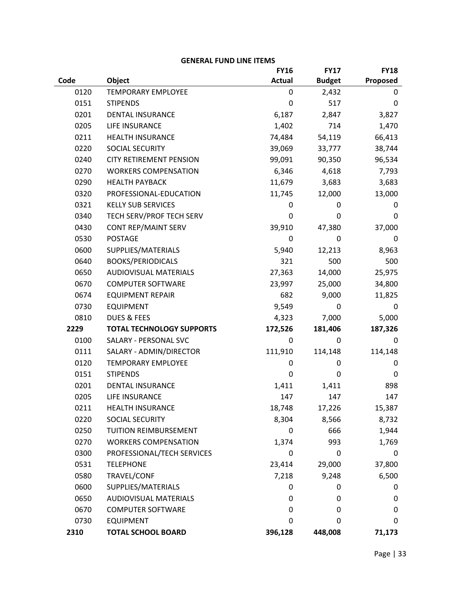|      |                                  | <b>FY16</b>   | <b>FY17</b>   | <b>FY18</b> |
|------|----------------------------------|---------------|---------------|-------------|
| Code | Object                           | <b>Actual</b> | <b>Budget</b> | Proposed    |
| 0120 | <b>TEMPORARY EMPLOYEE</b>        | 0             | 2,432         | 0           |
| 0151 | <b>STIPENDS</b>                  | 0             | 517           | 0           |
| 0201 | <b>DENTAL INSURANCE</b>          | 6,187         | 2,847         | 3,827       |
| 0205 | LIFE INSURANCE                   | 1,402         | 714           | 1,470       |
| 0211 | <b>HEALTH INSURANCE</b>          | 74,484        | 54,119        | 66,413      |
| 0220 | SOCIAL SECURITY                  | 39,069        | 33,777        | 38,744      |
| 0240 | <b>CITY RETIREMENT PENSION</b>   | 99,091        | 90,350        | 96,534      |
| 0270 | <b>WORKERS COMPENSATION</b>      | 6,346         | 4,618         | 7,793       |
| 0290 | <b>HEALTH PAYBACK</b>            | 11,679        | 3,683         | 3,683       |
| 0320 | PROFESSIONAL-EDUCATION           | 11,745        | 12,000        | 13,000      |
| 0321 | <b>KELLY SUB SERVICES</b>        | 0             | 0             | 0           |
| 0340 | TECH SERV/PROF TECH SERV         | 0             | 0             | 0           |
| 0430 | CONT REP/MAINT SERV              | 39,910        | 47,380        | 37,000      |
| 0530 | <b>POSTAGE</b>                   | 0             | 0             | 0           |
| 0600 | SUPPLIES/MATERIALS               | 5,940         | 12,213        | 8,963       |
| 0640 | <b>BOOKS/PERIODICALS</b>         | 321           | 500           | 500         |
| 0650 | <b>AUDIOVISUAL MATERIALS</b>     | 27,363        | 14,000        | 25,975      |
| 0670 | <b>COMPUTER SOFTWARE</b>         | 23,997        | 25,000        | 34,800      |
| 0674 | <b>EQUIPMENT REPAIR</b>          | 682           | 9,000         | 11,825      |
| 0730 | <b>EQUIPMENT</b>                 | 9,549         | 0             | 0           |
| 0810 | <b>DUES &amp; FEES</b>           | 4,323         | 7,000         | 5,000       |
| 2229 | <b>TOTAL TECHNOLOGY SUPPORTS</b> | 172,526       | 181,406       | 187,326     |
| 0100 | SALARY - PERSONAL SVC            | 0             | 0             | 0           |
| 0111 | SALARY - ADMIN/DIRECTOR          | 111,910       | 114,148       | 114,148     |
| 0120 | <b>TEMPORARY EMPLOYEE</b>        | 0             | 0             | 0           |
| 0151 | <b>STIPENDS</b>                  | 0             | $\mathbf 0$   | 0           |
| 0201 | DENTAL INSURANCE                 | 1,411         | 1,411         | 898         |
| 0205 | LIFE INSURANCE                   | 147           | 147           | 147         |
| 0211 | <b>HEALTH INSURANCE</b>          | 18,748        | 17,226        | 15,387      |
| 0220 | SOCIAL SECURITY                  | 8,304         | 8,566         | 8,732       |
| 0250 | <b>TUITION REIMBURSEMENT</b>     | 0             | 666           | 1,944       |
| 0270 | <b>WORKERS COMPENSATION</b>      | 1,374         | 993           | 1,769       |
| 0300 | PROFESSIONAL/TECH SERVICES       | 0             | $\pmb{0}$     | 0           |
| 0531 | <b>TELEPHONE</b>                 | 23,414        | 29,000        | 37,800      |
| 0580 | TRAVEL/CONF                      | 7,218         | 9,248         | 6,500       |
| 0600 | SUPPLIES/MATERIALS               | 0             | 0             | 0           |
| 0650 | <b>AUDIOVISUAL MATERIALS</b>     | 0             | 0             | 0           |
| 0670 | <b>COMPUTER SOFTWARE</b>         | 0             | 0             | 0           |
| 0730 | <b>EQUIPMENT</b>                 | 0             | 0             | 0           |
| 2310 | <b>TOTAL SCHOOL BOARD</b>        | 396,128       | 448,008       | 71,173      |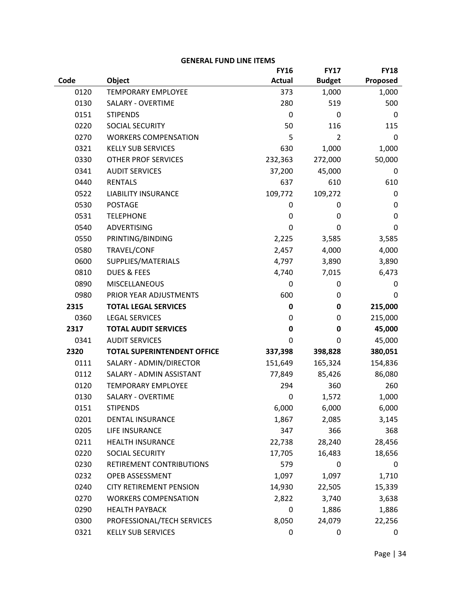|      |                                    | <b>FY16</b>   | <b>FY17</b>    | <b>FY18</b> |
|------|------------------------------------|---------------|----------------|-------------|
| Code | Object                             | <b>Actual</b> | <b>Budget</b>  | Proposed    |
| 0120 | <b>TEMPORARY EMPLOYEE</b>          | 373           | 1,000          | 1,000       |
| 0130 | SALARY - OVERTIME                  | 280           | 519            | 500         |
| 0151 | <b>STIPENDS</b>                    | 0             | 0              | 0           |
| 0220 | SOCIAL SECURITY                    | 50            | 116            | 115         |
| 0270 | <b>WORKERS COMPENSATION</b>        | 5             | $\overline{2}$ | 0           |
| 0321 | <b>KELLY SUB SERVICES</b>          | 630           | 1,000          | 1,000       |
| 0330 | <b>OTHER PROF SERVICES</b>         | 232,363       | 272,000        | 50,000      |
| 0341 | <b>AUDIT SERVICES</b>              | 37,200        | 45,000         | 0           |
| 0440 | <b>RENTALS</b>                     | 637           | 610            | 610         |
| 0522 | <b>LIABILITY INSURANCE</b>         | 109,772       | 109,272        | 0           |
| 0530 | <b>POSTAGE</b>                     | 0             | 0              | 0           |
| 0531 | <b>TELEPHONE</b>                   | 0             | 0              | 0           |
| 0540 | <b>ADVERTISING</b>                 | 0             | 0              | 0           |
| 0550 | PRINTING/BINDING                   | 2,225         | 3,585          | 3,585       |
| 0580 | TRAVEL/CONF                        | 2,457         | 4,000          | 4,000       |
| 0600 | SUPPLIES/MATERIALS                 | 4,797         | 3,890          | 3,890       |
| 0810 | <b>DUES &amp; FEES</b>             | 4,740         | 7,015          | 6,473       |
| 0890 | <b>MISCELLANEOUS</b>               | 0             | $\pmb{0}$      | 0           |
| 0980 | PRIOR YEAR ADJUSTMENTS             | 600           | 0              | 0           |
| 2315 | <b>TOTAL LEGAL SERVICES</b>        | 0             | 0              | 215,000     |
| 0360 | <b>LEGAL SERVICES</b>              | 0             | $\pmb{0}$      | 215,000     |
| 2317 | <b>TOTAL AUDIT SERVICES</b>        | 0             | $\mathbf 0$    | 45,000      |
| 0341 | <b>AUDIT SERVICES</b>              | 0             | 0              | 45,000      |
| 2320 | <b>TOTAL SUPERINTENDENT OFFICE</b> | 337,398       | 398,828        | 380,051     |
| 0111 | SALARY - ADMIN/DIRECTOR            | 151,649       | 165,324        | 154,836     |
| 0112 | SALARY - ADMIN ASSISTANT           | 77,849        | 85,426         | 86,080      |
| 0120 | <b>TEMPORARY EMPLOYEE</b>          | 294           | 360            | 260         |
| 0130 | <b>SALARY - OVERTIME</b>           | 0             | 1,572          | 1,000       |
| 0151 | <b>STIPENDS</b>                    | 6,000         | 6,000          | 6,000       |
| 0201 | DENTAL INSURANCE                   | 1,867         | 2,085          | 3,145       |
| 0205 | LIFE INSURANCE                     | 347           | 366            | 368         |
| 0211 | <b>HEALTH INSURANCE</b>            | 22,738        | 28,240         | 28,456      |
| 0220 | <b>SOCIAL SECURITY</b>             | 17,705        | 16,483         | 18,656      |
| 0230 | RETIREMENT CONTRIBUTIONS           | 579           | 0              | 0           |
| 0232 | OPEB ASSESSMENT                    | 1,097         | 1,097          | 1,710       |
| 0240 | <b>CITY RETIREMENT PENSION</b>     | 14,930        | 22,505         | 15,339      |
| 0270 | <b>WORKERS COMPENSATION</b>        | 2,822         | 3,740          | 3,638       |
| 0290 | <b>HEALTH PAYBACK</b>              | 0             | 1,886          | 1,886       |
| 0300 | PROFESSIONAL/TECH SERVICES         | 8,050         | 24,079         | 22,256      |
| 0321 | <b>KELLY SUB SERVICES</b>          | 0             | 0              | 0           |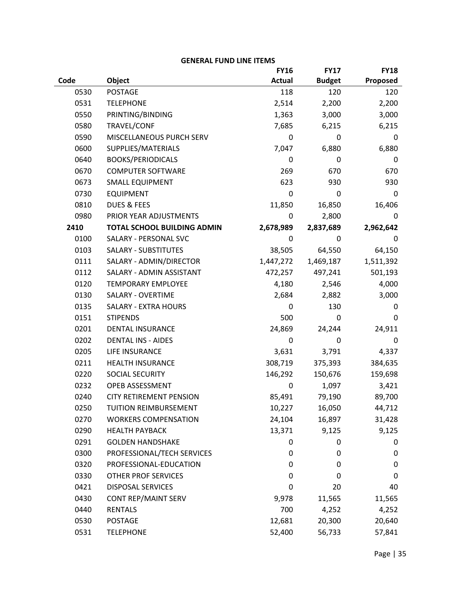|      |                                    | <b>FY16</b>   | <b>FY17</b>   | <b>FY18</b> |
|------|------------------------------------|---------------|---------------|-------------|
| Code | Object                             | <b>Actual</b> | <b>Budget</b> | Proposed    |
| 0530 | <b>POSTAGE</b>                     | 118           | 120           | 120         |
| 0531 | <b>TELEPHONE</b>                   | 2,514         | 2,200         | 2,200       |
| 0550 | PRINTING/BINDING                   | 1,363         | 3,000         | 3,000       |
| 0580 | TRAVEL/CONF                        | 7,685         | 6,215         | 6,215       |
| 0590 | MISCELLANEOUS PURCH SERV           | 0             | 0             | 0           |
| 0600 | SUPPLIES/MATERIALS                 | 7,047         | 6,880         | 6,880       |
| 0640 | <b>BOOKS/PERIODICALS</b>           | 0             | 0             | 0           |
| 0670 | <b>COMPUTER SOFTWARE</b>           | 269           | 670           | 670         |
| 0673 | <b>SMALL EQUIPMENT</b>             | 623           | 930           | 930         |
| 0730 | <b>EQUIPMENT</b>                   | $\mathbf 0$   | $\mathbf 0$   | 0           |
| 0810 | <b>DUES &amp; FEES</b>             | 11,850        | 16,850        | 16,406      |
| 0980 | PRIOR YEAR ADJUSTMENTS             | 0             | 2,800         | 0           |
| 2410 | <b>TOTAL SCHOOL BUILDING ADMIN</b> | 2,678,989     | 2,837,689     | 2,962,642   |
| 0100 | SALARY - PERSONAL SVC              | 0             | 0             | 0           |
| 0103 | <b>SALARY - SUBSTITUTES</b>        | 38,505        | 64,550        | 64,150      |
| 0111 | SALARY - ADMIN/DIRECTOR            | 1,447,272     | 1,469,187     | 1,511,392   |
| 0112 | SALARY - ADMIN ASSISTANT           | 472,257       | 497,241       | 501,193     |
| 0120 | <b>TEMPORARY EMPLOYEE</b>          | 4,180         | 2,546         | 4,000       |
| 0130 | <b>SALARY - OVERTIME</b>           | 2,684         | 2,882         | 3,000       |
| 0135 | <b>SALARY - EXTRA HOURS</b>        | 0             | 130           | 0           |
| 0151 | <b>STIPENDS</b>                    | 500           | 0             | 0           |
| 0201 | <b>DENTAL INSURANCE</b>            | 24,869        | 24,244        | 24,911      |
| 0202 | <b>DENTAL INS - AIDES</b>          | 0             | 0             | 0           |
| 0205 | LIFE INSURANCE                     | 3,631         | 3,791         | 4,337       |
| 0211 | <b>HEALTH INSURANCE</b>            | 308,719       | 375,393       | 384,635     |
| 0220 | SOCIAL SECURITY                    | 146,292       | 150,676       | 159,698     |
| 0232 | OPEB ASSESSMENT                    | 0             | 1,097         | 3,421       |
| 0240 | <b>CITY RETIREMENT PENSION</b>     | 85,491        | 79,190        | 89,700      |
| 0250 | <b>TUITION REIMBURSEMENT</b>       | 10,227        | 16,050        | 44,712      |
| 0270 | <b>WORKERS COMPENSATION</b>        | 24,104        | 16,897        | 31,428      |
| 0290 | <b>HEALTH PAYBACK</b>              | 13,371        | 9,125         | 9,125       |
| 0291 | <b>GOLDEN HANDSHAKE</b>            | 0             | 0             | 0           |
| 0300 | PROFESSIONAL/TECH SERVICES         | 0             | $\pmb{0}$     | 0           |
| 0320 | PROFESSIONAL-EDUCATION             | 0             | 0             | 0           |
| 0330 | <b>OTHER PROF SERVICES</b>         | 0             | 0             | 0           |
| 0421 | <b>DISPOSAL SERVICES</b>           | 0             | 20            | 40          |
| 0430 | <b>CONT REP/MAINT SERV</b>         | 9,978         | 11,565        | 11,565      |
| 0440 | <b>RENTALS</b>                     | 700           | 4,252         | 4,252       |
| 0530 | <b>POSTAGE</b>                     | 12,681        | 20,300        | 20,640      |
| 0531 | <b>TELEPHONE</b>                   | 52,400        | 56,733        | 57,841      |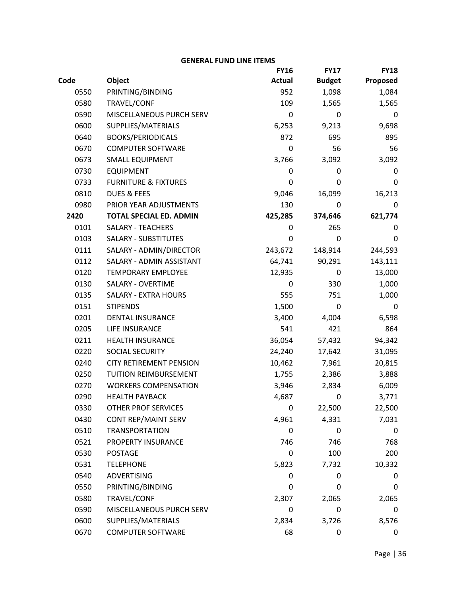|      |                                 | <b>FY16</b>      | <b>FY17</b>      | <b>FY18</b> |
|------|---------------------------------|------------------|------------------|-------------|
| Code | Object                          | <b>Actual</b>    | <b>Budget</b>    | Proposed    |
| 0550 | PRINTING/BINDING                | 952              | 1,098            | 1,084       |
| 0580 | TRAVEL/CONF                     | 109              | 1,565            | 1,565       |
| 0590 | MISCELLANEOUS PURCH SERV        | 0                | 0                | 0           |
| 0600 | SUPPLIES/MATERIALS              | 6,253            | 9,213            | 9,698       |
| 0640 | <b>BOOKS/PERIODICALS</b>        | 872              | 695              | 895         |
| 0670 | <b>COMPUTER SOFTWARE</b>        | 0                | 56               | 56          |
| 0673 | <b>SMALL EQUIPMENT</b>          | 3,766            | 3,092            | 3,092       |
| 0730 | <b>EQUIPMENT</b>                | 0                | 0                | 0           |
| 0733 | <b>FURNITURE &amp; FIXTURES</b> | 0                | 0                | 0           |
| 0810 | <b>DUES &amp; FEES</b>          | 9,046            | 16,099           | 16,213      |
| 0980 | PRIOR YEAR ADJUSTMENTS          | 130              | 0                | 0           |
| 2420 | <b>TOTAL SPECIAL ED. ADMIN</b>  | 425,285          | 374,646          | 621,774     |
| 0101 | <b>SALARY - TEACHERS</b>        | 0                | 265              | 0           |
| 0103 | <b>SALARY - SUBSTITUTES</b>     | 0                | 0                | 0           |
| 0111 | SALARY - ADMIN/DIRECTOR         | 243,672          | 148,914          | 244,593     |
| 0112 | SALARY - ADMIN ASSISTANT        | 64,741           | 90,291           | 143,111     |
| 0120 | <b>TEMPORARY EMPLOYEE</b>       | 12,935           | $\pmb{0}$        | 13,000      |
| 0130 | SALARY - OVERTIME               | 0                | 330              | 1,000       |
| 0135 | <b>SALARY - EXTRA HOURS</b>     | 555              | 751              | 1,000       |
| 0151 | <b>STIPENDS</b>                 | 1,500            | $\boldsymbol{0}$ | 0           |
| 0201 | <b>DENTAL INSURANCE</b>         | 3,400            | 4,004            | 6,598       |
| 0205 | LIFE INSURANCE                  | 541              | 421              | 864         |
| 0211 | <b>HEALTH INSURANCE</b>         | 36,054           | 57,432           | 94,342      |
| 0220 | SOCIAL SECURITY                 | 24,240           | 17,642           | 31,095      |
| 0240 | <b>CITY RETIREMENT PENSION</b>  | 10,462           | 7,961            | 20,815      |
| 0250 | <b>TUITION REIMBURSEMENT</b>    | 1,755            | 2,386            | 3,888       |
| 0270 | <b>WORKERS COMPENSATION</b>     | 3,946            | 2,834            | 6,009       |
| 0290 | <b>HEALTH PAYBACK</b>           | 4,687            | $\boldsymbol{0}$ | 3,771       |
| 0330 | <b>OTHER PROF SERVICES</b>      | 0                | 22,500           | 22,500      |
| 0430 | <b>CONT REP/MAINT SERV</b>      | 4,961            | 4,331            | 7,031       |
| 0510 | <b>TRANSPORTATION</b>           | 0                | 0                | 0           |
| 0521 | PROPERTY INSURANCE              | 746              | 746              | 768         |
| 0530 | <b>POSTAGE</b>                  | 0                | 100              | 200         |
| 0531 | <b>TELEPHONE</b>                | 5,823            | 7,732            | 10,332      |
| 0540 | <b>ADVERTISING</b>              | 0                | 0                | 0           |
| 0550 | PRINTING/BINDING                | 0                | $\mathbf 0$      | 0           |
| 0580 | TRAVEL/CONF                     | 2,307            | 2,065            | 2,065       |
| 0590 | MISCELLANEOUS PURCH SERV        | $\boldsymbol{0}$ | $\mathbf 0$      | 0           |
| 0600 | SUPPLIES/MATERIALS              | 2,834            | 3,726            | 8,576       |
| 0670 | <b>COMPUTER SOFTWARE</b>        | 68               | 0                | 0           |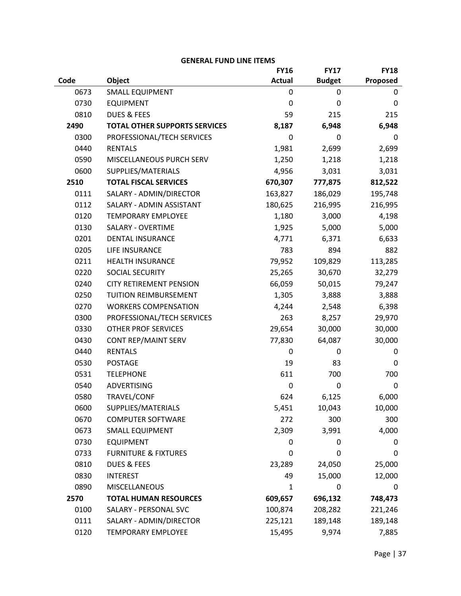| <b>GENERAL FUND LINE ITEMS</b> |  |  |
|--------------------------------|--|--|
|--------------------------------|--|--|

|      |                                      | <b>FY16</b>      | <b>FY17</b>   | <b>FY18</b> |
|------|--------------------------------------|------------------|---------------|-------------|
| Code | Object                               | <b>Actual</b>    | <b>Budget</b> | Proposed    |
| 0673 | <b>SMALL EQUIPMENT</b>               | $\mathbf 0$      | 0             | 0           |
| 0730 | <b>EQUIPMENT</b>                     | $\boldsymbol{0}$ | 0             | 0           |
| 0810 | <b>DUES &amp; FEES</b>               | 59               | 215           | 215         |
| 2490 | <b>TOTAL OTHER SUPPORTS SERVICES</b> | 8,187            | 6,948         | 6,948       |
| 0300 | PROFESSIONAL/TECH SERVICES           | 0                | 0             | 0           |
| 0440 | <b>RENTALS</b>                       | 1,981            | 2,699         | 2,699       |
| 0590 | MISCELLANEOUS PURCH SERV             | 1,250            | 1,218         | 1,218       |
| 0600 | SUPPLIES/MATERIALS                   | 4,956            | 3,031         | 3,031       |
| 2510 | <b>TOTAL FISCAL SERVICES</b>         | 670,307          | 777,875       | 812,522     |
| 0111 | SALARY - ADMIN/DIRECTOR              | 163,827          | 186,029       | 195,748     |
| 0112 | SALARY - ADMIN ASSISTANT             | 180,625          | 216,995       | 216,995     |
| 0120 | <b>TEMPORARY EMPLOYEE</b>            | 1,180            | 3,000         | 4,198       |
| 0130 | SALARY - OVERTIME                    | 1,925            | 5,000         | 5,000       |
| 0201 | <b>DENTAL INSURANCE</b>              | 4,771            | 6,371         | 6,633       |
| 0205 | LIFE INSURANCE                       | 783              | 894           | 882         |
| 0211 | <b>HEALTH INSURANCE</b>              | 79,952           | 109,829       | 113,285     |
| 0220 | <b>SOCIAL SECURITY</b>               | 25,265           | 30,670        | 32,279      |
| 0240 | <b>CITY RETIREMENT PENSION</b>       | 66,059           | 50,015        | 79,247      |
| 0250 | TUITION REIMBURSEMENT                | 1,305            | 3,888         | 3,888       |
| 0270 | <b>WORKERS COMPENSATION</b>          | 4,244            | 2,548         | 6,398       |
| 0300 | PROFESSIONAL/TECH SERVICES           | 263              | 8,257         | 29,970      |
| 0330 | <b>OTHER PROF SERVICES</b>           | 29,654           | 30,000        | 30,000      |
| 0430 | CONT REP/MAINT SERV                  | 77,830           | 64,087        | 30,000      |
| 0440 | <b>RENTALS</b>                       | 0                | 0             | 0           |
| 0530 | <b>POSTAGE</b>                       | 19               | 83            | 0           |
| 0531 | <b>TELEPHONE</b>                     | 611              | 700           | 700         |
| 0540 | ADVERTISING                          | 0                | 0             | 0           |
| 0580 | TRAVEL/CONF                          | 624              | 6,125         | 6,000       |
| 0600 | SUPPLIES/MATERIALS                   | 5,451            | 10,043        | 10,000      |
| 0670 | <b>COMPUTER SOFTWARE</b>             | 272              | 300           | 300         |
| 0673 | <b>SMALL EQUIPMENT</b>               | 2,309            | 3,991         | 4,000       |
| 0730 | <b>EQUIPMENT</b>                     | 0                | 0             | 0           |
| 0733 | <b>FURNITURE &amp; FIXTURES</b>      | 0                | 0             | 0           |
| 0810 | <b>DUES &amp; FEES</b>               | 23,289           | 24,050        | 25,000      |
| 0830 | <b>INTEREST</b>                      | 49               | 15,000        | 12,000      |
| 0890 | <b>MISCELLANEOUS</b>                 | $\mathbf{1}$     | 0             | 0           |
| 2570 | <b>TOTAL HUMAN RESOURCES</b>         | 609,657          | 696,132       | 748,473     |
| 0100 | SALARY - PERSONAL SVC                | 100,874          | 208,282       | 221,246     |
| 0111 | SALARY - ADMIN/DIRECTOR              | 225,121          | 189,148       | 189,148     |
| 0120 | <b>TEMPORARY EMPLOYEE</b>            | 15,495           | 9,974         | 7,885       |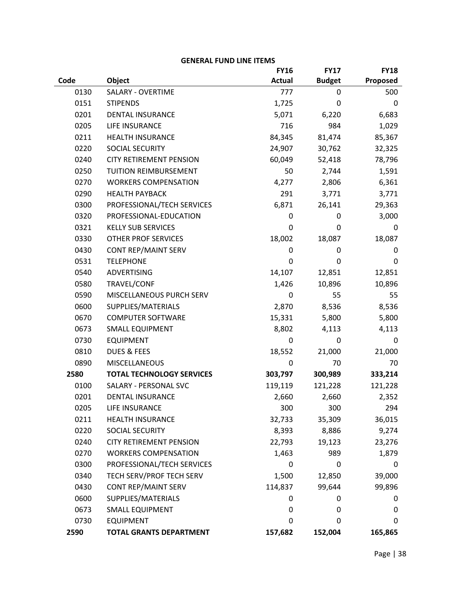|      |                                  | <b>FY16</b>   | <b>FY17</b>   | <b>FY18</b> |
|------|----------------------------------|---------------|---------------|-------------|
| Code | Object                           | <b>Actual</b> | <b>Budget</b> | Proposed    |
| 0130 | <b>SALARY - OVERTIME</b>         | 777           | 0             | 500         |
| 0151 | <b>STIPENDS</b>                  | 1,725         | 0             | 0           |
| 0201 | <b>DENTAL INSURANCE</b>          | 5,071         | 6,220         | 6,683       |
| 0205 | LIFE INSURANCE                   | 716           | 984           | 1,029       |
| 0211 | <b>HEALTH INSURANCE</b>          | 84,345        | 81,474        | 85,367      |
| 0220 | SOCIAL SECURITY                  | 24,907        | 30,762        | 32,325      |
| 0240 | <b>CITY RETIREMENT PENSION</b>   | 60,049        | 52,418        | 78,796      |
| 0250 | <b>TUITION REIMBURSEMENT</b>     | 50            | 2,744         | 1,591       |
| 0270 | <b>WORKERS COMPENSATION</b>      | 4,277         | 2,806         | 6,361       |
| 0290 | <b>HEALTH PAYBACK</b>            | 291           | 3,771         | 3,771       |
| 0300 | PROFESSIONAL/TECH SERVICES       | 6,871         | 26,141        | 29,363      |
| 0320 | PROFESSIONAL-EDUCATION           | 0             | 0             | 3,000       |
| 0321 | <b>KELLY SUB SERVICES</b>        | 0             | 0             | 0           |
| 0330 | <b>OTHER PROF SERVICES</b>       | 18,002        | 18,087        | 18,087      |
| 0430 | <b>CONT REP/MAINT SERV</b>       | 0             | 0             | 0           |
| 0531 | <b>TELEPHONE</b>                 | 0             | 0             | 0           |
| 0540 | <b>ADVERTISING</b>               | 14,107        | 12,851        | 12,851      |
| 0580 | TRAVEL/CONF                      | 1,426         | 10,896        | 10,896      |
| 0590 | MISCELLANEOUS PURCH SERV         | 0             | 55            | 55          |
| 0600 | SUPPLIES/MATERIALS               | 2,870         | 8,536         | 8,536       |
| 0670 | <b>COMPUTER SOFTWARE</b>         | 15,331        | 5,800         | 5,800       |
| 0673 | <b>SMALL EQUIPMENT</b>           | 8,802         | 4,113         | 4,113       |
| 0730 | <b>EQUIPMENT</b>                 | 0             | 0             | 0           |
| 0810 | <b>DUES &amp; FEES</b>           | 18,552        | 21,000        | 21,000      |
| 0890 | <b>MISCELLANEOUS</b>             | 0             | 70            | 70          |
| 2580 | <b>TOTAL TECHNOLOGY SERVICES</b> | 303,797       | 300,989       | 333,214     |
| 0100 | SALARY - PERSONAL SVC            | 119,119       | 121,228       | 121,228     |
| 0201 | <b>DENTAL INSURANCE</b>          | 2,660         | 2,660         | 2,352       |
| 0205 | LIFE INSURANCE                   | 300           | 300           | 294         |
| 0211 | <b>HEALTH INSURANCE</b>          | 32,733        | 35,309        | 36,015      |
| 0220 | SOCIAL SECURITY                  | 8,393         | 8,886         | 9,274       |
| 0240 | <b>CITY RETIREMENT PENSION</b>   | 22,793        | 19,123        | 23,276      |
| 0270 | <b>WORKERS COMPENSATION</b>      | 1,463         | 989           | 1,879       |
| 0300 | PROFESSIONAL/TECH SERVICES       | 0             | 0             | 0           |
| 0340 | TECH SERV/PROF TECH SERV         | 1,500         | 12,850        | 39,000      |
| 0430 | <b>CONT REP/MAINT SERV</b>       | 114,837       | 99,644        | 99,896      |
| 0600 | SUPPLIES/MATERIALS               | 0             | 0             | 0           |
| 0673 | <b>SMALL EQUIPMENT</b>           | 0             | 0             | 0           |
| 0730 | <b>EQUIPMENT</b>                 | $\Omega$      | $\Omega$      | 0           |
| 2590 | <b>TOTAL GRANTS DEPARTMENT</b>   | 157,682       | 152,004       | 165,865     |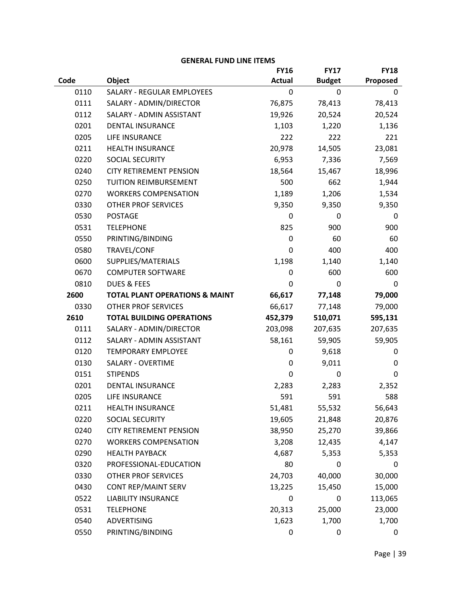|      |                                           | <b>FY16</b>   | <b>FY17</b>   | <b>FY18</b> |
|------|-------------------------------------------|---------------|---------------|-------------|
| Code | Object                                    | <b>Actual</b> | <b>Budget</b> | Proposed    |
| 0110 | <b>SALARY - REGULAR EMPLOYEES</b>         | $\mathbf 0$   | 0             | 0           |
| 0111 | SALARY - ADMIN/DIRECTOR                   | 76,875        | 78,413        | 78,413      |
| 0112 | SALARY - ADMIN ASSISTANT                  | 19,926        | 20,524        | 20,524      |
| 0201 | <b>DENTAL INSURANCE</b>                   | 1,103         | 1,220         | 1,136       |
| 0205 | LIFE INSURANCE                            | 222           | 222           | 221         |
| 0211 | <b>HEALTH INSURANCE</b>                   | 20,978        | 14,505        | 23,081      |
| 0220 | SOCIAL SECURITY                           | 6,953         | 7,336         | 7,569       |
| 0240 | <b>CITY RETIREMENT PENSION</b>            | 18,564        | 15,467        | 18,996      |
| 0250 | TUITION REIMBURSEMENT                     | 500           | 662           | 1,944       |
| 0270 | <b>WORKERS COMPENSATION</b>               | 1,189         | 1,206         | 1,534       |
| 0330 | <b>OTHER PROF SERVICES</b>                | 9,350         | 9,350         | 9,350       |
| 0530 | <b>POSTAGE</b>                            | 0             | 0             | 0           |
| 0531 | <b>TELEPHONE</b>                          | 825           | 900           | 900         |
| 0550 | PRINTING/BINDING                          | $\mathbf 0$   | 60            | 60          |
| 0580 | TRAVEL/CONF                               | 0             | 400           | 400         |
| 0600 | SUPPLIES/MATERIALS                        | 1,198         | 1,140         | 1,140       |
| 0670 | <b>COMPUTER SOFTWARE</b>                  | $\mathbf 0$   | 600           | 600         |
| 0810 | <b>DUES &amp; FEES</b>                    | 0             | 0             | 0           |
| 2600 | <b>TOTAL PLANT OPERATIONS &amp; MAINT</b> | 66,617        | 77,148        | 79,000      |
| 0330 | <b>OTHER PROF SERVICES</b>                | 66,617        | 77,148        | 79,000      |
| 2610 | <b>TOTAL BUILDING OPERATIONS</b>          | 452,379       | 510,071       | 595,131     |
| 0111 | SALARY - ADMIN/DIRECTOR                   | 203,098       | 207,635       | 207,635     |
| 0112 | SALARY - ADMIN ASSISTANT                  | 58,161        | 59,905        | 59,905      |
| 0120 | <b>TEMPORARY EMPLOYEE</b>                 | 0             | 9,618         | 0           |
| 0130 | <b>SALARY - OVERTIME</b>                  | $\mathbf 0$   | 9,011         | 0           |
| 0151 | <b>STIPENDS</b>                           | 0             | $\mathbf 0$   | 0           |
| 0201 | <b>DENTAL INSURANCE</b>                   | 2,283         | 2,283         | 2,352       |
| 0205 | <b>LIFE INSURANCE</b>                     | 591           | 591           | 588         |
| 0211 | <b>HEALTH INSURANCE</b>                   | 51,481        | 55,532        | 56,643      |
| 0220 | SOCIAL SECURITY                           | 19,605        | 21,848        | 20,876      |
| 0240 | <b>CITY RETIREMENT PENSION</b>            | 38,950        | 25,270        | 39,866      |
| 0270 | <b>WORKERS COMPENSATION</b>               | 3,208         | 12,435        | 4,147       |
| 0290 | <b>HEALTH PAYBACK</b>                     | 4,687         | 5,353         | 5,353       |
| 0320 | PROFESSIONAL-EDUCATION                    | 80            | 0             | 0           |
| 0330 | <b>OTHER PROF SERVICES</b>                | 24,703        | 40,000        | 30,000      |
| 0430 | <b>CONT REP/MAINT SERV</b>                | 13,225        | 15,450        | 15,000      |
| 0522 | <b>LIABILITY INSURANCE</b>                | $\mathbf 0$   | $\mathbf 0$   | 113,065     |
| 0531 | <b>TELEPHONE</b>                          | 20,313        | 25,000        | 23,000      |
| 0540 | <b>ADVERTISING</b>                        | 1,623         | 1,700         | 1,700       |
| 0550 | PRINTING/BINDING                          | 0             | 0             | 0           |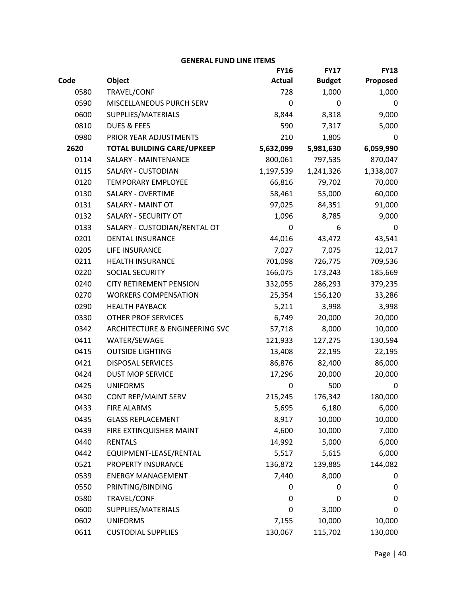|      |                                   | <b>FY16</b>   | <b>FY17</b>   | <b>FY18</b> |
|------|-----------------------------------|---------------|---------------|-------------|
| Code | Object                            | <b>Actual</b> | <b>Budget</b> | Proposed    |
| 0580 | TRAVEL/CONF                       | 728           | 1,000         | 1,000       |
| 0590 | MISCELLANEOUS PURCH SERV          | 0             | $\mathbf 0$   | 0           |
| 0600 | SUPPLIES/MATERIALS                | 8,844         | 8,318         | 9,000       |
| 0810 | <b>DUES &amp; FEES</b>            | 590           | 7,317         | 5,000       |
| 0980 | PRIOR YEAR ADJUSTMENTS            | 210           | 1,805         | 0           |
| 2620 | <b>TOTAL BUILDING CARE/UPKEEP</b> | 5,632,099     | 5,981,630     | 6,059,990   |
| 0114 | <b>SALARY - MAINTENANCE</b>       | 800,061       | 797,535       | 870,047     |
| 0115 | <b>SALARY - CUSTODIAN</b>         | 1,197,539     | 1,241,326     | 1,338,007   |
| 0120 | <b>TEMPORARY EMPLOYEE</b>         | 66,816        | 79,702        | 70,000      |
| 0130 | <b>SALARY - OVERTIME</b>          | 58,461        | 55,000        | 60,000      |
| 0131 | <b>SALARY - MAINT OT</b>          | 97,025        | 84,351        | 91,000      |
| 0132 | <b>SALARY - SECURITY OT</b>       | 1,096         | 8,785         | 9,000       |
| 0133 | SALARY - CUSTODIAN/RENTAL OT      | 0             | 6             | 0           |
| 0201 | <b>DENTAL INSURANCE</b>           | 44,016        | 43,472        | 43,541      |
| 0205 | LIFE INSURANCE                    | 7,027         | 7,075         | 12,017      |
| 0211 | <b>HEALTH INSURANCE</b>           | 701,098       | 726,775       | 709,536     |
| 0220 | SOCIAL SECURITY                   | 166,075       | 173,243       | 185,669     |
| 0240 | <b>CITY RETIREMENT PENSION</b>    | 332,055       | 286,293       | 379,235     |
| 0270 | <b>WORKERS COMPENSATION</b>       | 25,354        | 156,120       | 33,286      |
| 0290 | <b>HEALTH PAYBACK</b>             | 5,211         | 3,998         | 3,998       |
| 0330 | OTHER PROF SERVICES               | 6,749         | 20,000        | 20,000      |
| 0342 | ARCHITECTURE & ENGINEERING SVC    | 57,718        | 8,000         | 10,000      |
| 0411 | WATER/SEWAGE                      | 121,933       | 127,275       | 130,594     |
| 0415 | <b>OUTSIDE LIGHTING</b>           | 13,408        | 22,195        | 22,195      |
| 0421 | <b>DISPOSAL SERVICES</b>          | 86,876        | 82,400        | 86,000      |
| 0424 | <b>DUST MOP SERVICE</b>           | 17,296        | 20,000        | 20,000      |
| 0425 | <b>UNIFORMS</b>                   | 0             | 500           | 0           |
| 0430 | CONT REP/MAINT SERV               | 215,245       | 176,342       | 180,000     |
| 0433 | <b>FIRE ALARMS</b>                | 5,695         | 6,180         | 6,000       |
| 0435 | <b>GLASS REPLACEMENT</b>          | 8,917         | 10,000        | 10,000      |
| 0439 | FIRE EXTINQUISHER MAINT           | 4,600         | 10,000        | 7,000       |
| 0440 | <b>RENTALS</b>                    | 14,992        | 5,000         | 6,000       |
| 0442 | EQUIPMENT-LEASE/RENTAL            | 5,517         | 5,615         | 6,000       |
| 0521 | PROPERTY INSURANCE                | 136,872       | 139,885       | 144,082     |
| 0539 | <b>ENERGY MANAGEMENT</b>          | 7,440         | 8,000         | 0           |
| 0550 | PRINTING/BINDING                  | 0             | 0             | 0           |
| 0580 | TRAVEL/CONF                       | 0             | 0             | 0           |
| 0600 | SUPPLIES/MATERIALS                | $\mathbf 0$   | 3,000         | 0           |
| 0602 | <b>UNIFORMS</b>                   | 7,155         | 10,000        | 10,000      |
| 0611 | <b>CUSTODIAL SUPPLIES</b>         | 130,067       | 115,702       | 130,000     |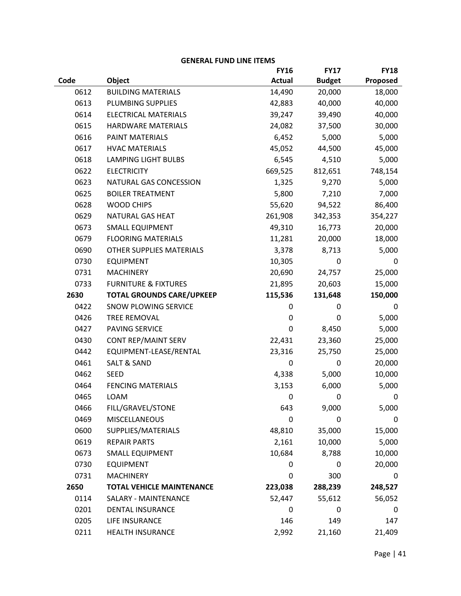|      |                                  | <b>FY16</b>   | <b>FY17</b>   | <b>FY18</b> |
|------|----------------------------------|---------------|---------------|-------------|
| Code | Object                           | <b>Actual</b> | <b>Budget</b> | Proposed    |
| 0612 | <b>BUILDING MATERIALS</b>        | 14,490        | 20,000        | 18,000      |
| 0613 | PLUMBING SUPPLIES                | 42,883        | 40,000        | 40,000      |
| 0614 | <b>ELECTRICAL MATERIALS</b>      | 39,247        | 39,490        | 40,000      |
| 0615 | HARDWARE MATERIALS               | 24,082        | 37,500        | 30,000      |
| 0616 | PAINT MATERIALS                  | 6,452         | 5,000         | 5,000       |
| 0617 | <b>HVAC MATERIALS</b>            | 45,052        | 44,500        | 45,000      |
| 0618 | <b>LAMPING LIGHT BULBS</b>       | 6,545         | 4,510         | 5,000       |
| 0622 | <b>ELECTRICITY</b>               | 669,525       | 812,651       | 748,154     |
| 0623 | NATURAL GAS CONCESSION           | 1,325         | 9,270         | 5,000       |
| 0625 | <b>BOILER TREATMENT</b>          | 5,800         | 7,210         | 7,000       |
| 0628 | <b>WOOD CHIPS</b>                | 55,620        | 94,522        | 86,400      |
| 0629 | NATURAL GAS HEAT                 | 261,908       | 342,353       | 354,227     |
| 0673 | <b>SMALL EQUIPMENT</b>           | 49,310        | 16,773        | 20,000      |
| 0679 | <b>FLOORING MATERIALS</b>        | 11,281        | 20,000        | 18,000      |
| 0690 | OTHER SUPPLIES MATERIALS         | 3,378         | 8,713         | 5,000       |
| 0730 | <b>EQUIPMENT</b>                 | 10,305        | 0             | 0           |
| 0731 | <b>MACHINERY</b>                 | 20,690        | 24,757        | 25,000      |
| 0733 | <b>FURNITURE &amp; FIXTURES</b>  | 21,895        | 20,603        | 15,000      |
| 2630 | <b>TOTAL GROUNDS CARE/UPKEEP</b> | 115,536       | 131,648       | 150,000     |
| 0422 | SNOW PLOWING SERVICE             | 0             | 0             | 0           |
| 0426 | <b>TREE REMOVAL</b>              | 0             | 0             | 5,000       |
| 0427 | PAVING SERVICE                   | $\mathbf 0$   | 8,450         | 5,000       |
| 0430 | CONT REP/MAINT SERV              | 22,431        | 23,360        | 25,000      |
| 0442 | EQUIPMENT-LEASE/RENTAL           | 23,316        | 25,750        | 25,000      |
| 0461 | <b>SALT &amp; SAND</b>           | $\pmb{0}$     | 0             | 20,000      |
| 0462 | <b>SEED</b>                      | 4,338         | 5,000         | 10,000      |
| 0464 | <b>FENCING MATERIALS</b>         | 3,153         | 6,000         | 5,000       |
| 0465 | LOAM                             | $\mathbf 0$   | 0             | 0           |
| 0466 | FILL/GRAVEL/STONE                | 643           | 9,000         | 5,000       |
| 0469 | <b>MISCELLANEOUS</b>             | $\mathbf 0$   | 0             | 0           |
| 0600 | SUPPLIES/MATERIALS               | 48,810        | 35,000        | 15,000      |
| 0619 | <b>REPAIR PARTS</b>              | 2,161         | 10,000        | 5,000       |
| 0673 | <b>SMALL EQUIPMENT</b>           | 10,684        | 8,788         | 10,000      |
| 0730 | <b>EQUIPMENT</b>                 | 0             | 0             | 20,000      |
| 0731 | <b>MACHINERY</b>                 | 0             | 300           | 0           |
| 2650 | <b>TOTAL VEHICLE MAINTENANCE</b> | 223,038       | 288,239       | 248,527     |
| 0114 | <b>SALARY - MAINTENANCE</b>      | 52,447        | 55,612        | 56,052      |
| 0201 | <b>DENTAL INSURANCE</b>          | 0             | 0             | 0           |
| 0205 | LIFE INSURANCE                   | 146           | 149           | 147         |
| 0211 | <b>HEALTH INSURANCE</b>          | 2,992         | 21,160        | 21,409      |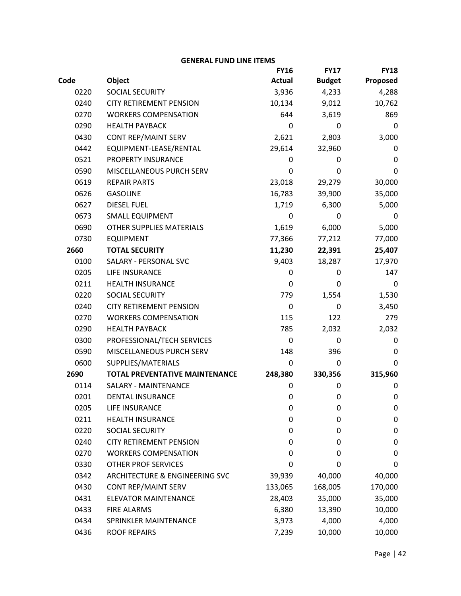|      |                                       | <b>FY16</b>   | <b>FY17</b>   | <b>FY18</b> |
|------|---------------------------------------|---------------|---------------|-------------|
| Code | Object                                | <b>Actual</b> | <b>Budget</b> | Proposed    |
| 0220 | <b>SOCIAL SECURITY</b>                | 3,936         | 4,233         | 4,288       |
| 0240 | <b>CITY RETIREMENT PENSION</b>        | 10,134        | 9,012         | 10,762      |
| 0270 | <b>WORKERS COMPENSATION</b>           | 644           | 3,619         | 869         |
| 0290 | <b>HEALTH PAYBACK</b>                 | 0             | 0             | 0           |
| 0430 | <b>CONT REP/MAINT SERV</b>            | 2,621         | 2,803         | 3,000       |
| 0442 | EQUIPMENT-LEASE/RENTAL                | 29,614        | 32,960        | 0           |
| 0521 | PROPERTY INSURANCE                    | 0             | 0             | 0           |
| 0590 | MISCELLANEOUS PURCH SERV              | 0             | 0             | 0           |
| 0619 | <b>REPAIR PARTS</b>                   | 23,018        | 29,279        | 30,000      |
| 0626 | <b>GASOLINE</b>                       | 16,783        | 39,900        | 35,000      |
| 0627 | <b>DIESEL FUEL</b>                    | 1,719         | 6,300         | 5,000       |
| 0673 | <b>SMALL EQUIPMENT</b>                | 0             | 0             | 0           |
| 0690 | <b>OTHER SUPPLIES MATERIALS</b>       | 1,619         | 6,000         | 5,000       |
| 0730 | <b>EQUIPMENT</b>                      | 77,366        | 77,212        | 77,000      |
| 2660 | <b>TOTAL SECURITY</b>                 | 11,230        | 22,391        | 25,407      |
| 0100 | SALARY - PERSONAL SVC                 | 9,403         | 18,287        | 17,970      |
| 0205 | LIFE INSURANCE                        | 0             | 0             | 147         |
| 0211 | <b>HEALTH INSURANCE</b>               | 0             | 0             | 0           |
| 0220 | SOCIAL SECURITY                       | 779           | 1,554         | 1,530       |
| 0240 | <b>CITY RETIREMENT PENSION</b>        | 0             | 0             | 3,450       |
| 0270 | <b>WORKERS COMPENSATION</b>           | 115           | 122           | 279         |
| 0290 | <b>HEALTH PAYBACK</b>                 | 785           | 2,032         | 2,032       |
| 0300 | PROFESSIONAL/TECH SERVICES            | $\mathbf 0$   | 0             | 0           |
| 0590 | MISCELLANEOUS PURCH SERV              | 148           | 396           | 0           |
| 0600 | SUPPLIES/MATERIALS                    | $\mathbf 0$   | 0             | 0           |
| 2690 | <b>TOTAL PREVENTATIVE MAINTENANCE</b> | 248,380       | 330,356       | 315,960     |
| 0114 | SALARY - MAINTENANCE                  | 0             | 0             | 0           |
| 0201 | <b>DENTAL INSURANCE</b>               | $\mathbf 0$   | 0             | 0           |
| 0205 | <b>LIFE INSURANCE</b>                 | 0             | 0             | 0           |
| 0211 | <b>HEALTH INSURANCE</b>               | $\mathbf 0$   | 0             | 0           |
| 0220 | SOCIAL SECURITY                       | $\mathbf 0$   | 0             | 0           |
| 0240 | <b>CITY RETIREMENT PENSION</b>        | 0             | 0             | 0           |
| 0270 | <b>WORKERS COMPENSATION</b>           | 0             | 0             | 0           |
| 0330 | <b>OTHER PROF SERVICES</b>            | 0             | 0             | 0           |
| 0342 | ARCHITECTURE & ENGINEERING SVC        | 39,939        | 40,000        | 40,000      |
| 0430 | <b>CONT REP/MAINT SERV</b>            | 133,065       | 168,005       | 170,000     |
| 0431 | <b>ELEVATOR MAINTENANCE</b>           | 28,403        | 35,000        | 35,000      |
| 0433 | <b>FIRE ALARMS</b>                    | 6,380         | 13,390        | 10,000      |
| 0434 | SPRINKLER MAINTENANCE                 | 3,973         | 4,000         | 4,000       |
| 0436 | <b>ROOF REPAIRS</b>                   | 7,239         | 10,000        | 10,000      |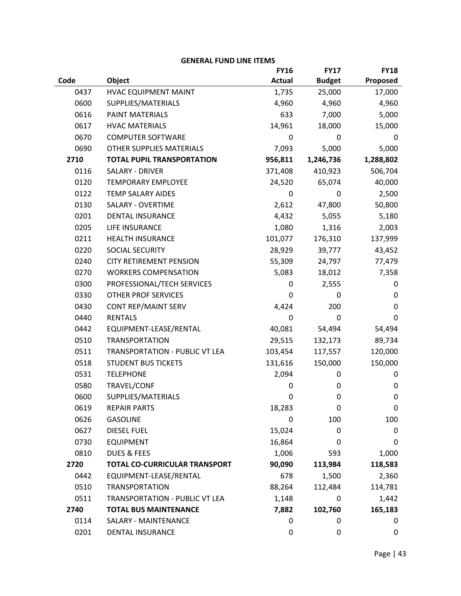|      |                                      | <b>FY16</b>   | <b>FY17</b>   | <b>FY18</b> |
|------|--------------------------------------|---------------|---------------|-------------|
| Code | Object                               | <b>Actual</b> | <b>Budget</b> | Proposed    |
| 0437 | HVAC EQUIPMENT MAINT                 | 1,735         | 25,000        | 17,000      |
| 0600 | SUPPLIES/MATERIALS                   | 4,960         | 4,960         | 4,960       |
| 0616 | PAINT MATERIALS                      | 633           | 7,000         | 5,000       |
| 0617 | <b>HVAC MATERIALS</b>                | 14,961        | 18,000        | 15,000      |
| 0670 | <b>COMPUTER SOFTWARE</b>             | 0             | 0             | 0           |
| 0690 | <b>OTHER SUPPLIES MATERIALS</b>      |               | 5,000         | 5,000       |
| 2710 | <b>TOTAL PUPIL TRANSPORTATION</b>    | 956,811       | 1,246,736     | 1,288,802   |
| 0116 | <b>SALARY - DRIVER</b>               | 371,408       | 410,923       | 506,704     |
| 0120 | <b>TEMPORARY EMPLOYEE</b>            | 24,520        | 65,074        | 40,000      |
| 0122 | <b>TEMP SALARY AIDES</b>             | 0             | 0             | 2,500       |
| 0130 | <b>SALARY - OVERTIME</b>             | 2,612         | 47,800        | 50,800      |
| 0201 | <b>DENTAL INSURANCE</b>              | 4,432         | 5,055         | 5,180       |
| 0205 | LIFE INSURANCE                       | 1,080         | 1,316         | 2,003       |
| 0211 | <b>HEALTH INSURANCE</b>              | 101,077       | 176,310       | 137,999     |
| 0220 | <b>SOCIAL SECURITY</b>               | 28,929        | 39,777        | 43,452      |
| 0240 | <b>CITY RETIREMENT PENSION</b>       | 55,309        | 24,797        | 77,479      |
| 0270 | <b>WORKERS COMPENSATION</b>          | 5,083         | 18,012        | 7,358       |
| 0300 | PROFESSIONAL/TECH SERVICES           | 0             | 2,555         | 0           |
| 0330 | <b>OTHER PROF SERVICES</b>           | 0             | 0             | 0           |
| 0430 | CONT REP/MAINT SERV                  | 4,424         | 200           | 0           |
| 0440 | <b>RENTALS</b>                       | $\mathbf 0$   | 0             | 0           |
| 0442 | EQUIPMENT-LEASE/RENTAL               | 40,081        | 54,494        | 54,494      |
| 0510 | <b>TRANSPORTATION</b>                | 29,515        | 132,173       | 89,734      |
| 0511 | TRANSPORTATION - PUBLIC VT LEA       | 103,454       | 117,557       | 120,000     |
| 0518 | <b>STUDENT BUS TICKETS</b>           | 131,616       | 150,000       | 150,000     |
| 0531 | <b>TELEPHONE</b>                     | 2,094         | 0             | 0           |
| 0580 | TRAVEL/CONF                          | 0             | 0             | 0           |
| 0600 | SUPPLIES/MATERIALS                   | $\mathbf 0$   | 0             | 0           |
| 0619 | <b>REPAIR PARTS</b>                  | 18,283        | 0             | 0           |
| 0626 | <b>GASOLINE</b>                      | 0             | 100           | 100         |
| 0627 | <b>DIESEL FUEL</b>                   | 15,024        | 0             | 0           |
| 0730 | <b>EQUIPMENT</b>                     | 16,864        | 0             | 0           |
| 0810 | <b>DUES &amp; FEES</b>               | 1,006         | 593           | 1,000       |
| 2720 | <b>TOTAL CO-CURRICULAR TRANSPORT</b> | 90,090        | 113,984       | 118,583     |
| 0442 | EQUIPMENT-LEASE/RENTAL               | 678           | 1,500         | 2,360       |
| 0510 | <b>TRANSPORTATION</b>                | 88,264        | 112,484       | 114,781     |
| 0511 | TRANSPORTATION - PUBLIC VT LEA       | 1,148         | 0             | 1,442       |
| 2740 | <b>TOTAL BUS MAINTENANCE</b>         | 7,882         | 102,760       | 165,183     |
| 0114 | <b>SALARY - MAINTENANCE</b>          | $\mathbf 0$   | 0             | 0           |
| 0201 | DENTAL INSURANCE                     | 0             | 0             | 0           |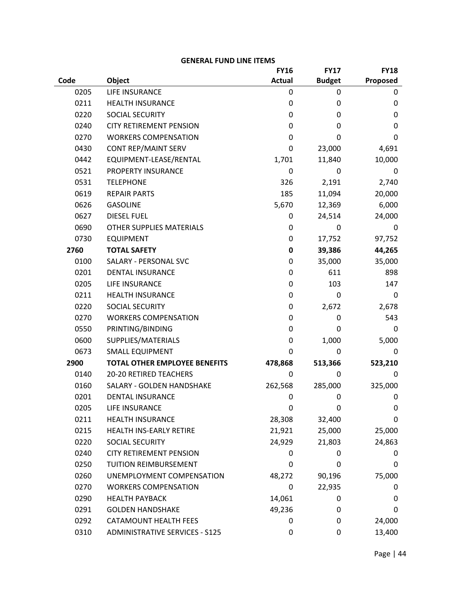|      |                                       | <b>FY16</b>      | <b>FY17</b>   | <b>FY18</b> |
|------|---------------------------------------|------------------|---------------|-------------|
| Code | Object                                | <b>Actual</b>    | <b>Budget</b> | Proposed    |
| 0205 | LIFE INSURANCE                        | 0                | 0             | 0           |
| 0211 | <b>HEALTH INSURANCE</b>               | $\mathbf 0$      | 0             | 0           |
| 0220 | <b>SOCIAL SECURITY</b>                | $\mathbf 0$      | 0             | 0           |
| 0240 | <b>CITY RETIREMENT PENSION</b>        | $\mathbf 0$      | 0             | 0           |
| 0270 | <b>WORKERS COMPENSATION</b>           | 0                | $\Omega$      | 0           |
| 0430 | <b>CONT REP/MAINT SERV</b>            | $\mathbf 0$      | 23,000        | 4,691       |
| 0442 | EQUIPMENT-LEASE/RENTAL                | 1,701            | 11,840        | 10,000      |
| 0521 | PROPERTY INSURANCE                    | $\mathbf 0$      | 0             | 0           |
| 0531 | <b>TELEPHONE</b>                      | 326              | 2,191         | 2,740       |
| 0619 | <b>REPAIR PARTS</b>                   | 185              | 11,094        | 20,000      |
| 0626 | <b>GASOLINE</b>                       | 5,670            | 12,369        | 6,000       |
| 0627 | <b>DIESEL FUEL</b>                    | 0                | 24,514        | 24,000      |
| 0690 | <b>OTHER SUPPLIES MATERIALS</b>       | 0                | 0             | 0           |
| 0730 | <b>EQUIPMENT</b>                      | $\boldsymbol{0}$ | 17,752        | 97,752      |
| 2760 | <b>TOTAL SAFETY</b>                   | $\pmb{0}$        | 39,386        | 44,265      |
| 0100 | SALARY - PERSONAL SVC                 | 0                | 35,000        | 35,000      |
| 0201 | <b>DENTAL INSURANCE</b>               | 0                | 611           | 898         |
| 0205 | LIFE INSURANCE                        | $\boldsymbol{0}$ | 103           | 147         |
| 0211 | <b>HEALTH INSURANCE</b>               | 0                | $\mathbf 0$   | 0           |
| 0220 | SOCIAL SECURITY                       | 0                | 2,672         | 2,678       |
| 0270 | <b>WORKERS COMPENSATION</b>           | 0                | 0             | 543         |
| 0550 | PRINTING/BINDING                      | $\mathbf 0$      | 0             | 0           |
| 0600 | SUPPLIES/MATERIALS                    | 0                | 1,000         | 5,000       |
| 0673 | <b>SMALL EQUIPMENT</b>                | $\mathbf 0$      | 0             | 0           |
| 2900 | <b>TOTAL OTHER EMPLOYEE BENEFITS</b>  | 478,868          | 513,366       | 523,210     |
| 0140 | 20-20 RETIRED TEACHERS                | 0                | 0             | 0           |
| 0160 | SALARY - GOLDEN HANDSHAKE             | 262,568          | 285,000       | 325,000     |
| 0201 | <b>DENTAL INSURANCE</b>               | $\mathbf 0$      | $\mathbf 0$   | 0           |
| 0205 | LIFE INSURANCE                        | $\mathbf 0$      | 0             | 0           |
| 0211 | <b>HEALTH INSURANCE</b>               | 28,308           | 32,400        | 0           |
| 0215 | HEALTH INS-EARLY RETIRE               | 21,921           | 25,000        | 25,000      |
| 0220 | SOCIAL SECURITY                       | 24,929           | 21,803        | 24,863      |
| 0240 | <b>CITY RETIREMENT PENSION</b>        | 0                | 0             | 0           |
| 0250 | TUITION REIMBURSEMENT                 | $\mathbf 0$      | 0             | 0           |
| 0260 | UNEMPLOYMENT COMPENSATION             | 48,272           | 90,196        | 75,000      |
| 0270 | <b>WORKERS COMPENSATION</b>           | $\mathbf 0$      | 22,935        | 0           |
| 0290 | <b>HEALTH PAYBACK</b>                 | 14,061           | 0             | 0           |
| 0291 | <b>GOLDEN HANDSHAKE</b>               | 49,236           | 0             | 0           |
| 0292 | <b>CATAMOUNT HEALTH FEES</b>          | 0                | 0             | 24,000      |
| 0310 | <b>ADMINISTRATIVE SERVICES - S125</b> | 0                | $\pmb{0}$     | 13,400      |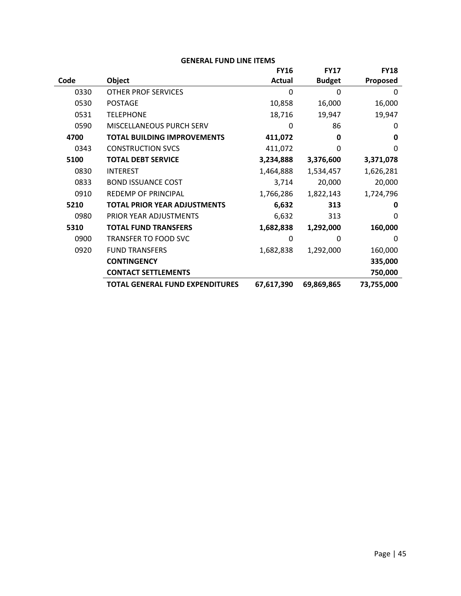|      |                                        | <b>FY16</b> | <b>FY17</b>   | <b>FY18</b>     |
|------|----------------------------------------|-------------|---------------|-----------------|
| Code | Object                                 | Actual      | <b>Budget</b> | <b>Proposed</b> |
| 0330 | <b>OTHER PROF SERVICES</b>             | $\Omega$    | $\Omega$      | $\Omega$        |
| 0530 | <b>POSTAGE</b>                         | 10,858      | 16,000        | 16,000          |
| 0531 | <b>TELEPHONE</b>                       | 18,716      | 19,947        | 19,947          |
| 0590 | MISCELLANEOUS PURCH SERV               | 0           | 86            | 0               |
| 4700 | <b>TOTAL BUILDING IMPROVEMENTS</b>     | 411,072     | 0             | 0               |
| 0343 | <b>CONSTRUCTION SVCS</b>               | 411,072     | $\Omega$      | $\Omega$        |
| 5100 | <b>TOTAL DEBT SERVICE</b>              | 3,234,888   | 3,376,600     | 3,371,078       |
| 0830 | <b>INTEREST</b>                        | 1,464,888   | 1,534,457     | 1,626,281       |
| 0833 | <b>BOND ISSUANCE COST</b>              | 3,714       | 20,000        | 20,000          |
| 0910 | <b>REDEMP OF PRINCIPAL</b>             | 1,766,286   | 1,822,143     | 1,724,796       |
| 5210 | <b>TOTAL PRIOR YEAR ADJUSTMENTS</b>    | 6,632       | 313           | 0               |
| 0980 | PRIOR YEAR ADJUSTMENTS                 | 6,632       | 313           | O               |
| 5310 | <b>TOTAL FUND TRANSFERS</b>            | 1,682,838   | 1,292,000     | 160,000         |
| 0900 | <b>TRANSFER TO FOOD SVC</b>            | 0           | 0             | $\Omega$        |
| 0920 | <b>FUND TRANSFERS</b>                  | 1,682,838   | 1,292,000     | 160,000         |
|      | <b>CONTINGENCY</b>                     |             |               | 335,000         |
|      | <b>CONTACT SETTLEMENTS</b>             |             |               | 750,000         |
|      | <b>TOTAL GENERAL FUND EXPENDITURES</b> | 67,617,390  | 69,869,865    | 73,755,000      |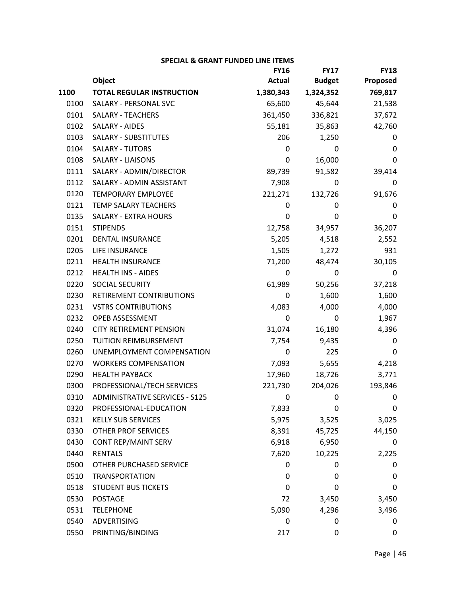|      |                                       | <b>FY16</b>   | <b>FY17</b>   | <b>FY18</b> |
|------|---------------------------------------|---------------|---------------|-------------|
|      | Object                                | <b>Actual</b> | <b>Budget</b> | Proposed    |
| 1100 | <b>TOTAL REGULAR INSTRUCTION</b>      | 1,380,343     | 1,324,352     | 769,817     |
| 0100 | SALARY - PERSONAL SVC                 | 65,600        | 45,644        | 21,538      |
| 0101 | <b>SALARY - TEACHERS</b>              | 361,450       | 336,821       | 37,672      |
| 0102 | <b>SALARY - AIDES</b>                 | 55,181        | 35,863        | 42,760      |
| 0103 | <b>SALARY - SUBSTITUTES</b>           | 206           | 1,250         | 0           |
| 0104 | <b>SALARY - TUTORS</b>                | 0             | 0             | 0           |
| 0108 | <b>SALARY - LIAISONS</b>              | 0             | 16,000        | 0           |
| 0111 | SALARY - ADMIN/DIRECTOR               | 89,739        | 91,582        | 39,414      |
| 0112 | SALARY - ADMIN ASSISTANT              | 7,908         | 0             | 0           |
| 0120 | <b>TEMPORARY EMPLOYEE</b>             | 221,271       | 132,726       | 91,676      |
| 0121 | TEMP SALARY TEACHERS                  | 0             | 0             | 0           |
| 0135 | <b>SALARY - EXTRA HOURS</b>           | 0             | 0             | 0           |
| 0151 | <b>STIPENDS</b>                       | 12,758        | 34,957        | 36,207      |
| 0201 | <b>DENTAL INSURANCE</b>               | 5,205         | 4,518         | 2,552       |
| 0205 | LIFE INSURANCE                        | 1,505         | 1,272         | 931         |
| 0211 | <b>HEALTH INSURANCE</b>               | 71,200        | 48,474        | 30,105      |
| 0212 | <b>HEALTH INS - AIDES</b>             | 0             | 0             | 0           |
| 0220 | <b>SOCIAL SECURITY</b>                | 61,989        | 50,256        | 37,218      |
| 0230 | RETIREMENT CONTRIBUTIONS              | 0             | 1,600         | 1,600       |
| 0231 | <b>VSTRS CONTRIBUTIONS</b>            | 4,083         | 4,000         | 4,000       |
| 0232 | OPEB ASSESSMENT                       | 0             | 0             | 1,967       |
| 0240 | <b>CITY RETIREMENT PENSION</b>        | 31,074        | 16,180        | 4,396       |
| 0250 | TUITION REIMBURSEMENT                 | 7,754         | 9,435         | 0           |
| 0260 | UNEMPLOYMENT COMPENSATION             | 0             | 225           | 0           |
| 0270 | <b>WORKERS COMPENSATION</b>           | 7,093         | 5,655         | 4,218       |
| 0290 | <b>HEALTH PAYBACK</b>                 | 17,960        | 18,726        | 3,771       |
| 0300 | PROFESSIONAL/TECH SERVICES            | 221,730       | 204,026       | 193,846     |
| 0310 | <b>ADMINISTRATIVE SERVICES - S125</b> | 0             | 0             | 0           |
| 0320 | PROFESSIONAL-EDUCATION                | 7,833         | 0             | 0           |
| 0321 | <b>KELLY SUB SERVICES</b>             | 5,975         | 3,525         | 3,025       |
| 0330 | <b>OTHER PROF SERVICES</b>            | 8,391         | 45,725        | 44,150      |
| 0430 | <b>CONT REP/MAINT SERV</b>            | 6,918         | 6,950         | 0           |
| 0440 | <b>RENTALS</b>                        | 7,620         | 10,225        | 2,225       |
| 0500 | OTHER PURCHASED SERVICE               | 0             | 0             | 0           |
| 0510 | <b>TRANSPORTATION</b>                 | 0             | 0             | 0           |
| 0518 | <b>STUDENT BUS TICKETS</b>            | 0             | 0             | 0           |
| 0530 | <b>POSTAGE</b>                        | 72            | 3,450         | 3,450       |
| 0531 | <b>TELEPHONE</b>                      | 5,090         | 4,296         | 3,496       |
| 0540 | <b>ADVERTISING</b>                    | 0             | 0             | 0           |
| 0550 | PRINTING/BINDING                      | 217           | 0             | 0           |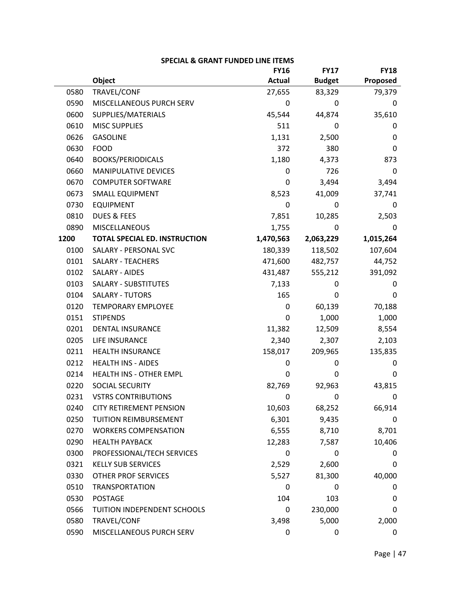|      | SPECIAL & ORANT FONDED EINE ITEMS    |               |               |             |
|------|--------------------------------------|---------------|---------------|-------------|
|      |                                      | <b>FY16</b>   | <b>FY17</b>   | <b>FY18</b> |
|      | Object                               | <b>Actual</b> | <b>Budget</b> | Proposed    |
| 0580 | TRAVEL/CONF                          | 27,655        | 83,329        | 79,379      |
| 0590 | MISCELLANEOUS PURCH SERV             | 0             | 0             | $\mathbf 0$ |
| 0600 | SUPPLIES/MATERIALS                   | 45,544        | 44,874        | 35,610      |
| 0610 | <b>MISC SUPPLIES</b>                 | 511           | 0             | 0           |
| 0626 | <b>GASOLINE</b>                      | 1,131         | 2,500         | 0           |
| 0630 | <b>FOOD</b>                          | 372           | 380           | 0           |
| 0640 | <b>BOOKS/PERIODICALS</b>             | 1,180         | 4,373         | 873         |
| 0660 | <b>MANIPULATIVE DEVICES</b>          | $\pmb{0}$     | 726           | 0           |
| 0670 | <b>COMPUTER SOFTWARE</b>             | 0             | 3,494         | 3,494       |
| 0673 | <b>SMALL EQUIPMENT</b>               | 8,523         | 41,009        | 37,741      |
| 0730 | <b>EQUIPMENT</b>                     | 0             | 0             | 0           |
| 0810 | DUES & FEES                          | 7,851         | 10,285        | 2,503       |
| 0890 | MISCELLANEOUS                        | 1,755         | 0             | 0           |
| 1200 | <b>TOTAL SPECIAL ED. INSTRUCTION</b> | 1,470,563     | 2,063,229     | 1,015,264   |
| 0100 | SALARY - PERSONAL SVC                | 180,339       | 118,502       | 107,604     |
| 0101 | <b>SALARY - TEACHERS</b>             | 471,600       | 482,757       | 44,752      |
| 0102 | SALARY - AIDES                       | 431,487       | 555,212       | 391,092     |
| 0103 | SALARY - SUBSTITUTES                 | 7,133         | 0             | 0           |
| 0104 | <b>SALARY - TUTORS</b>               | 165           | 0             | 0           |
| 0120 | <b>TEMPORARY EMPLOYEE</b>            | $\pmb{0}$     | 60,139        | 70,188      |
| 0151 | <b>STIPENDS</b>                      | 0             | 1,000         | 1,000       |
| 0201 | <b>DENTAL INSURANCE</b>              | 11,382        | 12,509        | 8,554       |
| 0205 | LIFE INSURANCE                       | 2,340         | 2,307         | 2,103       |
| 0211 | <b>HEALTH INSURANCE</b>              | 158,017       | 209,965       | 135,835     |
| 0212 | <b>HEALTH INS - AIDES</b>            | 0             | 0             | 0           |
| 0214 | HEALTH INS - OTHER EMPL              | 0             | 0             | 0           |
| 0220 | SOCIAL SECURITY                      | 82,769        | 92,963        | 43,815      |
| 0231 | <b>VSTRS CONTRIBUTIONS</b>           | 0             | 0             | 0           |
| 0240 | <b>CITY RETIREMENT PENSION</b>       | 10,603        | 68,252        | 66,914      |
| 0250 | TUITION REIMBURSEMENT                | 6,301         | 9,435         | 0           |
| 0270 | <b>WORKERS COMPENSATION</b>          | 6,555         | 8,710         | 8,701       |
| 0290 | <b>HEALTH PAYBACK</b>                | 12,283        | 7,587         | 10,406      |
| 0300 | PROFESSIONAL/TECH SERVICES           | 0             | 0             | 0           |
| 0321 | <b>KELLY SUB SERVICES</b>            | 2,529         | 2,600         | 0           |
| 0330 | <b>OTHER PROF SERVICES</b>           | 5,527         | 81,300        | 40,000      |
| 0510 | <b>TRANSPORTATION</b>                | 0             | 0             | 0           |
| 0530 | <b>POSTAGE</b>                       | 104           | 103           | 0           |
| 0566 | TUITION INDEPENDENT SCHOOLS          | 0             | 230,000       | 0           |
| 0580 | TRAVEL/CONF                          | 3,498         | 5,000         | 2,000       |
| 0590 | MISCELLANEOUS PURCH SERV             | 0             | 0             | 0           |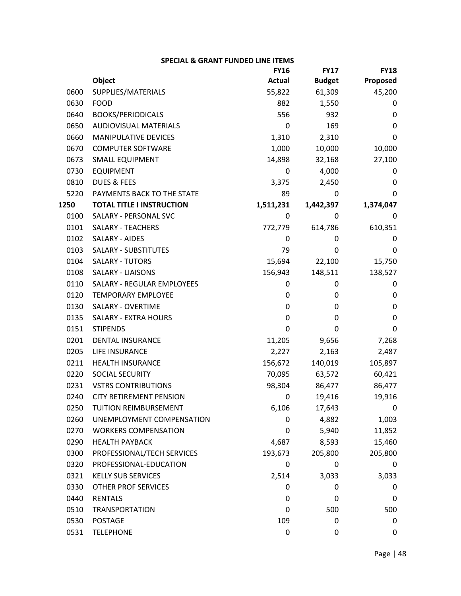|      |                                   | <b>FY16</b>      | <b>FY17</b>   | <b>FY18</b> |
|------|-----------------------------------|------------------|---------------|-------------|
|      | Object                            | <b>Actual</b>    | <b>Budget</b> | Proposed    |
| 0600 | SUPPLIES/MATERIALS                | 55,822           | 61,309        | 45,200      |
| 0630 | <b>FOOD</b>                       | 882              | 1,550         | 0           |
| 0640 | <b>BOOKS/PERIODICALS</b>          | 556              | 932           | 0           |
| 0650 | <b>AUDIOVISUAL MATERIALS</b>      | 0                | 169           | 0           |
| 0660 | MANIPULATIVE DEVICES              | 1,310            | 2,310         | 0           |
| 0670 | <b>COMPUTER SOFTWARE</b>          | 1,000            | 10,000        | 10,000      |
| 0673 | <b>SMALL EQUIPMENT</b>            | 14,898           | 32,168        | 27,100      |
| 0730 | <b>EQUIPMENT</b>                  | 0                | 4,000         | 0           |
| 0810 | <b>DUES &amp; FEES</b>            | 3,375            | 2,450         | 0           |
| 5220 | PAYMENTS BACK TO THE STATE        | 89               | 0             | 0           |
| 1250 | <b>TOTAL TITLE I INSTRUCTION</b>  | 1,511,231        | 1,442,397     | 1,374,047   |
| 0100 | SALARY - PERSONAL SVC             | 0                | 0             | 0           |
| 0101 | <b>SALARY - TEACHERS</b>          | 772,779          | 614,786       | 610,351     |
| 0102 | SALARY - AIDES                    | 0                | 0             | 0           |
| 0103 | <b>SALARY - SUBSTITUTES</b>       | 79               | 0             | 0           |
| 0104 | <b>SALARY - TUTORS</b>            | 15,694           | 22,100        | 15,750      |
| 0108 | <b>SALARY - LIAISONS</b>          | 156,943          | 148,511       | 138,527     |
| 0110 | <b>SALARY - REGULAR EMPLOYEES</b> | 0                | 0             | 0           |
| 0120 | <b>TEMPORARY EMPLOYEE</b>         | 0                | 0             | $\mathbf 0$ |
| 0130 | <b>SALARY - OVERTIME</b>          | 0                | 0             | $\mathbf 0$ |
| 0135 | <b>SALARY - EXTRA HOURS</b>       | 0                | 0             | $\mathbf 0$ |
| 0151 | <b>STIPENDS</b>                   | 0                | 0             | 0           |
| 0201 | <b>DENTAL INSURANCE</b>           | 11,205           | 9,656         | 7,268       |
| 0205 | LIFE INSURANCE                    | 2,227            | 2,163         | 2,487       |
| 0211 | <b>HEALTH INSURANCE</b>           | 156,672          | 140,019       | 105,897     |
| 0220 | SOCIAL SECURITY                   | 70,095           | 63,572        | 60,421      |
| 0231 | <b>VSTRS CONTRIBUTIONS</b>        | 98,304           | 86,477        | 86,477      |
| 0240 | CITY RETIREMENT PENSION           | 0                | 19,416        | 19,916      |
| 0250 | <b>TUITION REIMBURSEMENT</b>      | 6,106            | 17,643        | 0           |
| 0260 | UNEMPLOYMENT COMPENSATION         | 0                | 4,882         | 1,003       |
| 0270 | <b>WORKERS COMPENSATION</b>       | 0                | 5,940         | 11,852      |
| 0290 | <b>HEALTH PAYBACK</b>             | 4,687            | 8,593         | 15,460      |
| 0300 | PROFESSIONAL/TECH SERVICES        | 193,673          | 205,800       | 205,800     |
| 0320 | PROFESSIONAL-EDUCATION            | 0                | 0             | 0           |
| 0321 | <b>KELLY SUB SERVICES</b>         | 2,514            | 3,033         | 3,033       |
| 0330 | <b>OTHER PROF SERVICES</b>        | 0                | 0             | 0           |
| 0440 | <b>RENTALS</b>                    | 0                | 0             | 0           |
| 0510 | <b>TRANSPORTATION</b>             | 0                | 500           | 500         |
| 0530 | <b>POSTAGE</b>                    | 109              | 0             | 0           |
| 0531 | <b>TELEPHONE</b>                  | $\boldsymbol{0}$ | 0             | 0           |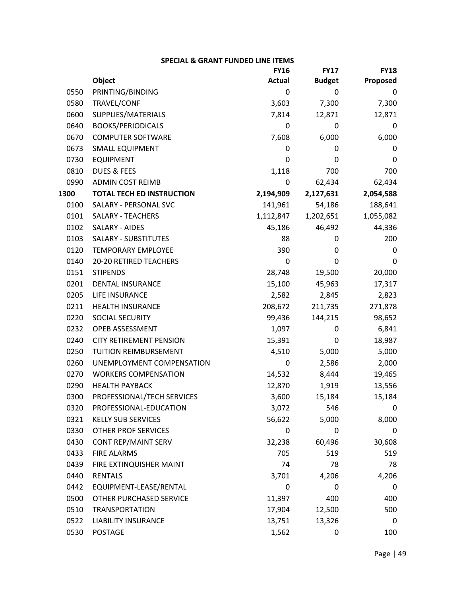|      |                                  | <b>FY16</b>   | <b>FY17</b>   | <b>FY18</b> |
|------|----------------------------------|---------------|---------------|-------------|
|      | Object                           | <b>Actual</b> | <b>Budget</b> | Proposed    |
| 0550 | PRINTING/BINDING                 | 0             | 0             | 0           |
| 0580 | TRAVEL/CONF                      | 3,603         | 7,300         | 7,300       |
| 0600 | SUPPLIES/MATERIALS               | 7,814         | 12,871        | 12,871      |
| 0640 | <b>BOOKS/PERIODICALS</b>         | 0             | 0             | 0           |
| 0670 | <b>COMPUTER SOFTWARE</b>         | 7,608         | 6,000         | 6,000       |
| 0673 | <b>SMALL EQUIPMENT</b>           | 0             | 0             | 0           |
| 0730 | <b>EQUIPMENT</b>                 | 0             | 0             | 0           |
| 0810 | DUES & FEES                      | 1,118         | 700           | 700         |
| 0990 | <b>ADMIN COST REIMB</b>          | 0             | 62,434        | 62,434      |
| 1300 | <b>TOTAL TECH ED INSTRUCTION</b> | 2,194,909     | 2,127,631     | 2,054,588   |
| 0100 | SALARY - PERSONAL SVC            | 141,961       | 54,186        | 188,641     |
| 0101 | <b>SALARY - TEACHERS</b>         | 1,112,847     | 1,202,651     | 1,055,082   |
| 0102 | SALARY - AIDES                   | 45,186        | 46,492        | 44,336      |
| 0103 | <b>SALARY - SUBSTITUTES</b>      | 88            | 0             | 200         |
| 0120 | <b>TEMPORARY EMPLOYEE</b>        | 390           | 0             | 0           |
| 0140 | <b>20-20 RETIRED TEACHERS</b>    | 0             | 0             | 0           |
| 0151 | <b>STIPENDS</b>                  | 28,748        | 19,500        | 20,000      |
| 0201 | <b>DENTAL INSURANCE</b>          | 15,100        | 45,963        | 17,317      |
| 0205 | LIFE INSURANCE                   | 2,582         | 2,845         | 2,823       |
| 0211 | <b>HEALTH INSURANCE</b>          | 208,672       | 211,735       | 271,878     |
| 0220 | SOCIAL SECURITY                  | 99,436        | 144,215       | 98,652      |
| 0232 | OPEB ASSESSMENT                  | 1,097         | 0             | 6,841       |
| 0240 | <b>CITY RETIREMENT PENSION</b>   | 15,391        | 0             | 18,987      |
| 0250 | TUITION REIMBURSEMENT            | 4,510         | 5,000         | 5,000       |
| 0260 | UNEMPLOYMENT COMPENSATION        | 0             | 2,586         | 2,000       |
| 0270 | <b>WORKERS COMPENSATION</b>      | 14,532        | 8,444         | 19,465      |
| 0290 | <b>HEALTH PAYBACK</b>            | 12,870        | 1,919         | 13,556      |
| 0300 | PROFESSIONAL/TECH SERVICES       | 3,600         | 15,184        | 15,184      |
| 0320 | PROFESSIONAL-EDUCATION           | 3,072         | 546           | 0           |
| 0321 | <b>KELLY SUB SERVICES</b>        | 56,622        | 5,000         | 8,000       |
| 0330 | <b>OTHER PROF SERVICES</b>       | 0             | 0             | 0           |
| 0430 | <b>CONT REP/MAINT SERV</b>       | 32,238        | 60,496        | 30,608      |
| 0433 | <b>FIRE ALARMS</b>               | 705           | 519           | 519         |
| 0439 | FIRE EXTINQUISHER MAINT          | 74            | 78            | 78          |
| 0440 | <b>RENTALS</b>                   | 3,701         | 4,206         | 4,206       |
| 0442 | EQUIPMENT-LEASE/RENTAL           | 0             | 0             | 0           |
| 0500 | OTHER PURCHASED SERVICE          | 11,397        | 400           | 400         |
| 0510 | <b>TRANSPORTATION</b>            | 17,904        | 12,500        | 500         |
| 0522 | <b>LIABILITY INSURANCE</b>       | 13,751        | 13,326        | 0           |
| 0530 | <b>POSTAGE</b>                   | 1,562         | 0             | 100         |

|  | <b>SPECIAL &amp; GRANT FUNDED LINE ITEMS</b> |
|--|----------------------------------------------|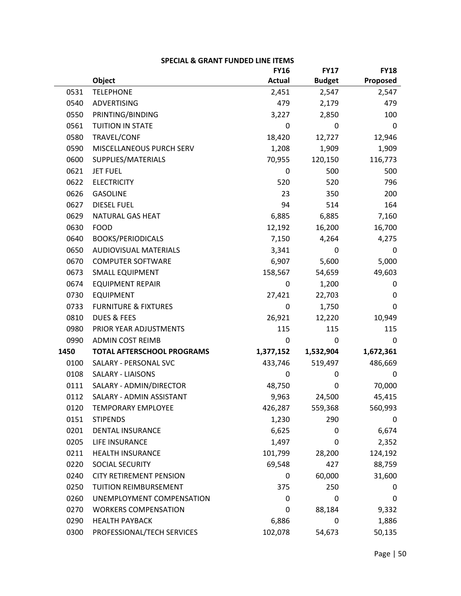| <b>SPECIAL &amp; GRANT FUNDED LINE ITEMS</b> |                                   |               |               |             |  |
|----------------------------------------------|-----------------------------------|---------------|---------------|-------------|--|
|                                              |                                   | <b>FY16</b>   | <b>FY17</b>   | <b>FY18</b> |  |
|                                              | Object                            | <b>Actual</b> | <b>Budget</b> | Proposed    |  |
| 0531                                         | <b>TELEPHONE</b>                  | 2,451         | 2,547         | 2,547       |  |
| 0540                                         | <b>ADVERTISING</b>                | 479           | 2,179         | 479         |  |
| 0550                                         | PRINTING/BINDING                  | 3,227         | 2,850         | 100         |  |
| 0561                                         | <b>TUITION IN STATE</b>           | 0             | 0             | 0           |  |
| 0580                                         | TRAVEL/CONF                       | 18,420        | 12,727        | 12,946      |  |
| 0590                                         | MISCELLANEOUS PURCH SERV          | 1,208         | 1,909         | 1,909       |  |
| 0600                                         | SUPPLIES/MATERIALS                | 70,955        | 120,150       | 116,773     |  |
| 0621                                         | <b>JET FUEL</b>                   | 0             | 500           | 500         |  |
| 0622                                         | <b>ELECTRICITY</b>                | 520           | 520           | 796         |  |
| 0626                                         | <b>GASOLINE</b>                   | 23            | 350           | 200         |  |
| 0627                                         | <b>DIESEL FUEL</b>                | 94            | 514           | 164         |  |
| 0629                                         | NATURAL GAS HEAT                  | 6,885         | 6,885         | 7,160       |  |
| 0630                                         | <b>FOOD</b>                       | 12,192        | 16,200        | 16,700      |  |
| 0640                                         | <b>BOOKS/PERIODICALS</b>          | 7,150         | 4,264         | 4,275       |  |
| 0650                                         | <b>AUDIOVISUAL MATERIALS</b>      | 3,341         | 0             | 0           |  |
| 0670                                         | <b>COMPUTER SOFTWARE</b>          | 6,907         | 5,600         | 5,000       |  |
| 0673                                         | <b>SMALL EQUIPMENT</b>            | 158,567       | 54,659        | 49,603      |  |
| 0674                                         | <b>EQUIPMENT REPAIR</b>           | 0             | 1,200         | 0           |  |
| 0730                                         | <b>EQUIPMENT</b>                  | 27,421        | 22,703        | 0           |  |
| 0733                                         | <b>FURNITURE &amp; FIXTURES</b>   | 0             | 1,750         | 0           |  |
| 0810                                         | <b>DUES &amp; FEES</b>            | 26,921        | 12,220        | 10,949      |  |
| 0980                                         | PRIOR YEAR ADJUSTMENTS            | 115           | 115           | 115         |  |
| 0990                                         | <b>ADMIN COST REIMB</b>           | 0             | 0             | 0           |  |
| 1450                                         | <b>TOTAL AFTERSCHOOL PROGRAMS</b> | 1,377,152     | 1,532,904     | 1,672,361   |  |
| 0100                                         | SALARY - PERSONAL SVC             | 433,746       | 519,497       | 486,669     |  |
| 0108                                         | <b>SALARY - LIAISONS</b>          | 0             | 0             | 0           |  |
| 0111                                         | SALARY - ADMIN/DIRECTOR           | 48,750        | 0             | 70,000      |  |
| 0112                                         | SALARY - ADMIN ASSISTANT          | 9,963         | 24,500        | 45,415      |  |
| 0120                                         | <b>TEMPORARY EMPLOYEE</b>         | 426,287       | 559,368       | 560,993     |  |
| 0151                                         | <b>STIPENDS</b>                   | 1,230         | 290           | 0           |  |
| 0201                                         | <b>DENTAL INSURANCE</b>           | 6,625         | 0             | 6,674       |  |
| 0205                                         | LIFE INSURANCE                    | 1,497         | 0             | 2,352       |  |
| 0211                                         | <b>HEALTH INSURANCE</b>           | 101,799       | 28,200        | 124,192     |  |
| 0220                                         | SOCIAL SECURITY                   | 69,548        | 427           | 88,759      |  |
| 0240                                         | <b>CITY RETIREMENT PENSION</b>    | 0             | 60,000        | 31,600      |  |
| 0250                                         | <b>TUITION REIMBURSEMENT</b>      | 375           | 250           | 0           |  |
| 0260                                         | UNEMPLOYMENT COMPENSATION         | 0             | 0             | 0           |  |
| 0270                                         | <b>WORKERS COMPENSATION</b>       | 0             | 88,184        | 9,332       |  |
| 0290                                         | <b>HEALTH PAYBACK</b>             | 6,886         | 0             | 1,886       |  |
| 0300                                         | PROFESSIONAL/TECH SERVICES        | 102,078       | 54,673        | 50,135      |  |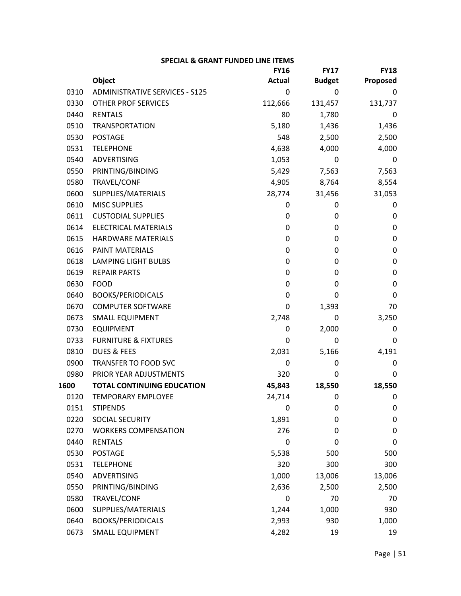|      |                                       | <b>FY16</b>   | <b>FY17</b>   | <b>FY18</b> |
|------|---------------------------------------|---------------|---------------|-------------|
|      | Object                                | <b>Actual</b> | <b>Budget</b> | Proposed    |
| 0310 | <b>ADMINISTRATIVE SERVICES - S125</b> | 0             | 0             | 0           |
| 0330 | <b>OTHER PROF SERVICES</b>            | 112,666       | 131,457       | 131,737     |
| 0440 | <b>RENTALS</b>                        | 80            | 1,780         | $\Omega$    |
| 0510 | <b>TRANSPORTATION</b>                 | 5,180         | 1,436         | 1,436       |
| 0530 | <b>POSTAGE</b>                        | 548           | 2,500         | 2,500       |
| 0531 | <b>TELEPHONE</b>                      | 4,638         | 4,000         | 4,000       |
| 0540 | <b>ADVERTISING</b>                    | 1,053         | 0             | 0           |
| 0550 | PRINTING/BINDING                      | 5,429         | 7,563         | 7,563       |
| 0580 | TRAVEL/CONF                           | 4,905         | 8,764         | 8,554       |
| 0600 | SUPPLIES/MATERIALS                    | 28,774        | 31,456        | 31,053      |
| 0610 | <b>MISC SUPPLIES</b>                  | 0             | 0             | 0           |
| 0611 | <b>CUSTODIAL SUPPLIES</b>             | 0             | 0             | 0           |
| 0614 | <b>ELECTRICAL MATERIALS</b>           | 0             | 0             | 0           |
| 0615 | <b>HARDWARE MATERIALS</b>             | 0             | 0             | 0           |
| 0616 | <b>PAINT MATERIALS</b>                | 0             | 0             | 0           |
| 0618 | <b>LAMPING LIGHT BULBS</b>            | 0             | 0             | 0           |
| 0619 | <b>REPAIR PARTS</b>                   | 0             | 0             | 0           |
| 0630 | <b>FOOD</b>                           | 0             | 0             | 0           |
| 0640 | <b>BOOKS/PERIODICALS</b>              | 0             | 0             | 0           |
| 0670 | <b>COMPUTER SOFTWARE</b>              | 0             | 1,393         | 70          |
| 0673 | <b>SMALL EQUIPMENT</b>                | 2,748         | 0             | 3,250       |
| 0730 | <b>EQUIPMENT</b>                      | 0             | 2,000         | 0           |
| 0733 | <b>FURNITURE &amp; FIXTURES</b>       | 0             | 0             | 0           |
| 0810 | <b>DUES &amp; FEES</b>                | 2,031         | 5,166         | 4,191       |
| 0900 | TRANSFER TO FOOD SVC                  | 0             | 0             | 0           |
| 0980 | PRIOR YEAR ADJUSTMENTS                | 320           | 0             | 0           |
| 1600 | <b>TOTAL CONTINUING EDUCATION</b>     | 45,843        | 18,550        | 18,550      |
| 0120 | <b>TEMPORARY EMPLOYEE</b>             | 24,714        | 0             | 0           |
| 0151 | <b>STIPENDS</b>                       | 0             | 0             | 0           |
| 0220 | SOCIAL SECURITY                       | 1,891         | 0             | $\mathbf 0$ |
| 0270 | <b>WORKERS COMPENSATION</b>           | 276           | 0             | 0           |
| 0440 | <b>RENTALS</b>                        | 0             | 0             | 0           |
| 0530 | <b>POSTAGE</b>                        | 5,538         | 500           | 500         |
| 0531 | <b>TELEPHONE</b>                      | 320           | 300           | 300         |
| 0540 | <b>ADVERTISING</b>                    | 1,000         | 13,006        | 13,006      |
| 0550 | PRINTING/BINDING                      | 2,636         | 2,500         | 2,500       |
| 0580 | TRAVEL/CONF                           | 0             | 70            | 70          |
| 0600 | SUPPLIES/MATERIALS                    | 1,244         | 1,000         | 930         |
| 0640 | <b>BOOKS/PERIODICALS</b>              | 2,993         | 930           | 1,000       |
| 0673 | SMALL EQUIPMENT                       | 4,282         | 19            | 19          |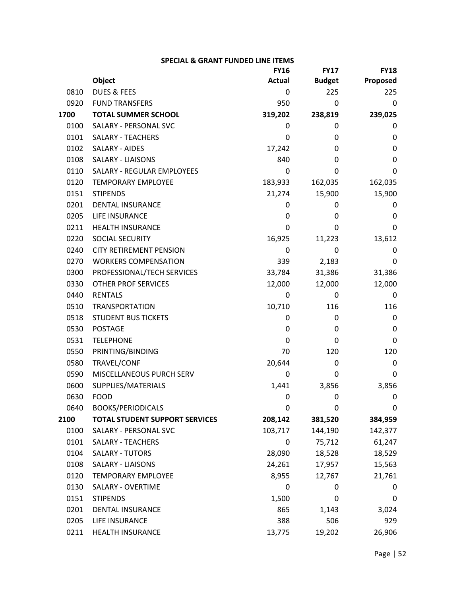|      |                                       | <b>FY16</b>   | <b>FY17</b>   | <b>FY18</b> |
|------|---------------------------------------|---------------|---------------|-------------|
|      | Object                                | <b>Actual</b> | <b>Budget</b> | Proposed    |
| 0810 | <b>DUES &amp; FEES</b>                | 0             | 225           | 225         |
| 0920 | <b>FUND TRANSFERS</b>                 | 950           | 0             | 0           |
| 1700 | <b>TOTAL SUMMER SCHOOL</b>            | 319,202       | 238,819       | 239,025     |
| 0100 | SALARY - PERSONAL SVC                 | 0             | 0             | 0           |
| 0101 | <b>SALARY - TEACHERS</b>              | 0             | 0             | 0           |
| 0102 | <b>SALARY - AIDES</b>                 | 17,242        | 0             | 0           |
| 0108 | <b>SALARY - LIAISONS</b>              | 840           | 0             | 0           |
| 0110 | <b>SALARY - REGULAR EMPLOYEES</b>     | 0             | 0             | 0           |
| 0120 | <b>TEMPORARY EMPLOYEE</b>             | 183,933       | 162,035       | 162,035     |
| 0151 | <b>STIPENDS</b>                       | 21,274        | 15,900        | 15,900      |
| 0201 | <b>DENTAL INSURANCE</b>               | 0             | 0             | 0           |
| 0205 | LIFE INSURANCE                        | 0             | 0             | 0           |
| 0211 | <b>HEALTH INSURANCE</b>               | 0             | 0             | 0           |
| 0220 | SOCIAL SECURITY                       | 16,925        | 11,223        | 13,612      |
| 0240 | <b>CITY RETIREMENT PENSION</b>        | 0             | 0             | 0           |
| 0270 | <b>WORKERS COMPENSATION</b>           | 339           | 2,183         | 0           |
| 0300 | PROFESSIONAL/TECH SERVICES            | 33,784        | 31,386        | 31,386      |
| 0330 | <b>OTHER PROF SERVICES</b>            | 12,000        | 12,000        | 12,000      |
| 0440 | <b>RENTALS</b>                        | 0             | 0             | 0           |
| 0510 | <b>TRANSPORTATION</b>                 | 10,710        | 116           | 116         |
| 0518 | <b>STUDENT BUS TICKETS</b>            | 0             | 0             | 0           |
| 0530 | <b>POSTAGE</b>                        | 0             | 0             | 0           |
| 0531 | <b>TELEPHONE</b>                      | 0             | 0             | 0           |
| 0550 | PRINTING/BINDING                      | 70            | 120           | 120         |
| 0580 | TRAVEL/CONF                           | 20,644        | 0             | 0           |
| 0590 | MISCELLANEOUS PURCH SERV              | 0             | 0             | 0           |
| 0600 | SUPPLIES/MATERIALS                    | 1,441         | 3,856         | 3,856       |
| 0630 | <b>FOOD</b>                           | 0             | 0             | 0           |
| 0640 | <b>BOOKS/PERIODICALS</b>              | 0             | 0             | 0           |
| 2100 | <b>TOTAL STUDENT SUPPORT SERVICES</b> | 208,142       | 381,520       | 384,959     |
| 0100 | SALARY - PERSONAL SVC                 | 103,717       | 144,190       | 142,377     |
| 0101 | <b>SALARY - TEACHERS</b>              | 0             | 75,712        | 61,247      |
| 0104 | <b>SALARY - TUTORS</b>                | 28,090        | 18,528        | 18,529      |
| 0108 | <b>SALARY - LIAISONS</b>              | 24,261        | 17,957        | 15,563      |
| 0120 | <b>TEMPORARY EMPLOYEE</b>             | 8,955         | 12,767        | 21,761      |
| 0130 | <b>SALARY - OVERTIME</b>              | $\Omega$      | 0             | 0           |
| 0151 | <b>STIPENDS</b>                       | 1,500         | 0             | 0           |
| 0201 | <b>DENTAL INSURANCE</b>               | 865           | 1,143         | 3,024       |
| 0205 | LIFE INSURANCE                        | 388           | 506           | 929         |
| 0211 | HEALTH INSURANCE                      | 13,775        | 19,202        | 26,906      |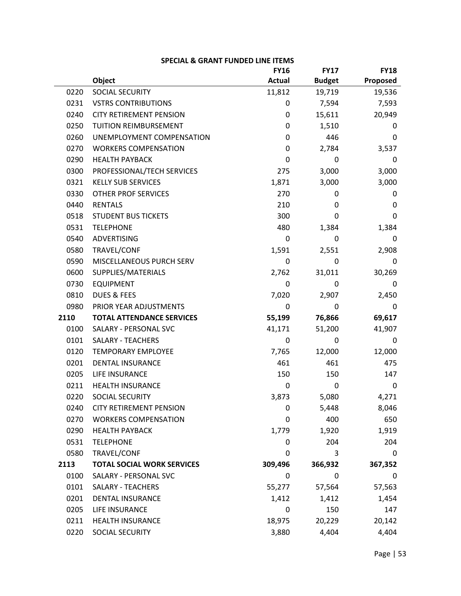|      |                                   | <b>FY16</b>   | <b>FY17</b>   | <b>FY18</b> |
|------|-----------------------------------|---------------|---------------|-------------|
|      | Object                            | <b>Actual</b> | <b>Budget</b> | Proposed    |
| 0220 | <b>SOCIAL SECURITY</b>            | 11,812        | 19,719        | 19,536      |
| 0231 | <b>VSTRS CONTRIBUTIONS</b>        | 0             | 7,594         | 7,593       |
| 0240 | <b>CITY RETIREMENT PENSION</b>    | 0             | 15,611        | 20,949      |
| 0250 | TUITION REIMBURSEMENT             | 0             | 1,510         | 0           |
| 0260 | UNEMPLOYMENT COMPENSATION         | 0             | 446           | 0           |
| 0270 | <b>WORKERS COMPENSATION</b>       | 0             | 2,784         | 3,537       |
| 0290 | <b>HEALTH PAYBACK</b>             | $\Omega$      | 0             | 0           |
| 0300 | PROFESSIONAL/TECH SERVICES        | 275           | 3,000         | 3,000       |
| 0321 | <b>KELLY SUB SERVICES</b>         | 1,871         | 3,000         | 3,000       |
| 0330 | <b>OTHER PROF SERVICES</b>        | 270           | 0             | 0           |
| 0440 | <b>RENTALS</b>                    | 210           | 0             | 0           |
| 0518 | <b>STUDENT BUS TICKETS</b>        | 300           | 0             | 0           |
| 0531 | <b>TELEPHONE</b>                  | 480           | 1,384         | 1,384       |
| 0540 | <b>ADVERTISING</b>                | 0             | 0             | 0           |
| 0580 | TRAVEL/CONF                       | 1,591         | 2,551         | 2,908       |
| 0590 | MISCELLANEOUS PURCH SERV          | 0             | 0             | 0           |
| 0600 | SUPPLIES/MATERIALS                | 2,762         | 31,011        | 30,269      |
| 0730 | <b>EQUIPMENT</b>                  | 0             | 0             | 0           |
| 0810 | <b>DUES &amp; FEES</b>            | 7,020         | 2,907         | 2,450       |
| 0980 | PRIOR YEAR ADJUSTMENTS            | 0             | 0             | 0           |
| 2110 | <b>TOTAL ATTENDANCE SERVICES</b>  | 55,199        | 76,866        | 69,617      |
| 0100 | SALARY - PERSONAL SVC             | 41,171        | 51,200        | 41,907      |
| 0101 | SALARY - TEACHERS                 | $\Omega$      | 0             | 0           |
| 0120 | <b>TEMPORARY EMPLOYEE</b>         | 7,765         | 12,000        | 12,000      |
| 0201 | <b>DENTAL INSURANCE</b>           | 461           | 461           | 475         |
| 0205 | <b>LIFE INSURANCE</b>             | 150           | 150           | 147         |
| 0211 | <b>HEALTH INSURANCE</b>           | $\Omega$      | 0             | 0           |
| 0220 | <b>SOCIAL SECURITY</b>            | 3,873         | 5,080         | 4,271       |
| 0240 | <b>CITY RETIREMENT PENSION</b>    | 0             | 5,448         | 8,046       |
| 0270 | <b>WORKERS COMPENSATION</b>       | 0             | 400           | 650         |
| 0290 | <b>HEALTH PAYBACK</b>             | 1,779         | 1,920         | 1,919       |
| 0531 | <b>TELEPHONE</b>                  | 0             | 204           | 204         |
| 0580 | TRAVEL/CONF                       | 0             | 3             | 0           |
| 2113 | <b>TOTAL SOCIAL WORK SERVICES</b> | 309,496       | 366,932       | 367,352     |
| 0100 | SALARY - PERSONAL SVC             | 0             | 0             | 0           |
| 0101 | <b>SALARY - TEACHERS</b>          | 55,277        | 57,564        | 57,563      |
| 0201 | <b>DENTAL INSURANCE</b>           | 1,412         | 1,412         | 1,454       |
| 0205 | <b>LIFE INSURANCE</b>             | 0             | 150           | 147         |
| 0211 | <b>HEALTH INSURANCE</b>           | 18,975        | 20,229        | 20,142      |
| 0220 | SOCIAL SECURITY                   | 3,880         | 4,404         | 4,404       |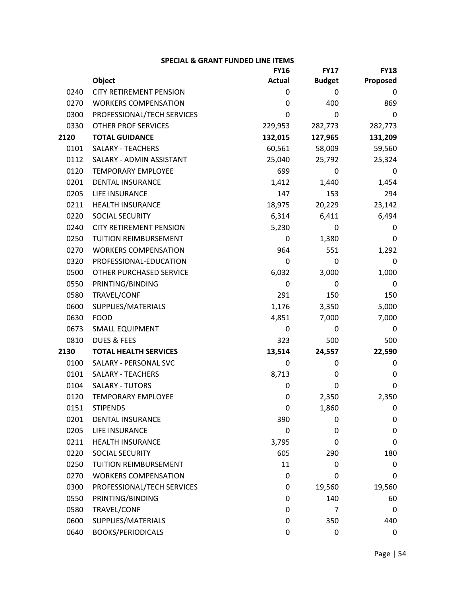|      |                                | <b>FY16</b>   | <b>FY17</b>   | <b>FY18</b> |
|------|--------------------------------|---------------|---------------|-------------|
|      | <b>Object</b>                  | <b>Actual</b> | <b>Budget</b> | Proposed    |
| 0240 | <b>CITY RETIREMENT PENSION</b> | 0             | 0             | 0           |
| 0270 | <b>WORKERS COMPENSATION</b>    | 0             | 400           | 869         |
| 0300 | PROFESSIONAL/TECH SERVICES     | 0             | $\Omega$      | 0           |
| 0330 | <b>OTHER PROF SERVICES</b>     | 229,953       | 282,773       | 282,773     |
| 2120 | <b>TOTAL GUIDANCE</b>          | 132,015       | 127,965       | 131,209     |
| 0101 | <b>SALARY - TEACHERS</b>       | 60,561        | 58,009        | 59,560      |
| 0112 | SALARY - ADMIN ASSISTANT       | 25,040        | 25,792        | 25,324      |
| 0120 | <b>TEMPORARY EMPLOYEE</b>      | 699           | 0             | 0           |
| 0201 | <b>DENTAL INSURANCE</b>        | 1,412         | 1,440         | 1,454       |
| 0205 | LIFE INSURANCE                 | 147           | 153           | 294         |
| 0211 | <b>HEALTH INSURANCE</b>        | 18,975        | 20,229        | 23,142      |
| 0220 | <b>SOCIAL SECURITY</b>         | 6,314         | 6,411         | 6,494       |
| 0240 | <b>CITY RETIREMENT PENSION</b> | 5,230         | 0             | 0           |
| 0250 | TUITION REIMBURSEMENT          | 0             | 1,380         | 0           |
| 0270 | <b>WORKERS COMPENSATION</b>    | 964           | 551           | 1,292       |
| 0320 | PROFESSIONAL-EDUCATION         | 0             | 0             | 0           |
| 0500 | OTHER PURCHASED SERVICE        | 6,032         | 3,000         | 1,000       |
| 0550 | PRINTING/BINDING               | 0             | 0             | 0           |
| 0580 | TRAVEL/CONF                    | 291           | 150           | 150         |
| 0600 | SUPPLIES/MATERIALS             | 1,176         | 3,350         | 5,000       |
| 0630 | <b>FOOD</b>                    | 4,851         | 7,000         | 7,000       |
| 0673 | <b>SMALL EQUIPMENT</b>         | 0             | 0             | 0           |
| 0810 | <b>DUES &amp; FEES</b>         | 323           | 500           | 500         |
| 2130 | <b>TOTAL HEALTH SERVICES</b>   | 13,514        | 24,557        | 22,590      |
| 0100 | SALARY - PERSONAL SVC          | 0             | 0             | 0           |
| 0101 | <b>SALARY - TEACHERS</b>       | 8,713         | 0             | 0           |
| 0104 | <b>SALARY - TUTORS</b>         | 0             | 0             | 0           |
| 0120 | <b>TEMPORARY EMPLOYEE</b>      | 0             | 2,350         | 2,350       |
| 0151 | <b>STIPENDS</b>                | 0             | 1,860         | $\mathbf 0$ |
| 0201 | <b>DENTAL INSURANCE</b>        | 390           | 0             | $\mathbf 0$ |
| 0205 | <b>LIFE INSURANCE</b>          | 0             | 0             | 0           |
| 0211 | <b>HEALTH INSURANCE</b>        | 3,795         | 0             | 0           |
| 0220 | SOCIAL SECURITY                | 605           | 290           | 180         |
| 0250 | <b>TUITION REIMBURSEMENT</b>   | 11            | 0             | 0           |
| 0270 | <b>WORKERS COMPENSATION</b>    | 0             | 0             | 0           |
| 0300 | PROFESSIONAL/TECH SERVICES     | 0             | 19,560        | 19,560      |
| 0550 | PRINTING/BINDING               | 0             | 140           | 60          |
| 0580 | TRAVEL/CONF                    | 0             | 7             | 0           |
| 0600 | SUPPLIES/MATERIALS             | 0             | 350           | 440         |
| 0640 | <b>BOOKS/PERIODICALS</b>       | 0             | 0             | $\mathbf 0$ |

| <b>SPECIAL &amp; GRANT FUNDED LINE ITEMS</b> |  |  |  |  |  |  |
|----------------------------------------------|--|--|--|--|--|--|
|----------------------------------------------|--|--|--|--|--|--|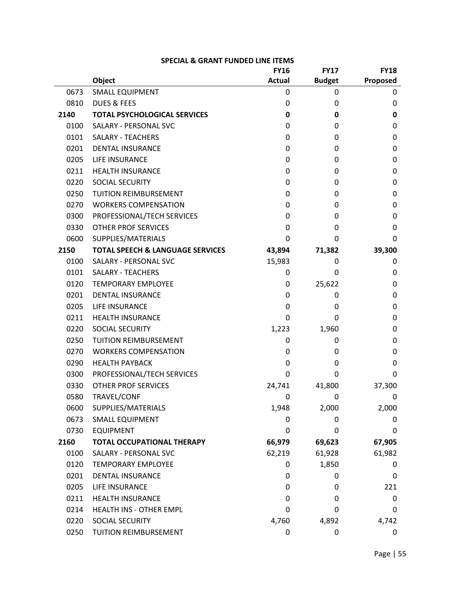|      |                                             | <b>FY16</b>   | <b>FY17</b>   | <b>FY18</b> |
|------|---------------------------------------------|---------------|---------------|-------------|
|      | <b>Object</b>                               | <b>Actual</b> | <b>Budget</b> | Proposed    |
| 0673 | <b>SMALL EQUIPMENT</b>                      | 0             | 0             | 0           |
| 0810 | <b>DUES &amp; FEES</b>                      | 0             | 0             | 0           |
| 2140 | <b>TOTAL PSYCHOLOGICAL SERVICES</b>         | 0             | 0             | 0           |
| 0100 | SALARY - PERSONAL SVC                       | 0             | 0             | 0           |
| 0101 | <b>SALARY - TEACHERS</b>                    | 0             | 0             | 0           |
| 0201 | <b>DENTAL INSURANCE</b>                     | 0             | 0             | 0           |
| 0205 | LIFE INSURANCE                              | 0             | 0             | 0           |
| 0211 | <b>HEALTH INSURANCE</b>                     | 0             | 0             | 0           |
| 0220 | <b>SOCIAL SECURITY</b>                      | 0             | 0             | 0           |
| 0250 | <b>TUITION REIMBURSEMENT</b>                | 0             | 0             | 0           |
| 0270 | <b>WORKERS COMPENSATION</b>                 | 0             | 0             | 0           |
| 0300 | PROFESSIONAL/TECH SERVICES                  | 0             | 0             | 0           |
| 0330 | <b>OTHER PROF SERVICES</b>                  | 0             | 0             | 0           |
| 0600 | SUPPLIES/MATERIALS                          | 0             | 0             | 0           |
| 2150 | <b>TOTAL SPEECH &amp; LANGUAGE SERVICES</b> | 43,894        | 71,382        | 39,300      |
| 0100 | SALARY - PERSONAL SVC                       | 15,983        | 0             | 0           |
| 0101 | <b>SALARY - TEACHERS</b>                    | 0             | 0             | 0           |
| 0120 | <b>TEMPORARY EMPLOYEE</b>                   | 0             | 25,622        | 0           |
| 0201 | <b>DENTAL INSURANCE</b>                     | 0             | 0             | 0           |
| 0205 | LIFE INSURANCE                              | 0             | 0             | 0           |
| 0211 | <b>HEALTH INSURANCE</b>                     | 0             | 0             | 0           |
| 0220 | <b>SOCIAL SECURITY</b>                      | 1,223         | 1,960         | 0           |
| 0250 | <b>TUITION REIMBURSEMENT</b>                | 0             | 0             | 0           |
| 0270 | <b>WORKERS COMPENSATION</b>                 | 0             | 0             | 0           |
| 0290 | <b>HEALTH PAYBACK</b>                       | 0             | 0             | 0           |
| 0300 | PROFESSIONAL/TECH SERVICES                  | 0             | 0             | 0           |
| 0330 | <b>OTHER PROF SERVICES</b>                  | 24,741        | 41,800        | 37,300      |
| 0580 | TRAVEL/CONF                                 | 0             | 0             | 0           |
| 0600 | SUPPLIES/MATERIALS                          | 1,948         | 2,000         | 2,000       |
| 0673 | <b>SMALL EQUIPMENT</b>                      | 0             | 0             | 0           |
| 0730 | <b>EQUIPMENT</b>                            | $\Omega$      | 0             | 0           |
| 2160 | <b>TOTAL OCCUPATIONAL THERAPY</b>           | 66,979        | 69,623        | 67,905      |
| 0100 | SALARY - PERSONAL SVC                       | 62,219        | 61,928        | 61,982      |
| 0120 | <b>TEMPORARY EMPLOYEE</b>                   | 0             | 1,850         | 0           |
| 0201 | <b>DENTAL INSURANCE</b>                     | 0             | 0             | 0           |
| 0205 | LIFE INSURANCE                              | 0             | 0             | 221         |
| 0211 | <b>HEALTH INSURANCE</b>                     | 0             | 0             | 0           |
| 0214 | HEALTH INS - OTHER EMPL                     | 0             | 0             | 0           |
| 0220 | SOCIAL SECURITY                             | 4,760         | 4,892         | 4,742       |
| 0250 | TUITION REIMBURSEMENT                       | $\pmb{0}$     | 0             | $\pmb{0}$   |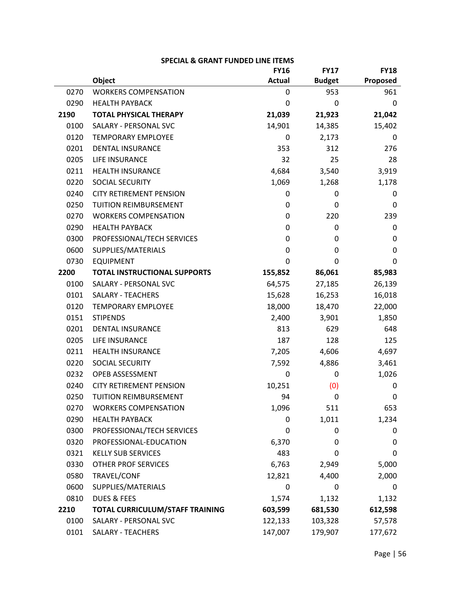|      |                                     | <b>FY16</b>   | <b>FY17</b>   | <b>FY18</b> |
|------|-------------------------------------|---------------|---------------|-------------|
|      | Object                              | <b>Actual</b> | <b>Budget</b> | Proposed    |
| 0270 | <b>WORKERS COMPENSATION</b>         | 0             | 953           | 961         |
| 0290 | <b>HEALTH PAYBACK</b>               | 0             | 0             | 0           |
| 2190 | <b>TOTAL PHYSICAL THERAPY</b>       | 21,039        | 21,923        | 21,042      |
| 0100 | SALARY - PERSONAL SVC               | 14,901        | 14,385        | 15,402      |
| 0120 | <b>TEMPORARY EMPLOYEE</b>           | 0             | 2,173         | 0           |
| 0201 | <b>DENTAL INSURANCE</b>             | 353           | 312           | 276         |
| 0205 | LIFE INSURANCE                      | 32            | 25            | 28          |
| 0211 | <b>HEALTH INSURANCE</b>             | 4,684         | 3,540         | 3,919       |
| 0220 | <b>SOCIAL SECURITY</b>              | 1,069         | 1,268         | 1,178       |
| 0240 | <b>CITY RETIREMENT PENSION</b>      | 0             | 0             | 0           |
| 0250 | <b>TUITION REIMBURSEMENT</b>        | 0             | 0             | 0           |
| 0270 | <b>WORKERS COMPENSATION</b>         | 0             | 220           | 239         |
| 0290 | <b>HEALTH PAYBACK</b>               | 0             | 0             | 0           |
| 0300 | PROFESSIONAL/TECH SERVICES          | 0             | 0             | 0           |
| 0600 | SUPPLIES/MATERIALS                  | 0             | 0             | 0           |
| 0730 | <b>EQUIPMENT</b>                    | $\mathbf 0$   | 0             | 0           |
| 2200 | <b>TOTAL INSTRUCTIONAL SUPPORTS</b> | 155,852       | 86,061        | 85,983      |
| 0100 | SALARY - PERSONAL SVC               | 64,575        | 27,185        | 26,139      |
| 0101 | <b>SALARY - TEACHERS</b>            | 15,628        | 16,253        | 16,018      |
| 0120 | <b>TEMPORARY EMPLOYEE</b>           | 18,000        | 18,470        | 22,000      |
| 0151 | <b>STIPENDS</b>                     | 2,400         | 3,901         | 1,850       |
| 0201 | <b>DENTAL INSURANCE</b>             | 813           | 629           | 648         |
| 0205 | <b>LIFE INSURANCE</b>               | 187           | 128           | 125         |
| 0211 | <b>HEALTH INSURANCE</b>             | 7,205         | 4,606         | 4,697       |
| 0220 | <b>SOCIAL SECURITY</b>              | 7,592         | 4,886         | 3,461       |
| 0232 | OPEB ASSESSMENT                     | 0             | 0             | 1,026       |
| 0240 | <b>CITY RETIREMENT PENSION</b>      | 10,251        | (0)           | 0           |
| 0250 | TUITION REIMBURSEMENT               | 94            | $\mathbf 0$   | 0           |
| 0270 | <b>WORKERS COMPENSATION</b>         | 1,096         | 511           | 653         |
| 0290 | <b>HEALTH PAYBACK</b>               | 0             | 1,011         | 1,234       |
| 0300 | PROFESSIONAL/TECH SERVICES          | 0             | 0             | 0           |
| 0320 | PROFESSIONAL-EDUCATION              | 6,370         | 0             | 0           |
| 0321 | <b>KELLY SUB SERVICES</b>           | 483           | 0             | 0           |
| 0330 | <b>OTHER PROF SERVICES</b>          | 6,763         | 2,949         | 5,000       |
| 0580 | TRAVEL/CONF                         | 12,821        | 4,400         | 2,000       |
| 0600 | SUPPLIES/MATERIALS                  | $\pmb{0}$     | 0             | 0           |
| 0810 | <b>DUES &amp; FEES</b>              | 1,574         | 1,132         | 1,132       |
| 2210 | TOTAL CURRICULUM/STAFF TRAINING     | 603,599       | 681,530       | 612,598     |
| 0100 | SALARY - PERSONAL SVC               | 122,133       | 103,328       | 57,578      |
| 0101 | SALARY - TEACHERS                   | 147,007       | 179,907       | 177,672     |

| <b>SPECIAL &amp; GRANT FUNDED LINE ITEMS</b> |  |
|----------------------------------------------|--|
|----------------------------------------------|--|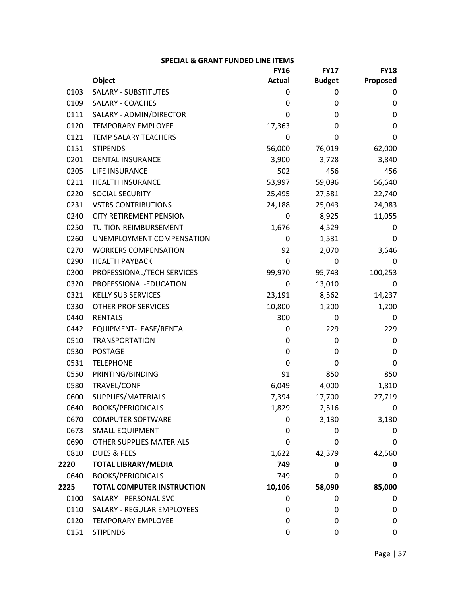|      |                                   | <b>FY16</b>      | <b>FY17</b>   | <b>FY18</b> |
|------|-----------------------------------|------------------|---------------|-------------|
|      | Object                            | <b>Actual</b>    | <b>Budget</b> | Proposed    |
| 0103 | <b>SALARY - SUBSTITUTES</b>       | 0                | 0             | 0           |
| 0109 | <b>SALARY - COACHES</b>           | $\mathbf 0$      | 0             | 0           |
| 0111 | SALARY - ADMIN/DIRECTOR           | 0                | 0             | 0           |
| 0120 | <b>TEMPORARY EMPLOYEE</b>         | 17,363           | 0             | $\mathbf 0$ |
| 0121 | <b>TEMP SALARY TEACHERS</b>       | $\mathbf 0$      | 0             | 0           |
| 0151 | <b>STIPENDS</b>                   | 56,000           | 76,019        | 62,000      |
| 0201 | <b>DENTAL INSURANCE</b>           | 3,900            | 3,728         | 3,840       |
| 0205 | LIFE INSURANCE                    | 502              | 456           | 456         |
| 0211 | <b>HEALTH INSURANCE</b>           | 53,997           | 59,096        | 56,640      |
| 0220 | SOCIAL SECURITY                   | 25,495           | 27,581        | 22,740      |
| 0231 | <b>VSTRS CONTRIBUTIONS</b>        | 24,188           | 25,043        | 24,983      |
| 0240 | <b>CITY RETIREMENT PENSION</b>    | $\pmb{0}$        | 8,925         | 11,055      |
| 0250 | TUITION REIMBURSEMENT             | 1,676            | 4,529         | 0           |
| 0260 | UNEMPLOYMENT COMPENSATION         | $\mathbf 0$      | 1,531         | 0           |
| 0270 | <b>WORKERS COMPENSATION</b>       | 92               | 2,070         | 3,646       |
| 0290 | <b>HEALTH PAYBACK</b>             | $\boldsymbol{0}$ | 0             | 0           |
| 0300 | PROFESSIONAL/TECH SERVICES        | 99,970           | 95,743        | 100,253     |
| 0320 | PROFESSIONAL-EDUCATION            | $\mathbf 0$      | 13,010        | 0           |
| 0321 | <b>KELLY SUB SERVICES</b>         | 23,191           | 8,562         | 14,237      |
| 0330 | <b>OTHER PROF SERVICES</b>        | 10,800           | 1,200         | 1,200       |
| 0440 | <b>RENTALS</b>                    | 300              | 0             | 0           |
| 0442 | EQUIPMENT-LEASE/RENTAL            | $\pmb{0}$        | 229           | 229         |
| 0510 | <b>TRANSPORTATION</b>             | 0                | 0             | 0           |
| 0530 | <b>POSTAGE</b>                    | $\mathbf 0$      | 0             | $\mathbf 0$ |
| 0531 | <b>TELEPHONE</b>                  | $\mathbf 0$      | 0             | 0           |
| 0550 | PRINTING/BINDING                  | 91               | 850           | 850         |
| 0580 | TRAVEL/CONF                       | 6,049            | 4,000         | 1,810       |
| 0600 | SUPPLIES/MATERIALS                | 7,394            | 17,700        | 27,719      |
| 0640 | <b>BOOKS/PERIODICALS</b>          | 1,829            | 2,516         | 0           |
| 0670 | <b>COMPUTER SOFTWARE</b>          | 0                | 3,130         | 3,130       |
| 0673 | <b>SMALL EQUIPMENT</b>            | $\mathbf 0$      | 0             | 0           |
| 0690 | OTHER SUPPLIES MATERIALS          | 0                | 0             | 0           |
| 0810 | <b>DUES &amp; FEES</b>            | 1,622            | 42,379        | 42,560      |
| 2220 | <b>TOTAL LIBRARY/MEDIA</b>        | 749              | 0             | 0           |
| 0640 | <b>BOOKS/PERIODICALS</b>          | 749              | 0             | 0           |
| 2225 | <b>TOTAL COMPUTER INSTRUCTION</b> | 10,106           | 58,090        | 85,000      |
| 0100 | SALARY - PERSONAL SVC             | 0                | 0             | 0           |
| 0110 | <b>SALARY - REGULAR EMPLOYEES</b> | 0                | 0             | $\mathbf 0$ |
| 0120 | <b>TEMPORARY EMPLOYEE</b>         | 0                | 0             | 0           |
| 0151 | <b>STIPENDS</b>                   | 0                | 0             | $\mathbf 0$ |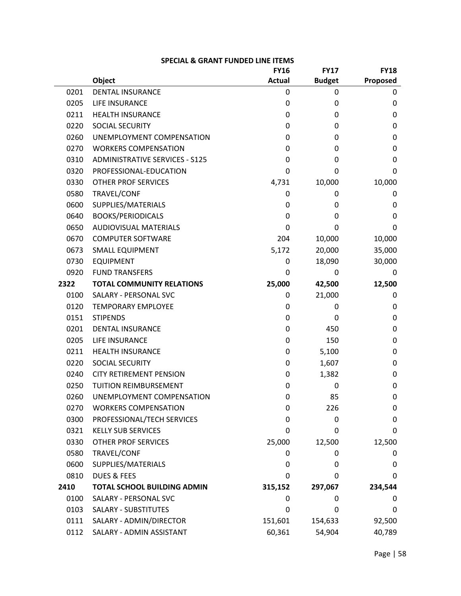|      |                                       | <b>FY16</b>   | <b>FY17</b>   | <b>FY18</b> |
|------|---------------------------------------|---------------|---------------|-------------|
|      | Object                                | <b>Actual</b> | <b>Budget</b> | Proposed    |
| 0201 | <b>DENTAL INSURANCE</b>               | 0             | 0             | 0           |
| 0205 | LIFE INSURANCE                        | 0             | 0             | 0           |
| 0211 | <b>HEALTH INSURANCE</b>               | 0             | 0             | 0           |
| 0220 | SOCIAL SECURITY                       | 0             | 0             | 0           |
| 0260 | UNEMPLOYMENT COMPENSATION             | 0             | 0             | 0           |
| 0270 | <b>WORKERS COMPENSATION</b>           | 0             | 0             | 0           |
| 0310 | <b>ADMINISTRATIVE SERVICES - S125</b> | 0             | 0             | 0           |
| 0320 | PROFESSIONAL-EDUCATION                | 0             | 0             | 0           |
| 0330 | <b>OTHER PROF SERVICES</b>            | 4,731         | 10,000        | 10,000      |
| 0580 | TRAVEL/CONF                           | 0             | 0             | 0           |
| 0600 | SUPPLIES/MATERIALS                    | 0             | 0             | 0           |
| 0640 | <b>BOOKS/PERIODICALS</b>              | 0             | 0             | 0           |
| 0650 | <b>AUDIOVISUAL MATERIALS</b>          | 0             | 0             | 0           |
| 0670 | <b>COMPUTER SOFTWARE</b>              | 204           | 10,000        | 10,000      |
| 0673 | <b>SMALL EQUIPMENT</b>                | 5,172         | 20,000        | 35,000      |
| 0730 | <b>EQUIPMENT</b>                      | 0             | 18,090        | 30,000      |
| 0920 | <b>FUND TRANSFERS</b>                 | $\Omega$      | 0             | 0           |
| 2322 | <b>TOTAL COMMUNITY RELATIONS</b>      | 25,000        | 42,500        | 12,500      |
| 0100 | SALARY - PERSONAL SVC                 | 0             | 21,000        | 0           |
| 0120 | <b>TEMPORARY EMPLOYEE</b>             | 0             | 0             | 0           |
| 0151 | <b>STIPENDS</b>                       | 0             | 0             | 0           |
| 0201 | <b>DENTAL INSURANCE</b>               | 0             | 450           | 0           |
| 0205 | LIFE INSURANCE                        | 0             | 150           | 0           |
| 0211 | <b>HEALTH INSURANCE</b>               | 0             | 5,100         | 0           |
| 0220 | <b>SOCIAL SECURITY</b>                | 0             | 1,607         | 0           |
| 0240 | <b>CITY RETIREMENT PENSION</b>        | 0             | 1,382         | 0           |
| 0250 | <b>TUITION REIMBURSEMENT</b>          | 0             | 0             | 0           |
| 0260 | UNEMPLOYMENT COMPENSATION             | 0             | 85            | 0           |
| 0270 | <b>WORKERS COMPENSATION</b>           | 0             | 226           | 0           |
| 0300 | PROFESSIONAL/TECH SERVICES            | 0             | 0             | $\mathbf 0$ |
| 0321 | <b>KELLY SUB SERVICES</b>             | 0             | 0             | 0           |
| 0330 | <b>OTHER PROF SERVICES</b>            | 25,000        | 12,500        | 12,500      |
| 0580 | TRAVEL/CONF                           | 0             | 0             | 0           |
| 0600 | SUPPLIES/MATERIALS                    | 0             | 0             | 0           |
| 0810 | <b>DUES &amp; FEES</b>                | 0             | 0             | 0           |
| 2410 | <b>TOTAL SCHOOL BUILDING ADMIN</b>    | 315,152       | 297,067       | 234,544     |
| 0100 | <b>SALARY - PERSONAL SVC</b>          | 0             | 0             | 0           |
| 0103 | <b>SALARY - SUBSTITUTES</b>           | 0             | 0             | 0           |
| 0111 | SALARY - ADMIN/DIRECTOR               | 151,601       | 154,633       | 92,500      |
| 0112 | SALARY - ADMIN ASSISTANT              | 60,361        | 54,904        | 40,789      |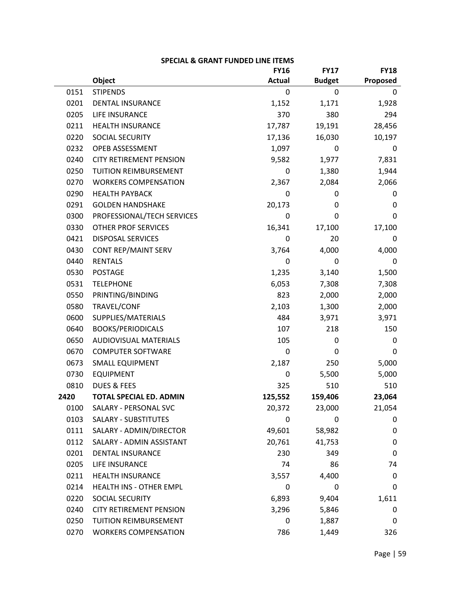|      |                                | <b>FY16</b>   | <b>FY17</b>   | <b>FY18</b> |
|------|--------------------------------|---------------|---------------|-------------|
|      | Object                         | <b>Actual</b> | <b>Budget</b> | Proposed    |
| 0151 | <b>STIPENDS</b>                | 0             | 0             | 0           |
| 0201 | <b>DENTAL INSURANCE</b>        | 1,152         | 1,171         | 1,928       |
| 0205 | <b>LIFE INSURANCE</b>          | 370           | 380           | 294         |
| 0211 | <b>HEALTH INSURANCE</b>        | 17,787        | 19,191        | 28,456      |
| 0220 | <b>SOCIAL SECURITY</b>         | 17,136        | 16,030        | 10,197      |
| 0232 | OPEB ASSESSMENT                | 1,097         | 0             | 0           |
| 0240 | <b>CITY RETIREMENT PENSION</b> | 9,582         | 1,977         | 7,831       |
| 0250 | TUITION REIMBURSEMENT          | 0             | 1,380         | 1,944       |
| 0270 | <b>WORKERS COMPENSATION</b>    | 2,367         | 2,084         | 2,066       |
| 0290 | <b>HEALTH PAYBACK</b>          | 0             | 0             | 0           |
| 0291 | <b>GOLDEN HANDSHAKE</b>        | 20,173        | 0             | 0           |
| 0300 | PROFESSIONAL/TECH SERVICES     | 0             | 0             | 0           |
| 0330 | <b>OTHER PROF SERVICES</b>     | 16,341        | 17,100        | 17,100      |
| 0421 | <b>DISPOSAL SERVICES</b>       | 0             | 20            | 0           |
| 0430 | CONT REP/MAINT SERV            | 3,764         | 4,000         | 4,000       |
| 0440 | <b>RENTALS</b>                 | 0             | 0             | 0           |
| 0530 | <b>POSTAGE</b>                 | 1,235         | 3,140         | 1,500       |
| 0531 | <b>TELEPHONE</b>               | 6,053         | 7,308         | 7,308       |
| 0550 | PRINTING/BINDING               | 823           | 2,000         | 2,000       |
| 0580 | TRAVEL/CONF                    | 2,103         | 1,300         | 2,000       |
| 0600 | SUPPLIES/MATERIALS             | 484           | 3,971         | 3,971       |
| 0640 | <b>BOOKS/PERIODICALS</b>       | 107           | 218           | 150         |
| 0650 | <b>AUDIOVISUAL MATERIALS</b>   | 105           | 0             | 0           |
| 0670 | <b>COMPUTER SOFTWARE</b>       | 0             | 0             | 0           |
| 0673 | <b>SMALL EQUIPMENT</b>         | 2,187         | 250           | 5,000       |
| 0730 | <b>EQUIPMENT</b>               | 0             | 5,500         | 5,000       |
| 0810 | <b>DUES &amp; FEES</b>         | 325           | 510           | 510         |
| 2420 | <b>TOTAL SPECIAL ED. ADMIN</b> | 125,552       | 159,406       | 23,064      |
| 0100 | SALARY - PERSONAL SVC          | 20,372        | 23,000        | 21,054      |
| 0103 | <b>SALARY - SUBSTITUTES</b>    | 0             | 0             | 0           |
| 0111 | SALARY - ADMIN/DIRECTOR        | 49,601        | 58,982        | 0           |
| 0112 | SALARY - ADMIN ASSISTANT       | 20,761        | 41,753        | 0           |
| 0201 | <b>DENTAL INSURANCE</b>        | 230           | 349           | 0           |
| 0205 | LIFE INSURANCE                 | 74            | 86            | 74          |
| 0211 | <b>HEALTH INSURANCE</b>        | 3,557         | 4,400         | 0           |
| 0214 | HEALTH INS - OTHER EMPL        | 0             | 0             | 0           |
| 0220 | <b>SOCIAL SECURITY</b>         | 6,893         | 9,404         | 1,611       |
| 0240 | <b>CITY RETIREMENT PENSION</b> | 3,296         | 5,846         | 0           |
| 0250 | <b>TUITION REIMBURSEMENT</b>   | 0             | 1,887         | 0           |
| 0270 | <b>WORKERS COMPENSATION</b>    | 786           | 1,449         | 326         |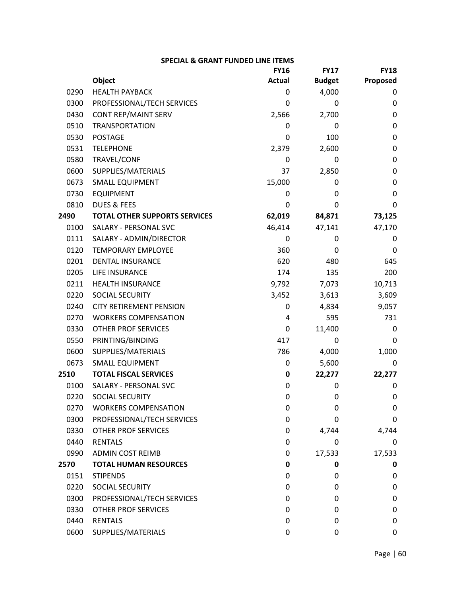|      |                                      | <b>FY16</b>   | <b>FY17</b>   | <b>FY18</b> |
|------|--------------------------------------|---------------|---------------|-------------|
|      | <b>Object</b>                        | <b>Actual</b> | <b>Budget</b> | Proposed    |
| 0290 | <b>HEALTH PAYBACK</b>                | 0             | 4,000         | 0           |
| 0300 | PROFESSIONAL/TECH SERVICES           | 0             | 0             | 0           |
| 0430 | CONT REP/MAINT SERV                  | 2,566         | 2,700         | $\mathbf 0$ |
| 0510 | <b>TRANSPORTATION</b>                | 0             | 0             | $\mathbf 0$ |
| 0530 | <b>POSTAGE</b>                       | 0             | 100           | $\mathbf 0$ |
| 0531 | <b>TELEPHONE</b>                     | 2,379         | 2,600         | 0           |
| 0580 | TRAVEL/CONF                          | 0             | 0             | $\mathbf 0$ |
| 0600 | SUPPLIES/MATERIALS                   | 37            | 2,850         | $\mathbf 0$ |
| 0673 | <b>SMALL EQUIPMENT</b>               | 15,000        | 0             | $\mathbf 0$ |
| 0730 | <b>EQUIPMENT</b>                     | 0             | 0             | 0           |
| 0810 | <b>DUES &amp; FEES</b>               | 0             | 0             | 0           |
| 2490 | <b>TOTAL OTHER SUPPORTS SERVICES</b> | 62,019        | 84,871        | 73,125      |
| 0100 | SALARY - PERSONAL SVC                | 46,414        | 47,141        | 47,170      |
| 0111 | SALARY - ADMIN/DIRECTOR              | 0             | 0             | 0           |
| 0120 | <b>TEMPORARY EMPLOYEE</b>            | 360           | 0             | 0           |
| 0201 | <b>DENTAL INSURANCE</b>              | 620           | 480           | 645         |
| 0205 | LIFE INSURANCE                       | 174           | 135           | 200         |
| 0211 | <b>HEALTH INSURANCE</b>              | 9,792         | 7,073         | 10,713      |
| 0220 | <b>SOCIAL SECURITY</b>               | 3,452         | 3,613         | 3,609       |
| 0240 | <b>CITY RETIREMENT PENSION</b>       | 0             | 4,834         | 9,057       |
| 0270 | <b>WORKERS COMPENSATION</b>          | 4             | 595           | 731         |
| 0330 | <b>OTHER PROF SERVICES</b>           | 0             | 11,400        | 0           |
| 0550 | PRINTING/BINDING                     | 417           | 0             | 0           |
| 0600 | SUPPLIES/MATERIALS                   | 786           | 4,000         | 1,000       |
| 0673 | <b>SMALL EQUIPMENT</b>               | 0             | 5,600         | 0           |
| 2510 | <b>TOTAL FISCAL SERVICES</b>         | 0             | 22,277        | 22,277      |
| 0100 | SALARY - PERSONAL SVC                | 0             | 0             | 0           |
| 0220 | SOCIAL SECURITY                      | 0             | 0             | 0           |
| 0270 | <b>WORKERS COMPENSATION</b>          | 0             | 0             | $\mathbf 0$ |
| 0300 | PROFESSIONAL/TECH SERVICES           | 0             | 0             | 0           |
| 0330 | <b>OTHER PROF SERVICES</b>           | 0             | 4,744         | 4,744       |
| 0440 | <b>RENTALS</b>                       | 0             | 0             | 0           |
| 0990 | <b>ADMIN COST REIMB</b>              | 0             | 17,533        | 17,533      |
| 2570 | <b>TOTAL HUMAN RESOURCES</b>         | 0             | 0             | 0           |
| 0151 | <b>STIPENDS</b>                      | 0             | 0             | 0           |
| 0220 | SOCIAL SECURITY                      | 0             | 0             | 0           |
| 0300 | PROFESSIONAL/TECH SERVICES           | 0             | 0             | 0           |
| 0330 | <b>OTHER PROF SERVICES</b>           | 0             | 0             | 0           |
| 0440 | <b>RENTALS</b>                       | 0             | 0             | 0           |
| 0600 | SUPPLIES/MATERIALS                   | 0             | 0             | 0           |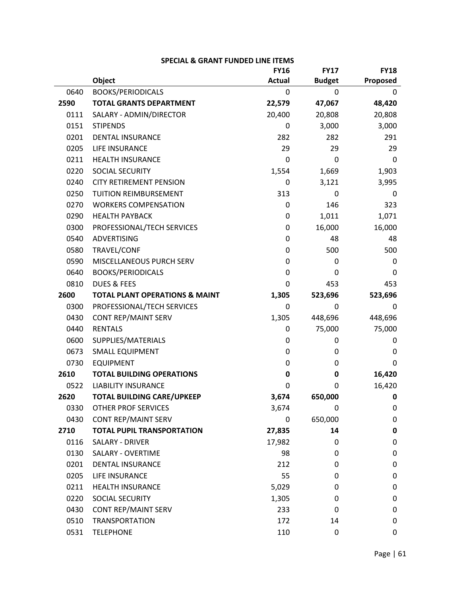|      |                                           | <b>FY16</b>   | <b>FY17</b>   | <b>FY18</b> |
|------|-------------------------------------------|---------------|---------------|-------------|
|      | Object                                    | <b>Actual</b> | <b>Budget</b> | Proposed    |
| 0640 | <b>BOOKS/PERIODICALS</b>                  | 0             | $\Omega$      | 0           |
| 2590 | <b>TOTAL GRANTS DEPARTMENT</b>            | 22,579        | 47,067        | 48,420      |
| 0111 | SALARY - ADMIN/DIRECTOR                   | 20,400        | 20,808        | 20,808      |
| 0151 | <b>STIPENDS</b>                           | 0             | 3,000         | 3,000       |
| 0201 | <b>DENTAL INSURANCE</b>                   | 282           | 282           | 291         |
| 0205 | LIFE INSURANCE                            | 29            | 29            | 29          |
| 0211 | <b>HEALTH INSURANCE</b>                   | 0             | 0             | 0           |
| 0220 | SOCIAL SECURITY                           | 1,554         | 1,669         | 1,903       |
| 0240 | <b>CITY RETIREMENT PENSION</b>            | 0             | 3,121         | 3,995       |
| 0250 | TUITION REIMBURSEMENT                     | 313           | 0             | 0           |
| 0270 | <b>WORKERS COMPENSATION</b>               | 0             | 146           | 323         |
| 0290 | <b>HEALTH PAYBACK</b>                     | 0             | 1,011         | 1,071       |
| 0300 | PROFESSIONAL/TECH SERVICES                | 0             | 16,000        | 16,000      |
| 0540 | <b>ADVERTISING</b>                        | 0             | 48            | 48          |
| 0580 | TRAVEL/CONF                               | 0             | 500           | 500         |
| 0590 | MISCELLANEOUS PURCH SERV                  | 0             | 0             | 0           |
| 0640 | <b>BOOKS/PERIODICALS</b>                  | 0             | 0             | 0           |
| 0810 | <b>DUES &amp; FEES</b>                    | $\Omega$      | 453           | 453         |
| 2600 | <b>TOTAL PLANT OPERATIONS &amp; MAINT</b> | 1,305         | 523,696       | 523,696     |
| 0300 | PROFESSIONAL/TECH SERVICES                | 0             | 0             | 0           |
| 0430 | <b>CONT REP/MAINT SERV</b>                | 1,305         | 448,696       | 448,696     |
| 0440 | <b>RENTALS</b>                            | 0             | 75,000        | 75,000      |
| 0600 | SUPPLIES/MATERIALS                        | 0             | 0             | 0           |
| 0673 | <b>SMALL EQUIPMENT</b>                    | 0             | 0             | 0           |
| 0730 | <b>EQUIPMENT</b>                          | 0             | 0             | 0           |
| 2610 | <b>TOTAL BUILDING OPERATIONS</b>          | 0             | 0             | 16,420      |
| 0522 | <b>LIABILITY INSURANCE</b>                | 0             | 0             | 16,420      |
| 2620 | <b>TOTAL BUILDING CARE/UPKEEP</b>         | 3,674         | 650,000       | 0           |
| 0330 | <b>OTHER PROF SERVICES</b>                | 3,674         | 0             | 0           |
| 0430 | <b>CONT REP/MAINT SERV</b>                | 0             | 650,000       | 0           |
| 2710 | <b>TOTAL PUPIL TRANSPORTATION</b>         | 27,835        | 14            | 0           |
| 0116 | SALARY - DRIVER                           | 17,982        | 0             | 0           |
| 0130 | <b>SALARY - OVERTIME</b>                  | 98            | 0             | 0           |
| 0201 | <b>DENTAL INSURANCE</b>                   | 212           | 0             | 0           |
| 0205 | LIFE INSURANCE                            | 55            | 0             | 0           |
| 0211 | <b>HEALTH INSURANCE</b>                   | 5,029         | 0             | 0           |
| 0220 | <b>SOCIAL SECURITY</b>                    | 1,305         | 0             | 0           |
| 0430 | <b>CONT REP/MAINT SERV</b>                | 233           | 0             | 0           |
| 0510 | <b>TRANSPORTATION</b>                     | 172           | 14            | 0           |
| 0531 | <b>TELEPHONE</b>                          | 110           | 0             | 0           |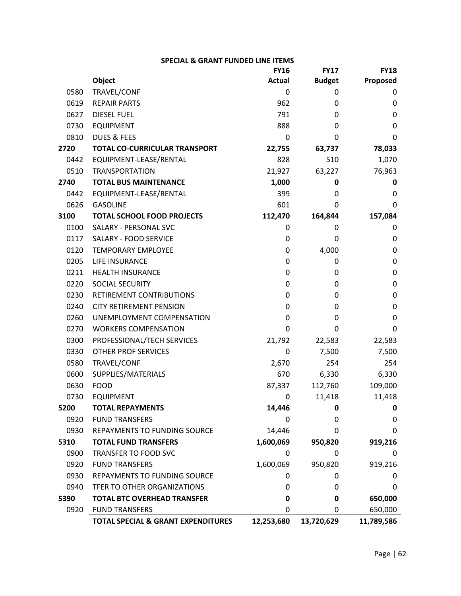|      |                                               | <b>FY16</b>   | <b>FY17</b>   | <b>FY18</b> |
|------|-----------------------------------------------|---------------|---------------|-------------|
|      | <b>Object</b>                                 | <b>Actual</b> | <b>Budget</b> | Proposed    |
| 0580 | TRAVEL/CONF                                   | 0             | 0             | 0           |
| 0619 | <b>REPAIR PARTS</b>                           | 962           | 0             | 0           |
| 0627 | <b>DIESEL FUEL</b>                            | 791           | 0             | 0           |
| 0730 | <b>EQUIPMENT</b>                              | 888           | 0             | 0           |
| 0810 | <b>DUES &amp; FEES</b>                        | 0             | 0             | 0           |
| 2720 | <b>TOTAL CO-CURRICULAR TRANSPORT</b>          | 22,755        | 63,737        | 78,033      |
| 0442 | EQUIPMENT-LEASE/RENTAL                        | 828           | 510           | 1,070       |
| 0510 | <b>TRANSPORTATION</b>                         | 21,927        | 63,227        | 76,963      |
| 2740 | <b>TOTAL BUS MAINTENANCE</b>                  | 1,000         | 0             | 0           |
| 0442 | EQUIPMENT-LEASE/RENTAL                        | 399           | 0             | 0           |
| 0626 | <b>GASOLINE</b>                               | 601           | 0             | 0           |
| 3100 | <b>TOTAL SCHOOL FOOD PROJECTS</b>             | 112,470       | 164,844       | 157,084     |
| 0100 | SALARY - PERSONAL SVC                         | 0             | 0             | 0           |
| 0117 | <b>SALARY - FOOD SERVICE</b>                  | 0             | 0             | 0           |
| 0120 | <b>TEMPORARY EMPLOYEE</b>                     | 0             | 4,000         | 0           |
| 0205 | LIFE INSURANCE                                | 0             | 0             | 0           |
| 0211 | <b>HEALTH INSURANCE</b>                       | 0             | 0             | 0           |
| 0220 | <b>SOCIAL SECURITY</b>                        | 0             | 0             | 0           |
| 0230 | RETIREMENT CONTRIBUTIONS                      | 0             | 0             | 0           |
| 0240 | <b>CITY RETIREMENT PENSION</b>                | 0             | 0             | 0           |
| 0260 | UNEMPLOYMENT COMPENSATION                     | 0             | 0             | 0           |
| 0270 | <b>WORKERS COMPENSATION</b>                   | 0             | 0             | 0           |
| 0300 | PROFESSIONAL/TECH SERVICES                    | 21,792        | 22,583        | 22,583      |
| 0330 | <b>OTHER PROF SERVICES</b>                    | 0             | 7,500         | 7,500       |
| 0580 | TRAVEL/CONF                                   | 2,670         | 254           | 254         |
| 0600 | SUPPLIES/MATERIALS                            | 670           | 6,330         | 6,330       |
| 0630 | <b>FOOD</b>                                   | 87,337        | 112,760       | 109,000     |
| 0730 | <b>EQUIPMENT</b>                              | 0             | 11,418        | 11,418      |
| 5200 | <b>TOTAL REPAYMENTS</b>                       | 14,446        | 0             | 0           |
| 0920 | <b>FUND TRANSFERS</b>                         | 0             | 0             | 0           |
| 0930 | <b>REPAYMENTS TO FUNDING SOURCE</b>           | 14,446        | 0             | 0           |
| 5310 | <b>TOTAL FUND TRANSFERS</b>                   | 1,600,069     | 950,820       | 919,216     |
| 0900 | TRANSFER TO FOOD SVC                          | 0             | 0             | 0           |
| 0920 | <b>FUND TRANSFERS</b>                         | 1,600,069     | 950,820       | 919,216     |
| 0930 | REPAYMENTS TO FUNDING SOURCE                  | 0             | 0             | 0           |
| 0940 | TFER TO OTHER ORGANIZATIONS                   | 0             | 0             | 0           |
| 5390 | <b>TOTAL BTC OVERHEAD TRANSFER</b>            | 0             | 0             | 650,000     |
| 0920 | <b>FUND TRANSFERS</b>                         | 0             | 0             | 650,000     |
|      | <b>TOTAL SPECIAL &amp; GRANT EXPENDITURES</b> | 12,253,680    | 13,720,629    | 11,789,586  |

| <b>SPECIAL &amp; GRANT FUNDED LINE ITEMS</b> |
|----------------------------------------------|
|----------------------------------------------|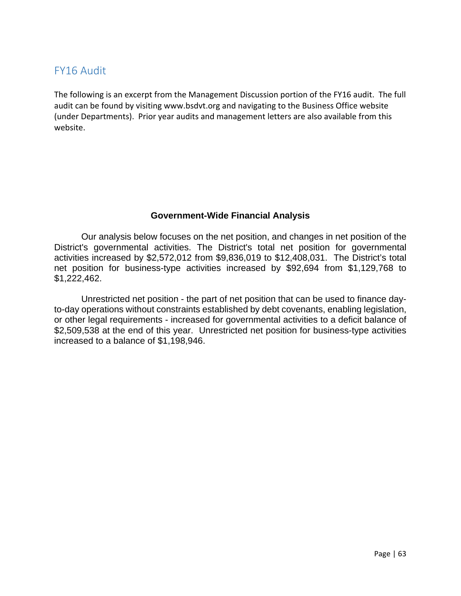# FY16 Audit

The following is an excerpt from the Management Discussion portion of the FY16 audit. The full audit can be found by visiting www.bsdvt.org and navigating to the Business Office website (under Departments). Prior year audits and management letters are also available from this website.

# **Government-Wide Financial Analysis**

Our analysis below focuses on the net position, and changes in net position of the District's governmental activities. The District's total net position for governmental activities increased by \$2,572,012 from \$9,836,019 to \$12,408,031. The District's total net position for business-type activities increased by \$92,694 from \$1,129,768 to \$1,222,462.

Unrestricted net position - the part of net position that can be used to finance dayto-day operations without constraints established by debt covenants, enabling legislation, or other legal requirements - increased for governmental activities to a deficit balance of \$2,509,538 at the end of this year. Unrestricted net position for business-type activities increased to a balance of \$1,198,946.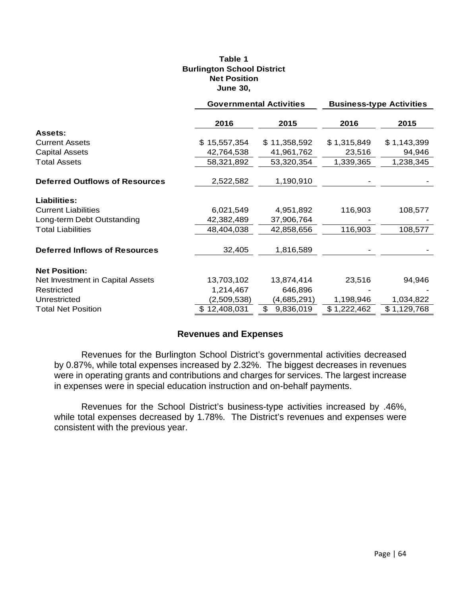### **Table 1 Burlington School District Net Position June 30,**

|                                       | <b>Governmental Activities</b> |                 | <b>Business-type Activities</b> |             |
|---------------------------------------|--------------------------------|-----------------|---------------------------------|-------------|
|                                       | 2016                           | 2015            | 2016                            | 2015        |
| <b>Assets:</b>                        |                                |                 |                                 |             |
| <b>Current Assets</b>                 | \$15,557,354                   | \$11,358,592    | \$1,315,849                     | \$1,143,399 |
| <b>Capital Assets</b>                 | 42,764,538                     | 41,961,762      | 23,516                          | 94,946      |
| <b>Total Assets</b>                   | 58,321,892                     | 53,320,354      | 1,339,365                       | 1,238,345   |
| <b>Deferred Outflows of Resources</b> | 2,522,582                      | 1,190,910       |                                 |             |
|                                       |                                |                 |                                 |             |
| Liabilities:                          |                                |                 |                                 |             |
| <b>Current Liabilities</b>            | 6,021,549                      | 4,951,892       | 116,903                         | 108,577     |
| Long-term Debt Outstanding            | 42,382,489                     | 37,906,764      |                                 |             |
| <b>Total Liabilities</b>              | 48,404,038                     | 42,858,656      | 116,903                         | 108,577     |
|                                       |                                |                 |                                 |             |
| <b>Deferred Inflows of Resources</b>  | 32,405                         | 1,816,589       |                                 |             |
|                                       |                                |                 |                                 |             |
| <b>Net Position:</b>                  |                                |                 |                                 |             |
| Net Investment in Capital Assets      | 13,703,102                     | 13,874,414      | 23,516                          | 94,946      |
| Restricted                            | 1,214,467                      | 646,896         |                                 |             |
| Unrestricted                          | (2,509,538)                    | (4,685,291)     | 1,198,946                       | 1,034,822   |
| <b>Total Net Position</b>             | \$12,408,031                   | \$<br>9,836,019 | \$1,222,462                     | \$1,129,768 |

## **Revenues and Expenses**

Revenues for the Burlington School District's governmental activities decreased by 0.87%, while total expenses increased by 2.32%. The biggest decreases in revenues were in operating grants and contributions and charges for services. The largest increase in expenses were in special education instruction and on-behalf payments.

 Revenues for the School District's business-type activities increased by .46%, while total expenses decreased by 1.78%. The District's revenues and expenses were consistent with the previous year.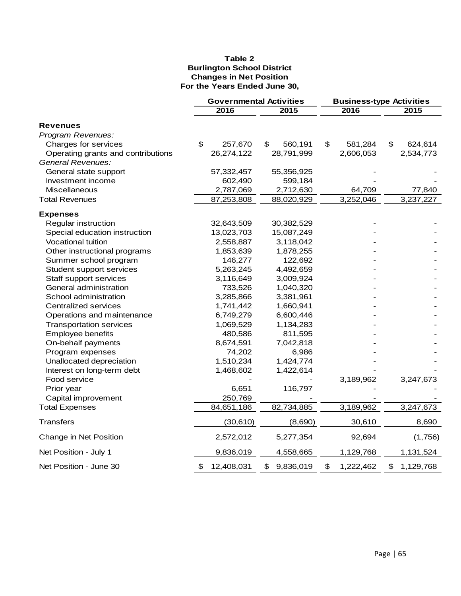### **Table 2 Burlington School District Changes in Net Position For the Years Ended June 30,**

|                                    | <b>Governmental Activities</b> |            |                 | <b>Business-type Activities</b> |           |                |           |
|------------------------------------|--------------------------------|------------|-----------------|---------------------------------|-----------|----------------|-----------|
|                                    |                                | 2016       | 2015            |                                 | 2016      |                | 2015      |
| <b>Revenues</b>                    |                                |            |                 |                                 |           |                |           |
| Program Revenues:                  |                                |            |                 |                                 |           |                |           |
| Charges for services               | \$                             | 257,670    | 560,191<br>\$   | $\frac{2}{3}$                   | 581,284   | \$             | 624,614   |
| Operating grants and contributions |                                | 26,274,122 | 28,791,999      |                                 | 2,606,053 |                | 2,534,773 |
| General Revenues:                  |                                |            |                 |                                 |           |                |           |
| General state support              |                                | 57,332,457 | 55,356,925      |                                 |           |                |           |
| Investment income                  |                                | 602,490    | 599,184         |                                 |           |                |           |
| Miscellaneous                      |                                | 2,787,069  | 2,712,630       |                                 | 64,709    |                | 77,840    |
| <b>Total Revenues</b>              |                                | 87,253,808 | 88,020,929      |                                 | 3,252,046 |                | 3,237,227 |
| <b>Expenses</b>                    |                                |            |                 |                                 |           |                |           |
| Regular instruction                |                                | 32,643,509 | 30,382,529      |                                 |           |                |           |
| Special education instruction      |                                | 13,023,703 | 15,087,249      |                                 |           |                |           |
| <b>Vocational tuition</b>          |                                | 2,558,887  | 3,118,042       |                                 |           |                |           |
| Other instructional programs       |                                | 1,853,639  | 1,878,255       |                                 |           |                |           |
| Summer school program              |                                | 146,277    | 122,692         |                                 |           |                |           |
| Student support services           |                                | 5,263,245  | 4,492,659       |                                 |           |                |           |
| Staff support services             |                                | 3,116,649  | 3,009,924       |                                 |           |                |           |
| General administration             |                                | 733,526    | 1,040,320       |                                 |           |                |           |
| School administration              |                                | 3,285,866  | 3,381,961       |                                 |           |                |           |
| Centralized services               |                                | 1,741,442  | 1,660,941       |                                 |           |                |           |
| Operations and maintenance         |                                | 6,749,279  | 6,600,446       |                                 |           |                |           |
| <b>Transportation services</b>     |                                | 1,069,529  | 1,134,283       |                                 |           |                |           |
| Employee benefits                  |                                | 480,586    | 811,595         |                                 |           |                |           |
| On-behalf payments                 |                                | 8,674,591  | 7,042,818       |                                 |           |                |           |
| Program expenses                   |                                | 74,202     | 6,986           |                                 |           |                |           |
| Unallocated depreciation           |                                | 1,510,234  | 1,424,774       |                                 |           |                |           |
| Interest on long-term debt         |                                | 1,468,602  | 1,422,614       |                                 |           |                |           |
| Food service                       |                                |            |                 |                                 | 3,189,962 |                | 3,247,673 |
| Prior year                         |                                | 6,651      | 116,797         |                                 |           |                |           |
| Capital improvement                |                                | 250,769    |                 |                                 |           |                |           |
| <b>Total Expenses</b>              |                                | 84,651,186 | 82,734,885      |                                 | 3,189,962 |                | 3,247,673 |
| <b>Transfers</b>                   |                                | (30, 610)  | (8,690)         |                                 | 30,610    |                | 8,690     |
| Change in Net Position             |                                | 2,572,012  | 5,277,354       |                                 | 92,694    |                | (1,756)   |
| Net Position - July 1              |                                | 9,836,019  | 4,558,665       |                                 | 1,129,768 |                | 1,131,524 |
| Net Position - June 30             | \$                             | 12,408,031 | 9,836,019<br>\$ | \$                              | 1,222,462 | $\mathfrak{P}$ | 1,129,768 |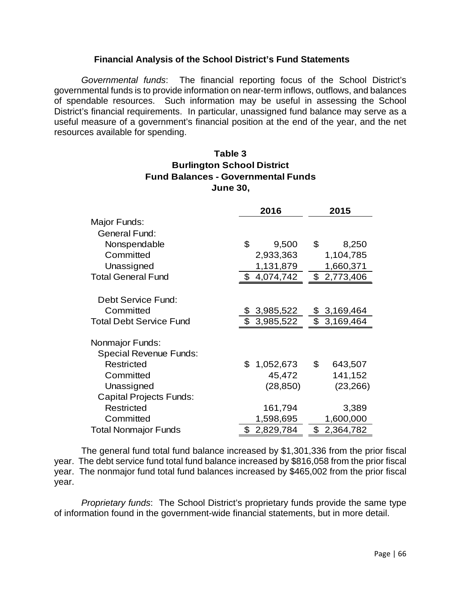## **Financial Analysis of the School District's Fund Statements**

*Governmental funds*: The financial reporting focus of the School District's governmental funds is to provide information on near-term inflows, outflows, and balances of spendable resources. Such information may be useful in assessing the School District's financial requirements. In particular, unassigned fund balance may serve as a useful measure of a government's financial position at the end of the year, and the net resources available for spending.

## **June 30, Fund Balances - Governmental Funds Burlington School District Table 3**

|                                | 2016            | 2015                        |
|--------------------------------|-----------------|-----------------------------|
| Major Funds:                   |                 |                             |
| <b>General Fund:</b>           |                 |                             |
| Nonspendable                   | \$<br>9,500     | \$<br>8,250                 |
| Committed                      | 2,933,363       | 1,104,785                   |
| Unassigned                     | 1,131,879       | 1,660,371                   |
| <b>Total General Fund</b>      | \$4,074,742     | \$2,773,406                 |
|                                |                 |                             |
| Debt Service Fund:             |                 |                             |
| Committed                      | 3,985,522       | \$ 3,169,464                |
| <b>Total Debt Service Fund</b> | \$3,985,522     | \$3,169,464                 |
| Nonmajor Funds:                |                 |                             |
| <b>Special Revenue Funds:</b>  |                 |                             |
| Restricted                     | \$<br>1,052,673 | $\mathfrak{S}$<br>643,507   |
| Committed                      | 45,472          | 141,152                     |
| Unassigned                     | (28, 850)       | (23, 266)                   |
| <b>Capital Projects Funds:</b> |                 |                             |
| Restricted                     | 161,794         | 3,389                       |
| Committed                      | 1,598,695       | 1,600,000                   |
| <b>Total Nonmajor Funds</b>    | 2,829,784<br>\$ | $\mathfrak{S}$<br>2,364,782 |

The general fund total fund balance increased by \$1,301,336 from the prior fiscal year. The debt service fund total fund balance increased by \$816,058 from the prior fiscal year. The nonmajor fund total fund balances increased by \$465,002 from the prior fiscal year.

*Proprietary funds*: The School District's proprietary funds provide the same type of information found in the government-wide financial statements, but in more detail.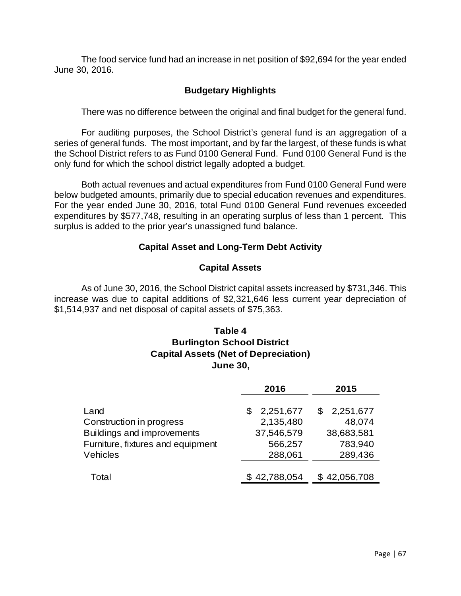The food service fund had an increase in net position of \$92,694 for the year ended June 30, 2016.

# **Budgetary Highlights**

There was no difference between the original and final budget for the general fund.

 For auditing purposes, the School District's general fund is an aggregation of a series of general funds. The most important, and by far the largest, of these funds is what the School District refers to as Fund 0100 General Fund. Fund 0100 General Fund is the only fund for which the school district legally adopted a budget.

 Both actual revenues and actual expenditures from Fund 0100 General Fund were below budgeted amounts, primarily due to special education revenues and expenditures. For the year ended June 30, 2016, total Fund 0100 General Fund revenues exceeded expenditures by \$577,748, resulting in an operating surplus of less than 1 percent. This surplus is added to the prior year's unassigned fund balance.

## **Capital Asset and Long-Term Debt Activity**

## **Capital Assets**

 As of June 30, 2016, the School District capital assets increased by \$731,346. This increase was due to capital additions of \$2,321,646 less current year depreciation of \$1,514,937 and net disposal of capital assets of \$75,363.

# **Table 4 Burlington School District Capital Assets (Net of Depreciation) June 30,**

|                                   | 2016           | 2015         |
|-----------------------------------|----------------|--------------|
| Land                              | 2,251,677<br>S | \$2,251,677  |
| Construction in progress          | 2,135,480      | 48,074       |
| Buildings and improvements        | 37,546,579     | 38,683,581   |
| Furniture, fixtures and equipment | 566,257        | 783,940      |
| Vehicles                          | 288,061        | 289,436      |
|                                   |                |              |
| Total                             | \$42,788,054   | \$42,056,708 |